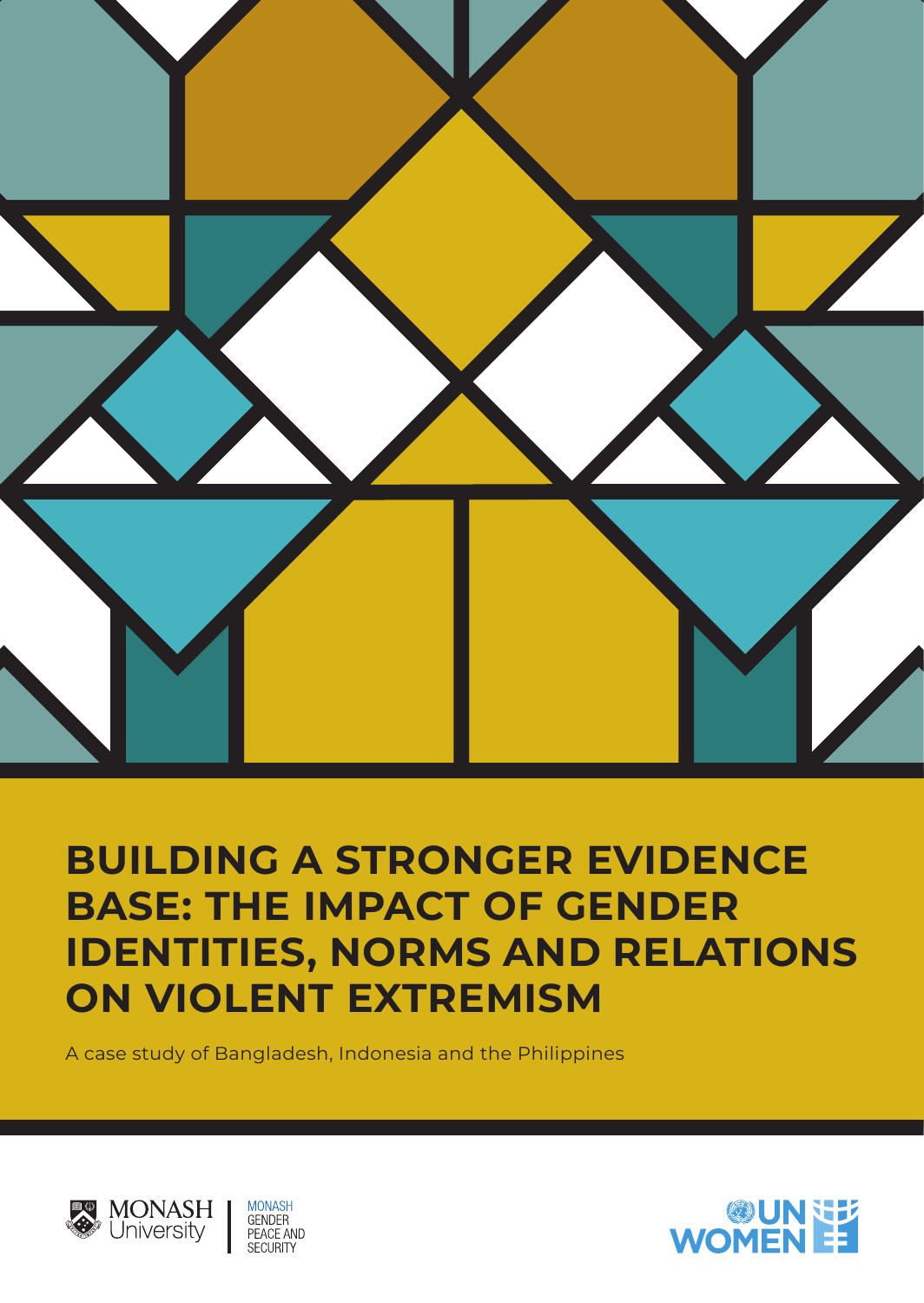

# **BUILDING A STRONGER EVIDENCE BASE: THE IMPACT OF GENDER IDENTITIES, NORMS AND RELATIONS ON VIOLENT EXTREMISM**

A case study of Bangladesh, Indonesia and the Philippines



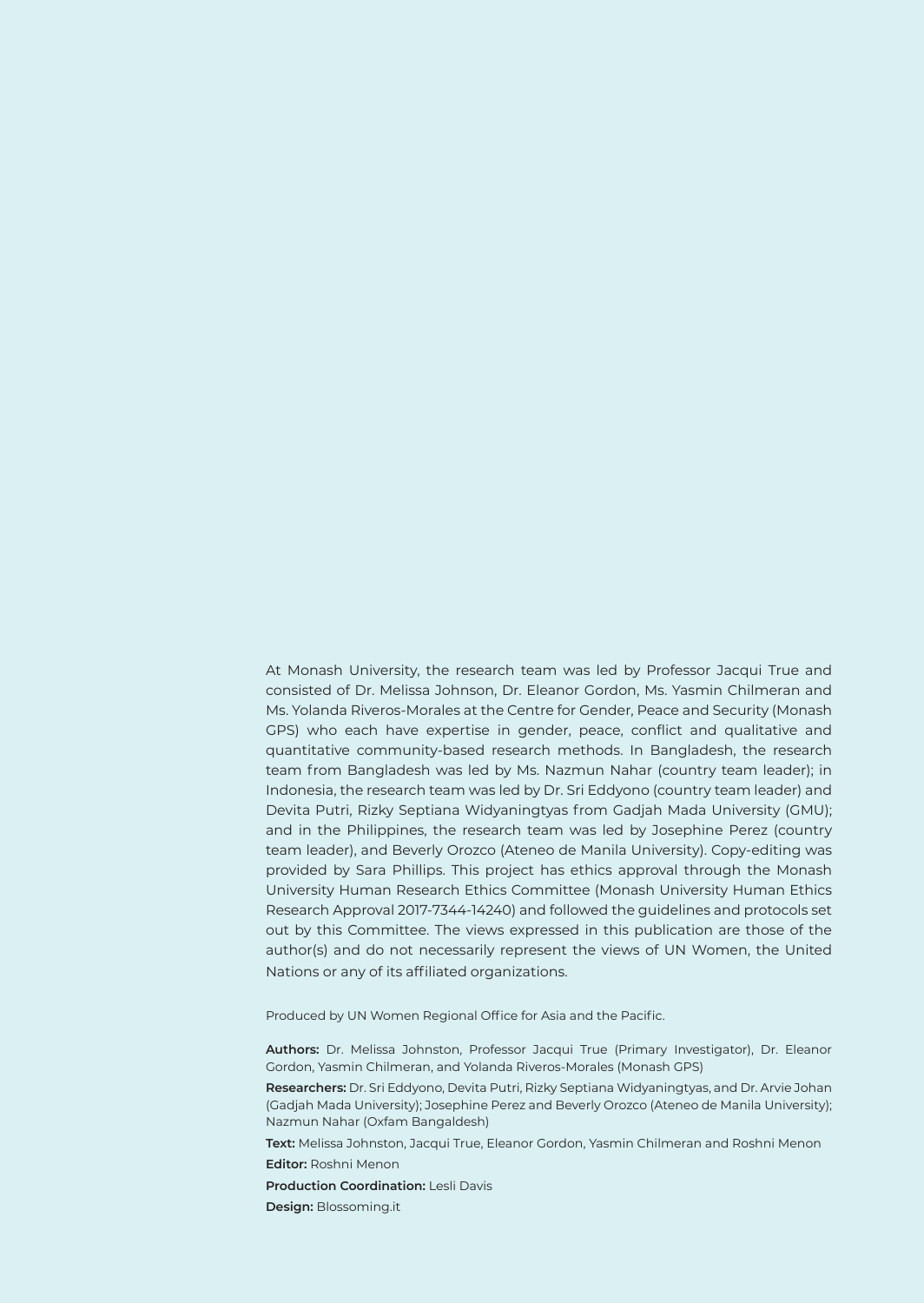At Monash University, the research team was led by Professor Jacqui True and consisted of Dr. Melissa Johnson, Dr. Eleanor Gordon, Ms. Yasmin Chilmeran and Ms. Yolanda Riveros-Morales at the Centre for Gender, Peace and Security (Monash GPS) who each have expertise in gender, peace, conflict and qualitative and quantitative community-based research methods. In Bangladesh, the research team from Bangladesh was led by Ms. Nazmun Nahar (country team leader); in Indonesia, the research team was led by Dr. Sri Eddyono (country team leader) and Devita Putri, Rizky Septiana Widyaningtyas from Gadjah Mada University (GMU); and in the Philippines, the research team was led by Josephine Perez (country team leader), and Beverly Orozco (Ateneo de Manila University). Copy-editing was provided by Sara Phillips. This project has ethics approval through the Monash University Human Research Ethics Committee (Monash University Human Ethics Research Approval 2017-7344-14240) and followed the guidelines and protocols set out by this Committee. The views expressed in this publication are those of the author(s) and do not necessarily represent the views of UN Women, the United Nations or any of its affiliated organizations.

Produced by UN Women Regional Office for Asia and the Pacific.

**Authors:** Dr. Melissa Johnston, Professor Jacqui True (Primary Investigator), Dr. Eleanor Gordon, Yasmin Chilmeran, and Yolanda Riveros-Morales (Monash GPS)

**Researchers:** Dr. Sri Eddyono, Devita Putri, Rizky Septiana Widyaningtyas, and Dr. Arvie Johan (Gadjah Mada University); Josephine Perez and Beverly Orozco (Ateneo de Manila University); Nazmun Nahar (Oxfam Bangaldesh)

**Text:** Melissa Johnston, Jacqui True, Eleanor Gordon, Yasmin Chilmeran and Roshni Menon **Editor:** Roshni Menon

**Production Coordination:** Lesli Davis

**Design:** Blossoming.it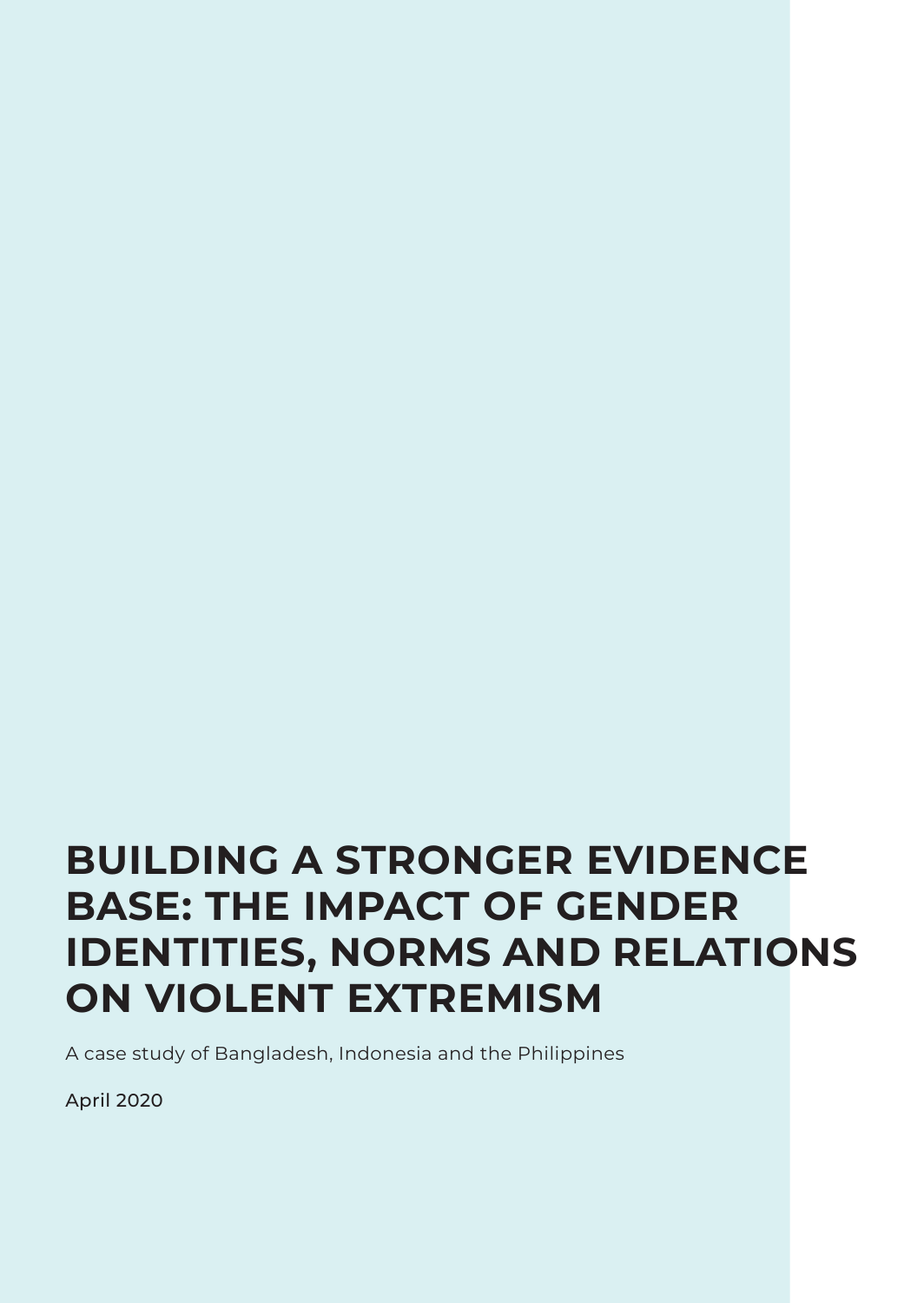# **BUILDING A STRONGER EVIDENCE BASE: THE IMPACT OF GENDER IDENTITIES, NORMS AND RELATIONS ON VIOLENT EXTREMISM**

A case study of Bangladesh, Indonesia and the Philippines

April 2020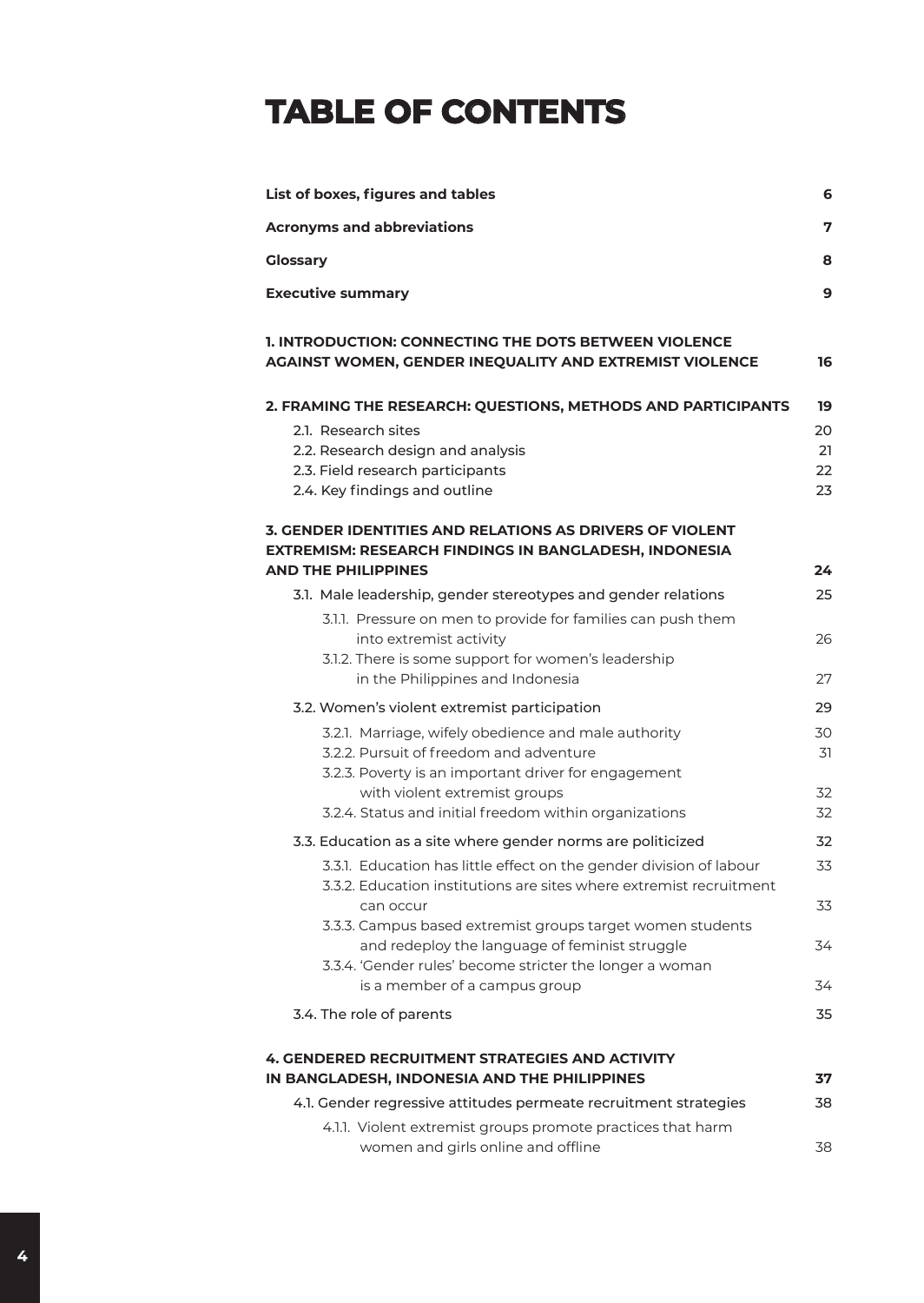# **TABLE OF CONTENTS**

| List of boxes, figures and tables                                                                                 |    |  |
|-------------------------------------------------------------------------------------------------------------------|----|--|
| <b>Acronyms and abbreviations</b>                                                                                 | 7  |  |
| <b>Glossary</b>                                                                                                   | 8  |  |
| <b>Executive summary</b>                                                                                          | 9  |  |
| 1. INTRODUCTION: CONNECTING THE DOTS BETWEEN VIOLENCE<br>AGAINST WOMEN, GENDER INEQUALITY AND EXTREMIST VIOLENCE  | 16 |  |
| 2. FRAMING THE RESEARCH: QUESTIONS, METHODS AND PARTICIPANTS                                                      | 19 |  |
| 2.1. Research sites                                                                                               | 20 |  |
| 2.2. Research design and analysis                                                                                 | 21 |  |
| 2.3. Field research participants                                                                                  | 22 |  |
| 2.4. Key findings and outline                                                                                     | 23 |  |
| 3. GENDER IDENTITIES AND RELATIONS AS DRIVERS OF VIOLENT<br>EXTREMISM: RESEARCH FINDINGS IN BANGLADESH, INDONESIA |    |  |
| <b>AND THE PHILIPPINES</b>                                                                                        | 24 |  |
| 3.1. Male leadership, gender stereotypes and gender relations                                                     | 25 |  |
| 3.1.1. Pressure on men to provide for families can push them                                                      |    |  |
| into extremist activity                                                                                           | 26 |  |
| 3.1.2. There is some support for women's leadership                                                               |    |  |
| in the Philippines and Indonesia                                                                                  | 27 |  |
| 3.2. Women's violent extremist participation                                                                      | 29 |  |
| 3.2.1. Marriage, wifely obedience and male authority                                                              | 30 |  |
| 3.2.2. Pursuit of freedom and adventure                                                                           | 31 |  |
| 3.2.3. Poverty is an important driver for engagement                                                              |    |  |
| with violent extremist groups                                                                                     | 32 |  |
| 3.2.4. Status and initial freedom within organizations                                                            | 32 |  |
| 3.3. Education as a site where gender norms are politicized                                                       | 32 |  |
| 3.3.1. Education has little effect on the gender division of labour                                               | 33 |  |
| 3.3.2. Education institutions are sites where extremist recruitment                                               |    |  |
| can occur                                                                                                         | 33 |  |
| 3.3.3. Campus based extremist groups target women students                                                        |    |  |
| and redeploy the language of feminist struggle                                                                    | 34 |  |
| 3.3.4. 'Gender rules' become stricter the longer a woman                                                          |    |  |
| is a member of a campus group                                                                                     | 34 |  |
|                                                                                                                   |    |  |
| 3.4. The role of parents                                                                                          | 35 |  |
| <b>4. GENDERED RECRUITMENT STRATEGIES AND ACTIVITY</b>                                                            |    |  |
| IN BANGLADESH, INDONESIA AND THE PHILIPPINES                                                                      | 37 |  |
| 4.1. Gender regressive attitudes permeate recruitment strategies                                                  | 38 |  |
| 4.1.1. Violent extremist groups promote practices that harm                                                       |    |  |
| women and girls online and offline                                                                                | 38 |  |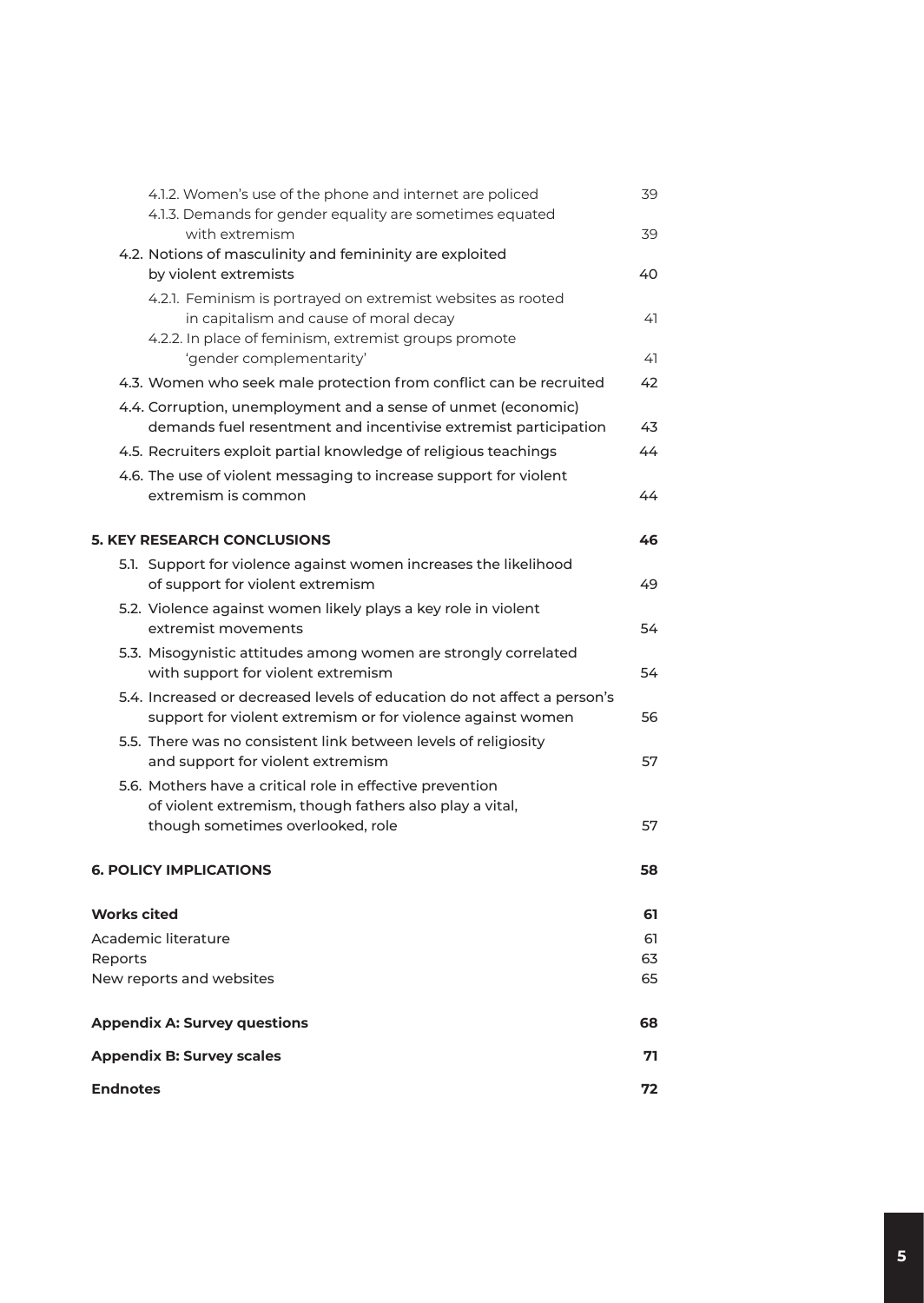| 4.1.2. Women's use of the phone and internet are policed<br>4.1.3. Demands for gender equality are sometimes equated                                            | 39       |
|-----------------------------------------------------------------------------------------------------------------------------------------------------------------|----------|
| with extremism                                                                                                                                                  | 39       |
| 4.2. Notions of masculinity and femininity are exploited<br>by violent extremists                                                                               | 40       |
| 4.2.1. Feminism is portrayed on extremist websites as rooted<br>in capitalism and cause of moral decay<br>4.2.2. In place of feminism, extremist groups promote | 41       |
| 'gender complementarity'                                                                                                                                        | 41       |
| 4.3. Women who seek male protection from conflict can be recruited                                                                                              | 42       |
| 4.4. Corruption, unemployment and a sense of unmet (economic)<br>demands fuel resentment and incentivise extremist participation                                | 43       |
| 4.5. Recruiters exploit partial knowledge of religious teachings                                                                                                | 44       |
| 4.6. The use of violent messaging to increase support for violent<br>extremism is common                                                                        | 44       |
| <b>5. KEY RESEARCH CONCLUSIONS</b>                                                                                                                              | 46       |
| 5.1. Support for violence against women increases the likelihood<br>of support for violent extremism                                                            | 49       |
| 5.2. Violence against women likely plays a key role in violent<br>extremist movements                                                                           | 54       |
| 5.3. Misogynistic attitudes among women are strongly correlated<br>with support for violent extremism                                                           | 54       |
| 5.4. Increased or decreased levels of education do not affect a person's<br>support for violent extremism or for violence against women                         | 56       |
| 5.5. There was no consistent link between levels of religiosity<br>and support for violent extremism                                                            | 57       |
| 5.6. Mothers have a critical role in effective prevention<br>of violent extremism, though fathers also play a vital,                                            |          |
| though sometimes overlooked, role                                                                                                                               | 57       |
| <b>6. POLICY IMPLICATIONS</b>                                                                                                                                   | 58       |
| <b>Works cited</b>                                                                                                                                              | 61       |
| Academic literature                                                                                                                                             | 61       |
| Reports<br>New reports and websites                                                                                                                             | 63<br>65 |
|                                                                                                                                                                 |          |
| <b>Appendix A: Survey questions</b>                                                                                                                             | 68       |
| <b>Appendix B: Survey scales</b>                                                                                                                                | 71       |
| <b>Endnotes</b>                                                                                                                                                 | 72       |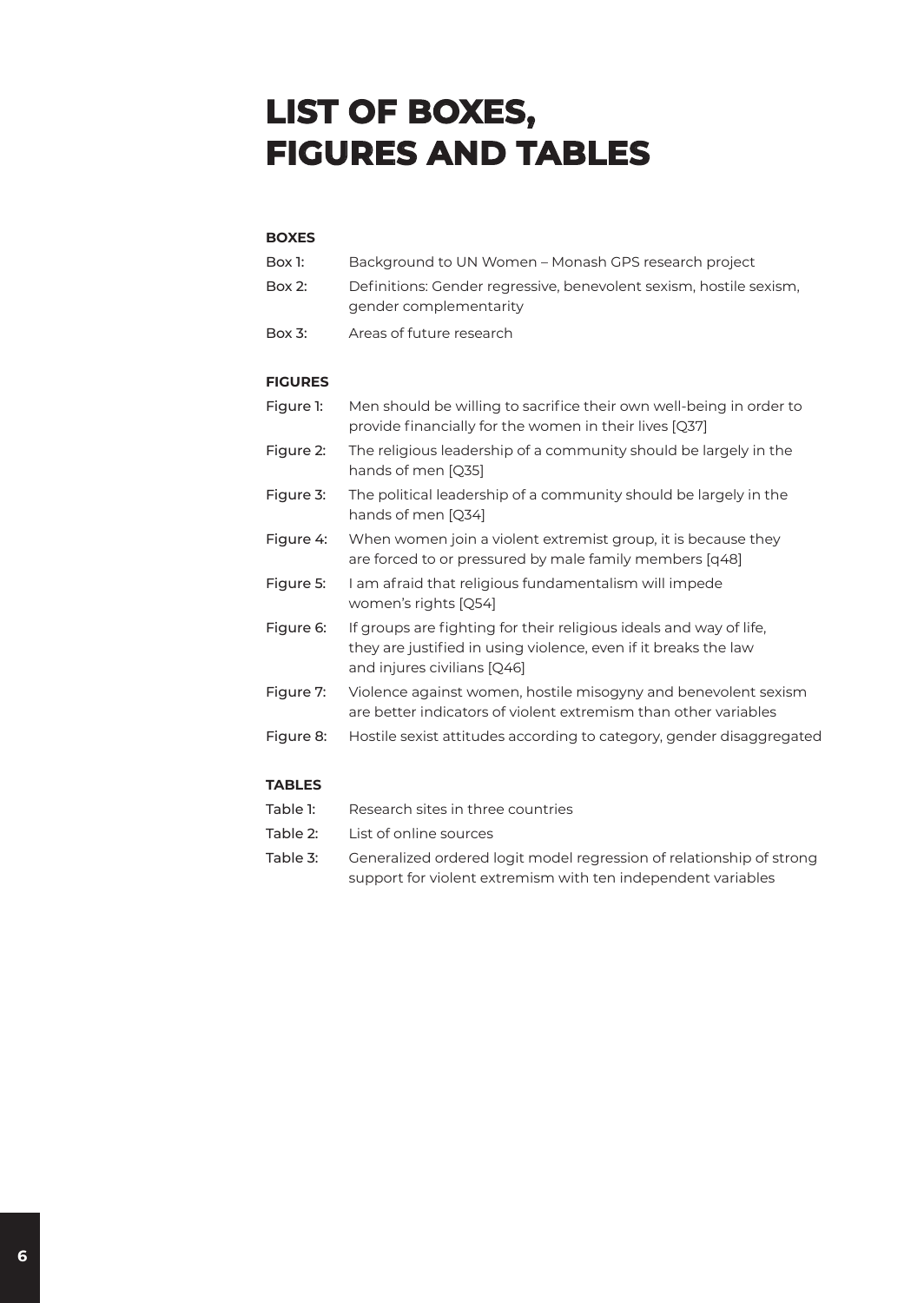# **LIST OF BOXES, FIGURES AND TABLES**

#### **BOXES**

| Box 1:    | Background to UN Women – Monash GPS research project                                         |
|-----------|----------------------------------------------------------------------------------------------|
| $Box 2$ : | Definitions: Gender regressive, benevolent sexism, hostile sexism,<br>gender complementarity |
| $Box 3$ : | Areas of future research                                                                     |

#### **FIGURES**

| Figure 1:     | Men should be willing to sacrifice their own well-being in order to<br>provide financially for the women in their lives [Q37]                                        |
|---------------|----------------------------------------------------------------------------------------------------------------------------------------------------------------------|
| Figure 2:     | The religious leadership of a community should be largely in the<br>hands of men [Q35]                                                                               |
| Figure 3:     | The political leadership of a community should be largely in the<br>hands of men [Q34]                                                                               |
| Figure 4:     | When women join a violent extremist group, it is because they<br>are forced to or pressured by male family members [q48]                                             |
| Figure 5:     | I am afraid that religious fundamentalism will impede<br>women's rights [Q54]                                                                                        |
| Figure 6:     | If groups are fighting for their religious ideals and way of life,<br>they are justified in using violence, even if it breaks the law<br>and injures civilians [Q46] |
| Figure 7:     | Violence against women, hostile misogyny and benevolent sexism<br>are better indicators of violent extremism than other variables                                    |
| Figure 8:     | Hostile sexist attitudes according to category, gender disaggregated                                                                                                 |
| <b>TABLES</b> |                                                                                                                                                                      |

| Table 1: | Research sites in three countries                                    |
|----------|----------------------------------------------------------------------|
| Table 2: | List of online sources                                               |
| Table 3: | Generalized ordered logit model regression of relationship of strong |
|          | support for violent extremism with ten independent variables         |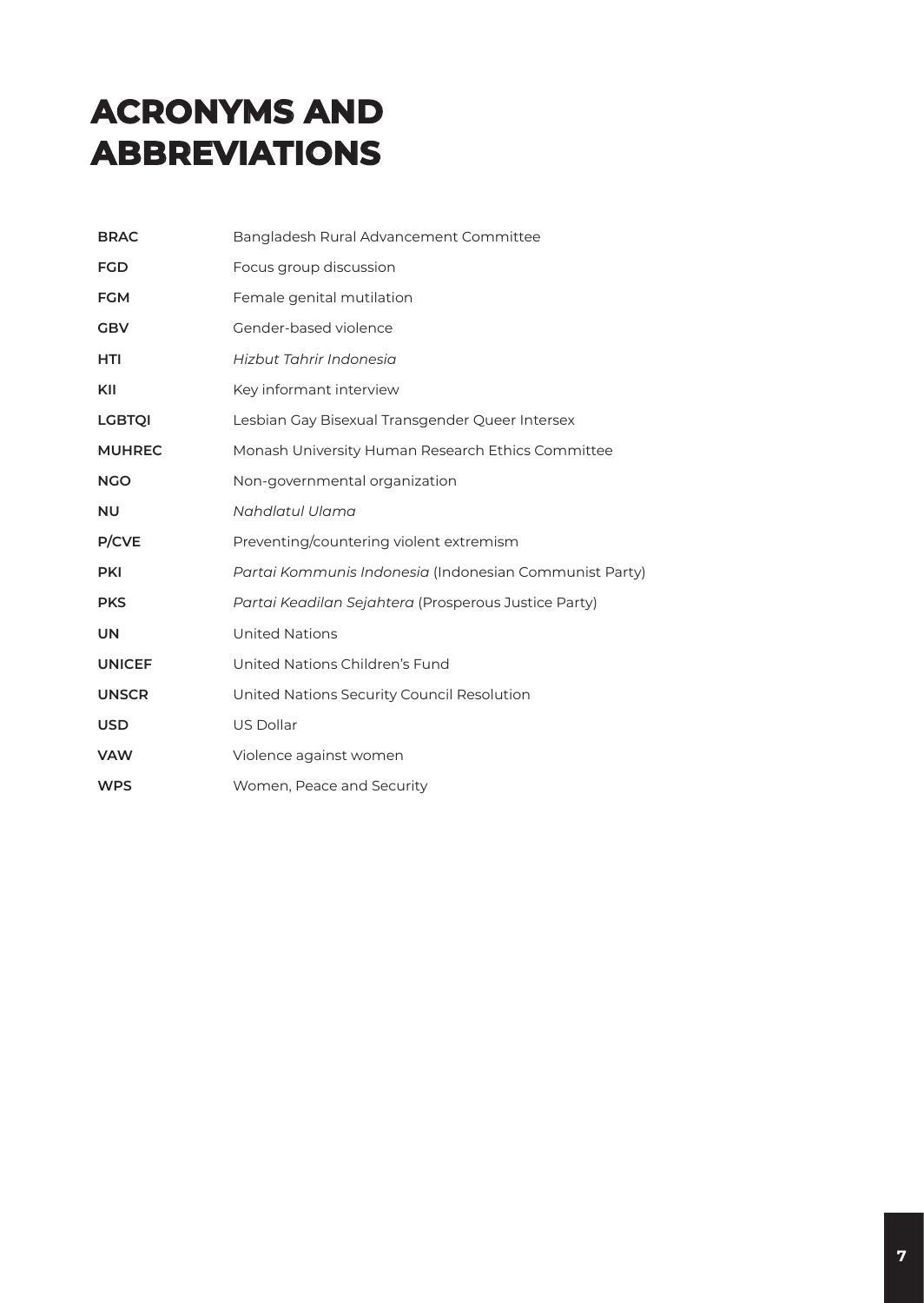# **ACRONYMS AND ABBREVIATIONS**

| <b>BRAC</b>   | Bangladesh Rural Advancement Committee                 |
|---------------|--------------------------------------------------------|
| <b>FGD</b>    | Focus group discussion                                 |
| <b>FGM</b>    | Female genital mutilation                              |
| <b>GBV</b>    | Gender-based violence                                  |
| <b>HTI</b>    | Hizbut Tahrir Indonesia                                |
| KII           | Key informant interview                                |
| <b>LGBTQI</b> | Lesbian Gay Bisexual Transgender Queer Intersex        |
| <b>MUHREC</b> | Monash University Human Research Ethics Committee      |
| <b>NGO</b>    | Non-governmental organization                          |
| <b>NU</b>     | Nahdlatul Ulama                                        |
| P/CVE         | Preventing/countering violent extremism                |
| <b>PKI</b>    | Partai Kommunis Indonesia (Indonesian Communist Party) |
| <b>PKS</b>    | Partai Keadilan Sejahtera (Prosperous Justice Party)   |
| <b>UN</b>     | <b>United Nations</b>                                  |
| <b>UNICEF</b> | United Nations Children's Fund                         |
| <b>UNSCR</b>  | United Nations Security Council Resolution             |
| <b>USD</b>    | US Dollar                                              |
| <b>VAW</b>    | Violence against women                                 |
| <b>WPS</b>    | Women, Peace and Security                              |
|               |                                                        |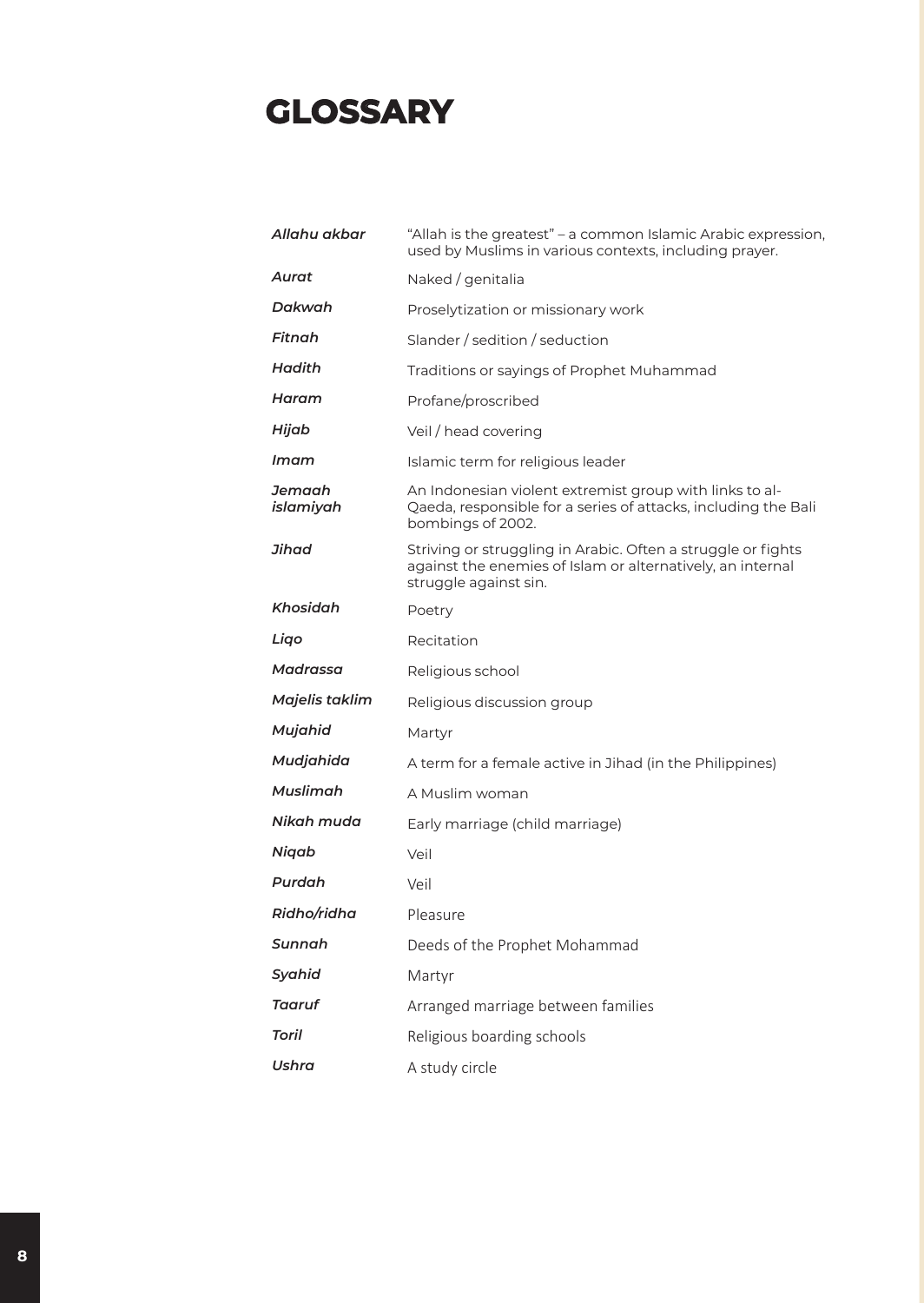### **GLOSSARY**

| Allahu akbar        | "Allah is the greatest" - a common Islamic Arabic expression,<br>used by Muslims in various contexts, including prayer.                             |  |  |
|---------------------|-----------------------------------------------------------------------------------------------------------------------------------------------------|--|--|
| Aurat               | Naked / genitalia                                                                                                                                   |  |  |
| Dakwah              | Proselytization or missionary work                                                                                                                  |  |  |
| Fitnah              | Slander / sedition / seduction                                                                                                                      |  |  |
| Hadith              | Traditions or sayings of Prophet Muhammad                                                                                                           |  |  |
| Haram               | Profane/proscribed                                                                                                                                  |  |  |
| Hijab               | Veil / head covering                                                                                                                                |  |  |
| Imam                | Islamic term for religious leader                                                                                                                   |  |  |
| Jemaah<br>islamiyah | An Indonesian violent extremist group with links to al-<br>Qaeda, responsible for a series of attacks, including the Bali<br>bombings of 2002.      |  |  |
| Jihad               | Striving or struggling in Arabic. Often a struggle or fights<br>against the enemies of Islam or alternatively, an internal<br>struggle against sin. |  |  |
| Khosidah            | Poetry                                                                                                                                              |  |  |
| Ligo                | Recitation                                                                                                                                          |  |  |
| Madrassa            | Religious school                                                                                                                                    |  |  |
| Majelis taklim      | Religious discussion group                                                                                                                          |  |  |
| Mujahid             | Martyr                                                                                                                                              |  |  |
| Mudjahida           | A term for a female active in Jihad (in the Philippines)                                                                                            |  |  |
| Muslimah            | A Muslim woman                                                                                                                                      |  |  |
| Nikah muda          | Early marriage (child marriage)                                                                                                                     |  |  |
| Niqab               | Veil                                                                                                                                                |  |  |
| Purdah              | Veil                                                                                                                                                |  |  |
| Ridho/ridha         | Pleasure                                                                                                                                            |  |  |
| Sunnah              | Deeds of the Prophet Mohammad                                                                                                                       |  |  |
| Syahid              | Martyr                                                                                                                                              |  |  |
| Taaruf              | Arranged marriage between families                                                                                                                  |  |  |
| Toril               | Religious boarding schools                                                                                                                          |  |  |
| Ushra               | A study circle                                                                                                                                      |  |  |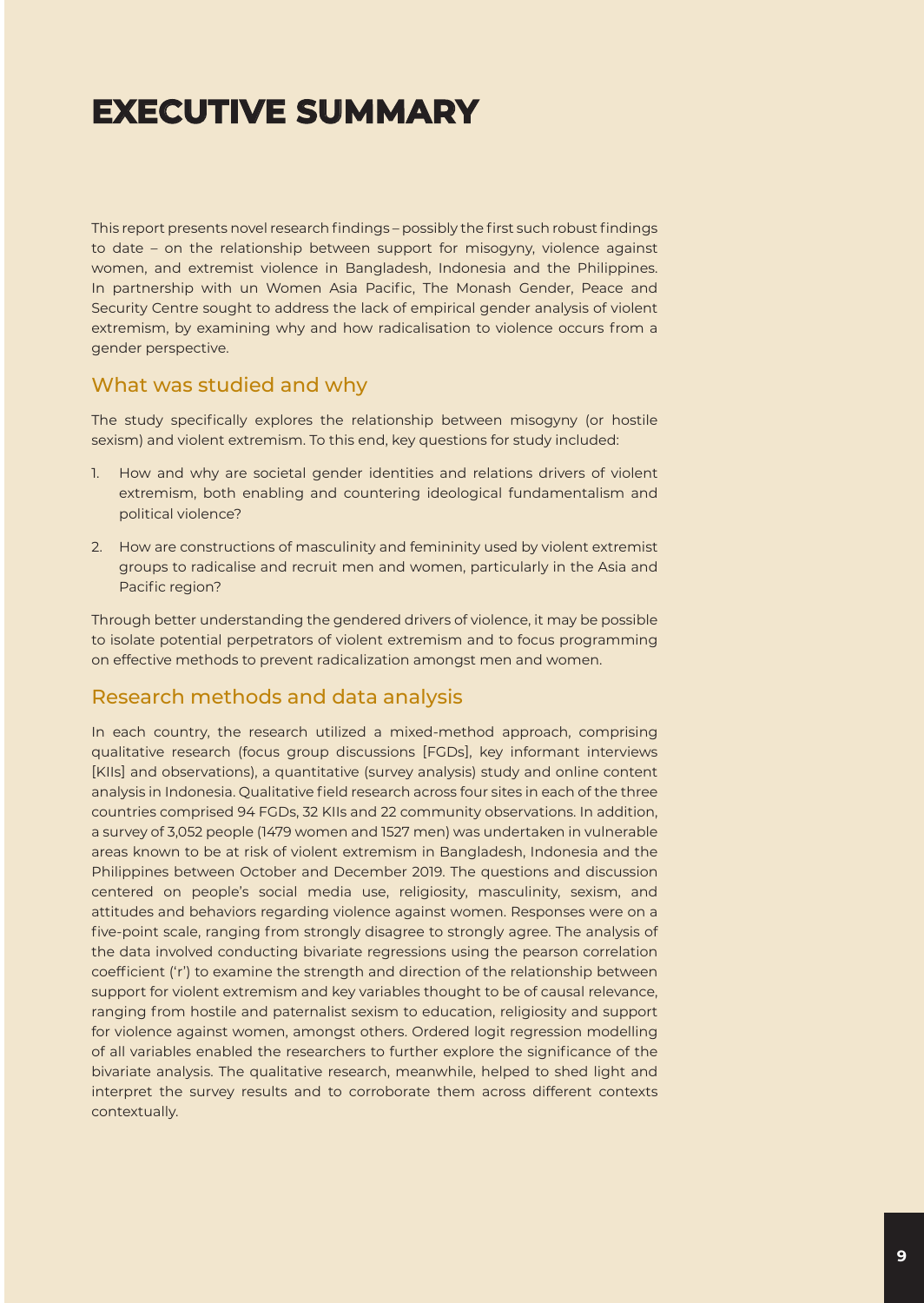# **EXECUTIVE SUMMARY**

This report presents novel research findings – possibly the first such robust findings to date – on the relationship between support for misogyny, violence against women, and extremist violence in Bangladesh, Indonesia and the Philippines. In partnership with un Women Asia Pacific, The Monash Gender, Peace and Security Centre sought to address the lack of empirical gender analysis of violent extremism, by examining why and how radicalisation to violence occurs from a gender perspective.

#### What was studied and why

The study specifically explores the relationship between misogyny (or hostile sexism) and violent extremism. To this end, key questions for study included:

- 1. How and why are societal gender identities and relations drivers of violent extremism, both enabling and countering ideological fundamentalism and political violence?
- 2. How are constructions of masculinity and femininity used by violent extremist groups to radicalise and recruit men and women, particularly in the Asia and Pacific region?

Through better understanding the gendered drivers of violence, it may be possible to isolate potential perpetrators of violent extremism and to focus programming on effective methods to prevent radicalization amongst men and women.

#### Research methods and data analysis

In each country, the research utilized a mixed-method approach, comprising qualitative research (focus group discussions [FGDs], key informant interviews [KIIs] and observations), a quantitative (survey analysis) study and online content analysis in Indonesia. Qualitative field research across four sites in each of the three countries comprised 94 FGDs, 32 KIIs and 22 community observations. In addition, a survey of 3,052 people (1479 women and 1527 men) was undertaken in vulnerable areas known to be at risk of violent extremism in Bangladesh, Indonesia and the Philippines between October and December 2019. The questions and discussion centered on people's social media use, religiosity, masculinity, sexism, and attitudes and behaviors regarding violence against women. Responses were on a five-point scale, ranging from strongly disagree to strongly agree. The analysis of the data involved conducting bivariate regressions using the pearson correlation coefficient ('r') to examine the strength and direction of the relationship between support for violent extremism and key variables thought to be of causal relevance, ranging from hostile and paternalist sexism to education, religiosity and support for violence against women, amongst others. Ordered logit regression modelling of all variables enabled the researchers to further explore the significance of the bivariate analysis. The qualitative research, meanwhile, helped to shed light and interpret the survey results and to corroborate them across different contexts contextually.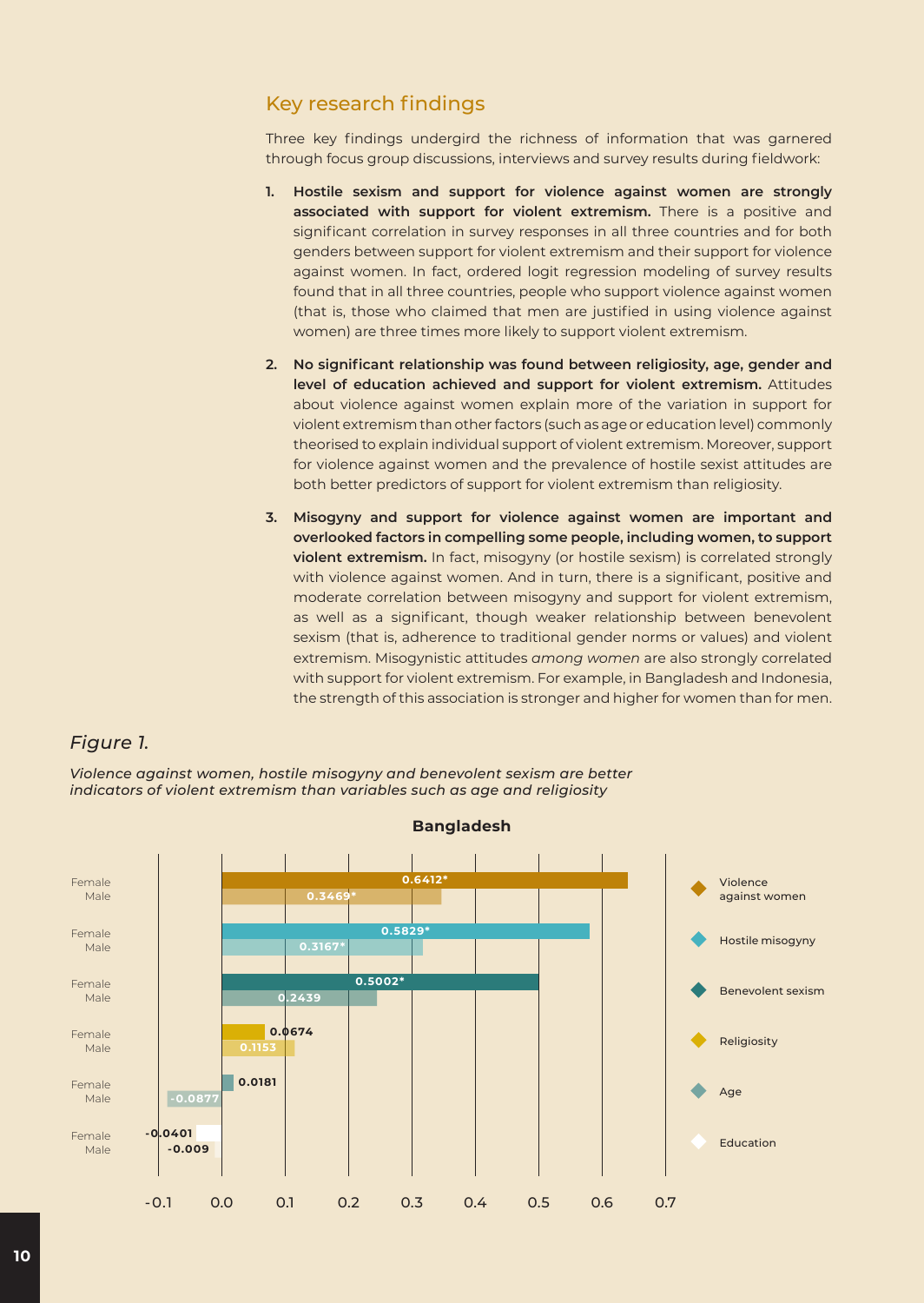#### Key research findings

Three key findings undergird the richness of information that was garnered through focus group discussions, interviews and survey results during fieldwork:

- **1. Hostile sexism and support for violence against women are strongly associated with support for violent extremism.** There is a positive and significant correlation in survey responses in all three countries and for both genders between support for violent extremism and their support for violence against women. In fact, ordered logit regression modeling of survey results found that in all three countries, people who support violence against women (that is, those who claimed that men are justified in using violence against women) are three times more likely to support violent extremism.
- **2. No significant relationship was found between religiosity, age, gender and level of education achieved and support for violent extremism.** Attitudes about violence against women explain more of the variation in support for violent extremism than other factors (such as age or education level) commonly theorised to explain individual support of violent extremism. Moreover, support for violence against women and the prevalence of hostile sexist attitudes are both better predictors of support for violent extremism than religiosity.
- **3. Misogyny and support for violence against women are important and overlooked factors in compelling some people, including women, to support violent extremism.** In fact, misogyny (or hostile sexism) is correlated strongly with violence against women. And in turn, there is a significant, positive and moderate correlation between misogyny and support for violent extremism, as well as a significant, though weaker relationship between benevolent sexism (that is, adherence to traditional gender norms or values) and violent extremism. Misogynistic attitudes *among women* are also strongly correlated with support for violent extremism. For example, in Bangladesh and Indonesia, the strength of this association is stronger and higher for women than for men.

#### *Figure 1.*

*Violence against women, hostile misogyny and benevolent sexism are better indicators of violent extremism than variables such as age and religiosity*



#### **Bangladesh**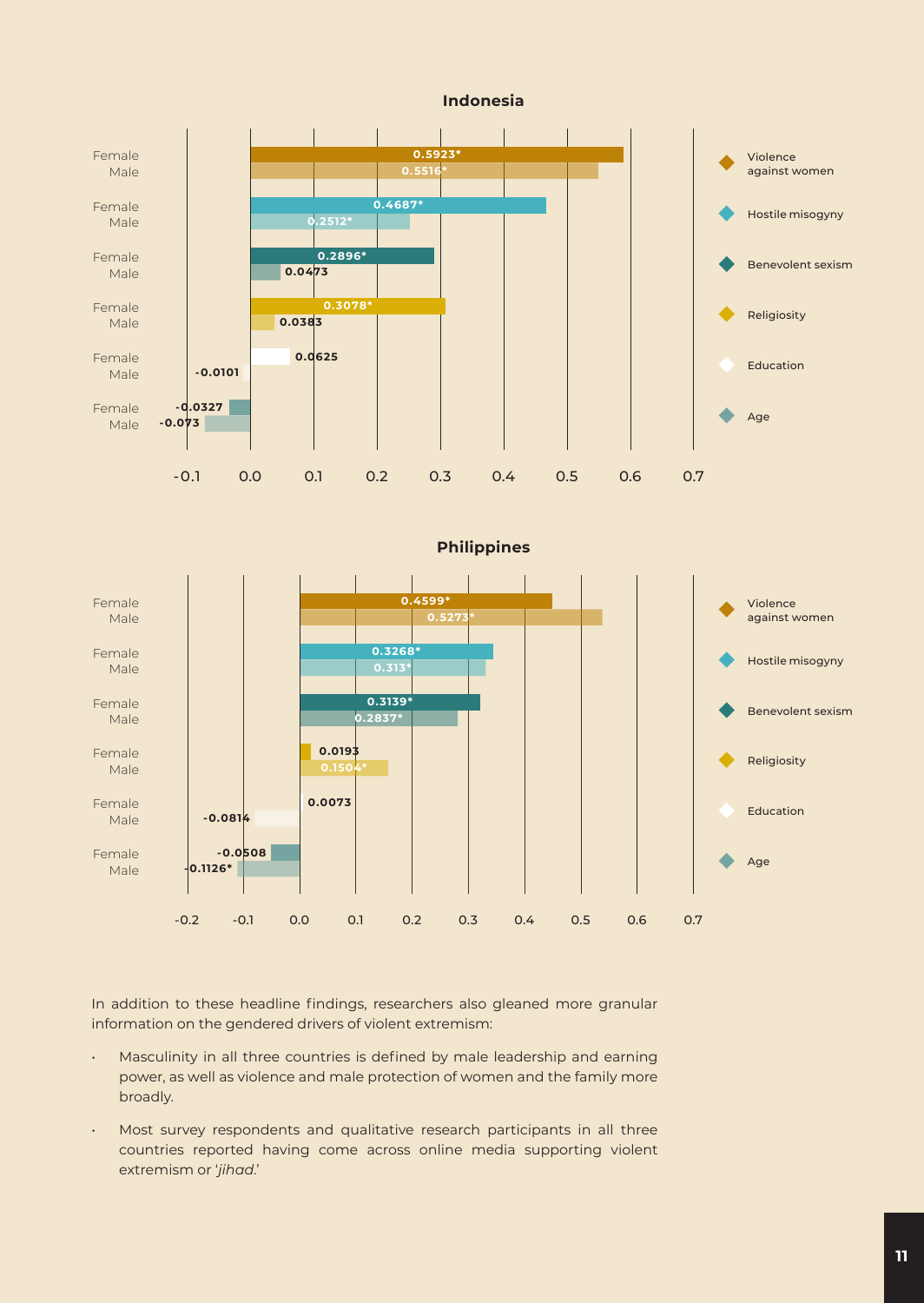

**Philippines**



In addition to these headline findings, researchers also gleaned more granular information on the gendered drivers of violent extremism:

- Masculinity in all three countries is defined by male leadership and earning power, as well as violence and male protection of women and the family more broadly.
- Most survey respondents and qualitative research participants in all three countries reported having come across online media supporting violent extremism or '*jihad*.'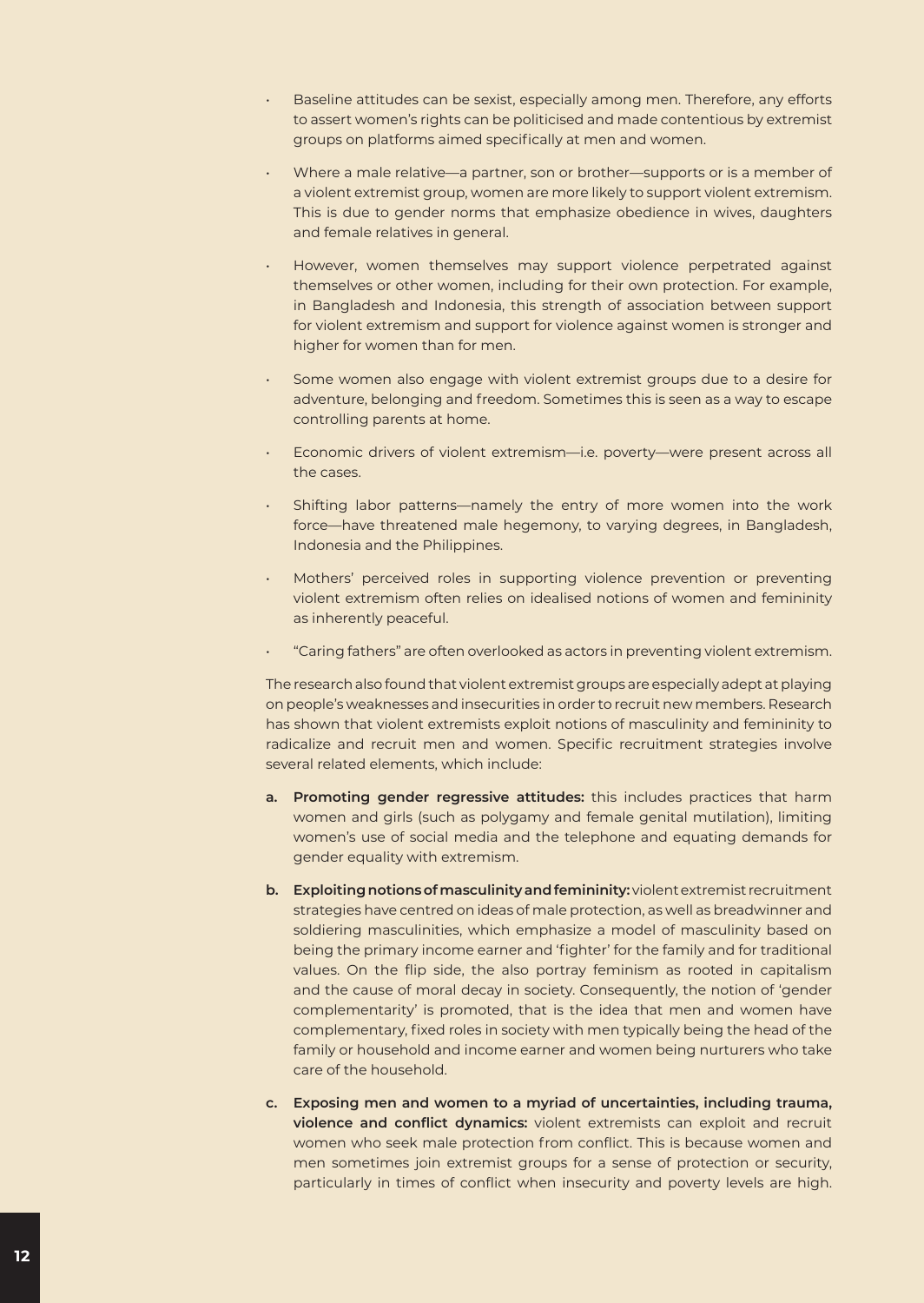- Baseline attitudes can be sexist, especially among men. Therefore, any efforts to assert women's rights can be politicised and made contentious by extremist groups on platforms aimed specifically at men and women.
- Where a male relative—a partner, son or brother—supports or is a member of a violent extremist group, women are more likely to support violent extremism. This is due to gender norms that emphasize obedience in wives, daughters and female relatives in general.
- However, women themselves may support violence perpetrated against themselves or other women, including for their own protection. For example, in Bangladesh and Indonesia, this strength of association between support for violent extremism and support for violence against women is stronger and higher for women than for men.
- Some women also engage with violent extremist groups due to a desire for adventure, belonging and freedom. Sometimes this is seen as a way to escape controlling parents at home.
- Economic drivers of violent extremism—i.e. poverty—were present across all the cases.
- Shifting labor patterns—namely the entry of more women into the work force—have threatened male hegemony, to varying degrees, in Bangladesh, Indonesia and the Philippines.
- Mothers' perceived roles in supporting violence prevention or preventing violent extremism often relies on idealised notions of women and femininity as inherently peaceful.
- "Caring fathers" are often overlooked as actors in preventing violent extremism.

The research also found that violent extremist groups are especially adept at playing on people's weaknesses and insecurities in order to recruit new members. Research has shown that violent extremists exploit notions of masculinity and femininity to radicalize and recruit men and women. Specific recruitment strategies involve several related elements, which include:

- **a. Promoting gender regressive attitudes:** this includes practices that harm women and girls (such as polygamy and female genital mutilation), limiting women's use of social media and the telephone and equating demands for gender equality with extremism.
- **b. Exploiting notions of masculinity and femininity:** violent extremist recruitment strategies have centred on ideas of male protection, as well as breadwinner and soldiering masculinities, which emphasize a model of masculinity based on being the primary income earner and 'fighter' for the family and for traditional values. On the flip side, the also portray feminism as rooted in capitalism and the cause of moral decay in society. Consequently, the notion of 'gender complementarity' is promoted, that is the idea that men and women have complementary, fixed roles in society with men typically being the head of the family or household and income earner and women being nurturers who take care of the household.
- **c. Exposing men and women to a myriad of uncertainties, including trauma, violence and conflict dynamics:** violent extremists can exploit and recruit women who seek male protection from conflict. This is because women and men sometimes join extremist groups for a sense of protection or security, particularly in times of conflict when insecurity and poverty levels are high.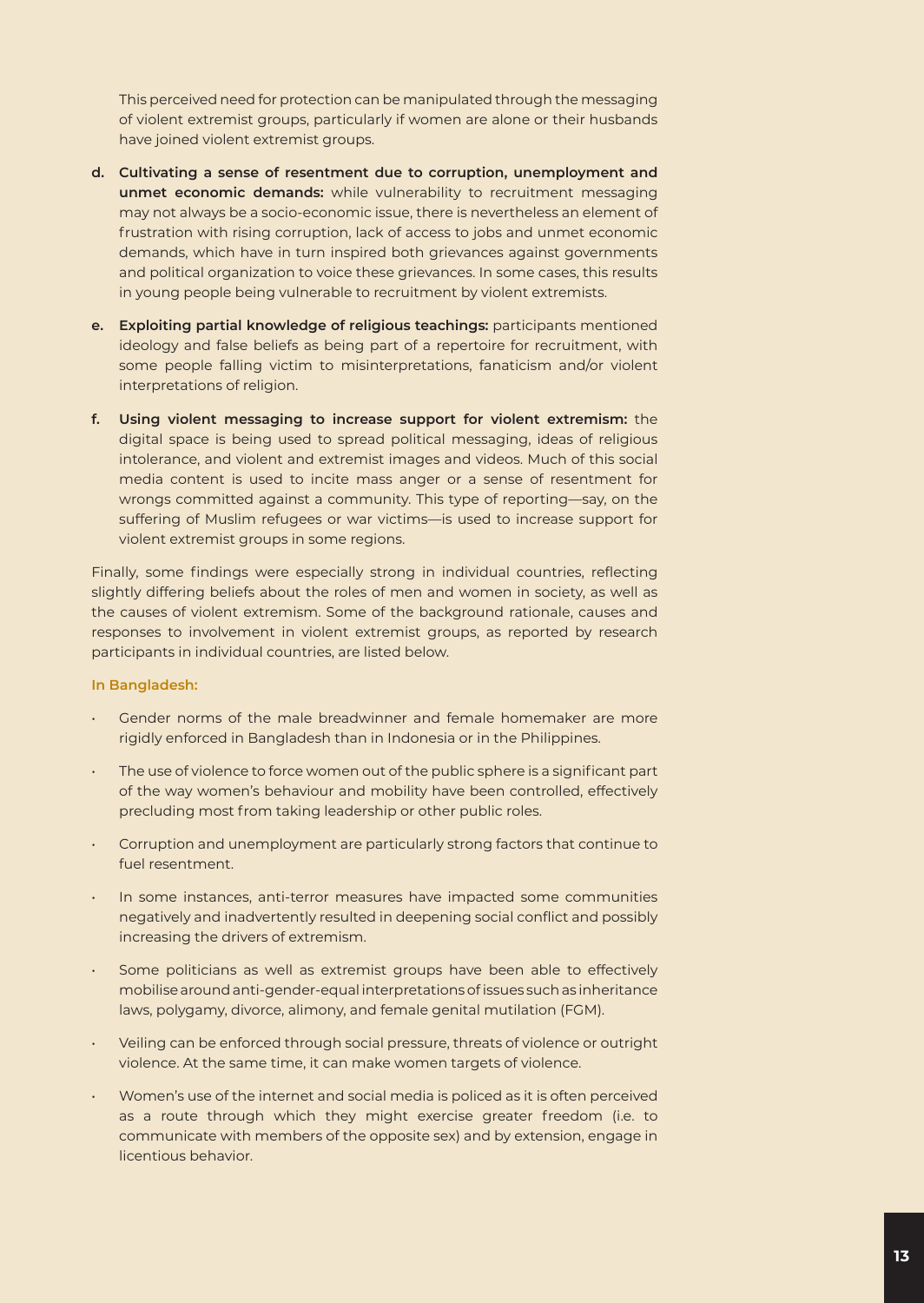This perceived need for protection can be manipulated through the messaging of violent extremist groups, particularly if women are alone or their husbands have joined violent extremist groups.

- **d. Cultivating a sense of resentment due to corruption, unemployment and unmet economic demands:** while vulnerability to recruitment messaging may not always be a socio-economic issue, there is nevertheless an element of frustration with rising corruption, lack of access to jobs and unmet economic demands, which have in turn inspired both grievances against governments and political organization to voice these grievances. In some cases, this results in young people being vulnerable to recruitment by violent extremists.
- **e. Exploiting partial knowledge of religious teachings:** participants mentioned ideology and false beliefs as being part of a repertoire for recruitment, with some people falling victim to misinterpretations, fanaticism and/or violent interpretations of religion.
- **f. Using violent messaging to increase support for violent extremism:** the digital space is being used to spread political messaging, ideas of religious intolerance, and violent and extremist images and videos. Much of this social media content is used to incite mass anger or a sense of resentment for wrongs committed against a community. This type of reporting—say, on the suffering of Muslim refugees or war victims—is used to increase support for violent extremist groups in some regions.

Finally, some findings were especially strong in individual countries, reflecting slightly differing beliefs about the roles of men and women in society, as well as the causes of violent extremism. Some of the background rationale, causes and responses to involvement in violent extremist groups, as reported by research participants in individual countries, are listed below.

#### **In Bangladesh:**

- Gender norms of the male breadwinner and female homemaker are more rigidly enforced in Bangladesh than in Indonesia or in the Philippines.
- The use of violence to force women out of the public sphere is a significant part of the way women's behaviour and mobility have been controlled, effectively precluding most from taking leadership or other public roles.
- Corruption and unemployment are particularly strong factors that continue to fuel resentment.
- In some instances, anti-terror measures have impacted some communities negatively and inadvertently resulted in deepening social conflict and possibly increasing the drivers of extremism.
- Some politicians as well as extremist groups have been able to effectively mobilise around anti-gender-equal interpretations of issues such as inheritance laws, polygamy, divorce, alimony, and female genital mutilation (FGM).
- Veiling can be enforced through social pressure, threats of violence or outright violence. At the same time, it can make women targets of violence.
- Women's use of the internet and social media is policed as it is often perceived as a route through which they might exercise greater freedom (i.e. to communicate with members of the opposite sex) and by extension, engage in licentious behavior.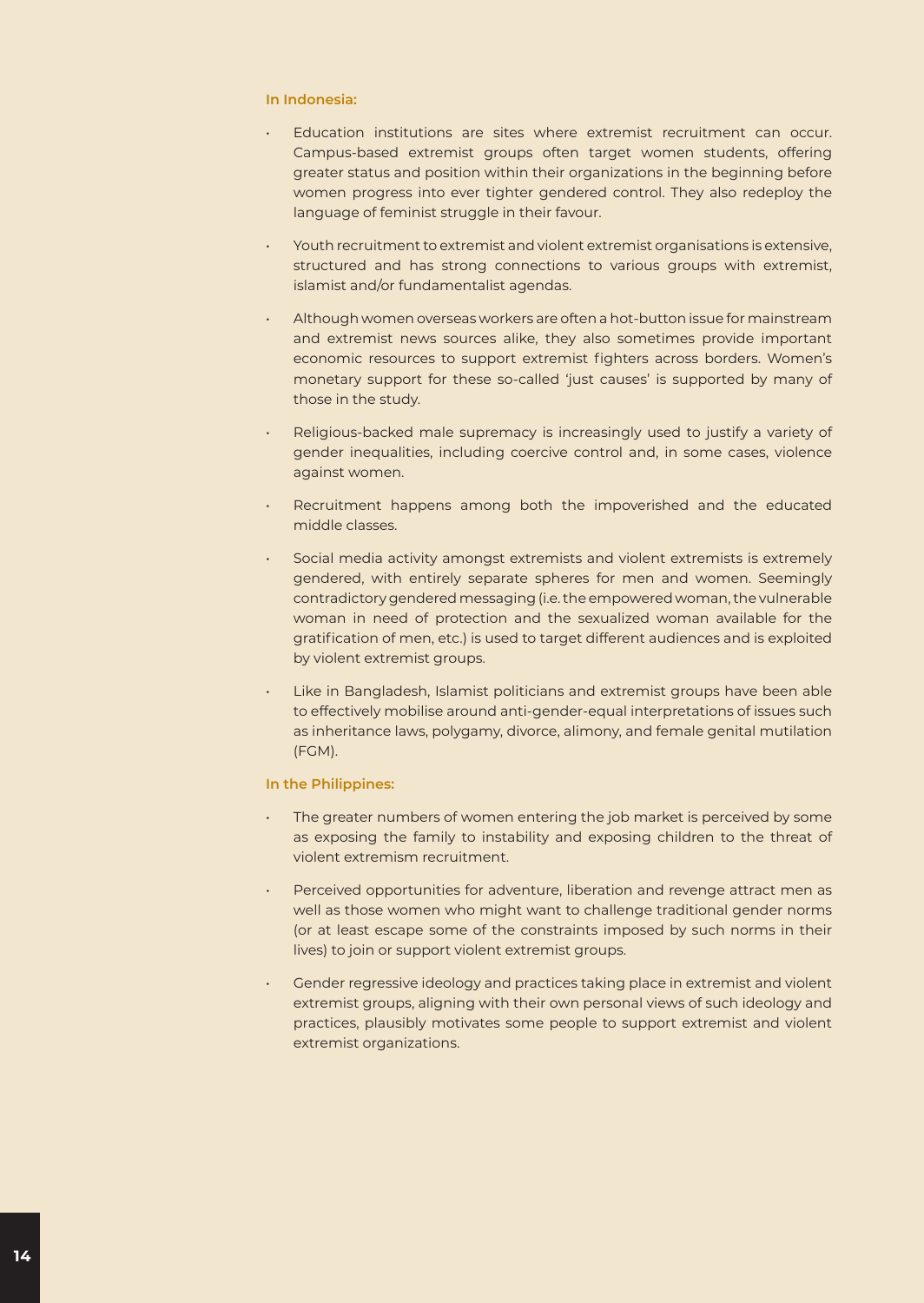#### **In Indonesia:**

- Education institutions are sites where extremist recruitment can occur. Campus-based extremist groups often target women students, offering greater status and position within their organizations in the beginning before women progress into ever tighter gendered control. They also redeploy the language of feminist struggle in their favour.
- Youth recruitment to extremist and violent extremist organisations is extensive, structured and has strong connections to various groups with extremist, islamist and/or fundamentalist agendas.
- Although women overseas workers are often a hot-button issue for mainstream and extremist news sources alike, they also sometimes provide important economic resources to support extremist fighters across borders. Women's monetary support for these so-called 'just causes' is supported by many of those in the study.
- Religious-backed male supremacy is increasingly used to justify a variety of gender inequalities, including coercive control and, in some cases, violence against women.
- Recruitment happens among both the impoverished and the educated middle classes.
- Social media activity amongst extremists and violent extremists is extremely gendered, with entirely separate spheres for men and women. Seemingly contradictory gendered messaging (i.e. the empowered woman, the vulnerable woman in need of protection and the sexualized woman available for the gratification of men, etc.) is used to target different audiences and is exploited by violent extremist groups.
- Like in Bangladesh, Islamist politicians and extremist groups have been able to effectively mobilise around anti-gender-equal interpretations of issues such as inheritance laws, polygamy, divorce, alimony, and female genital mutilation (FGM).

#### **In the Philippines:**

- The greater numbers of women entering the job market is perceived by some as exposing the family to instability and exposing children to the threat of violent extremism recruitment.
- Perceived opportunities for adventure, liberation and revenge attract men as well as those women who might want to challenge traditional gender norms (or at least escape some of the constraints imposed by such norms in their lives) to join or support violent extremist groups.
- Gender regressive ideology and practices taking place in extremist and violent extremist groups, aligning with their own personal views of such ideology and practices, plausibly motivates some people to support extremist and violent extremist organizations.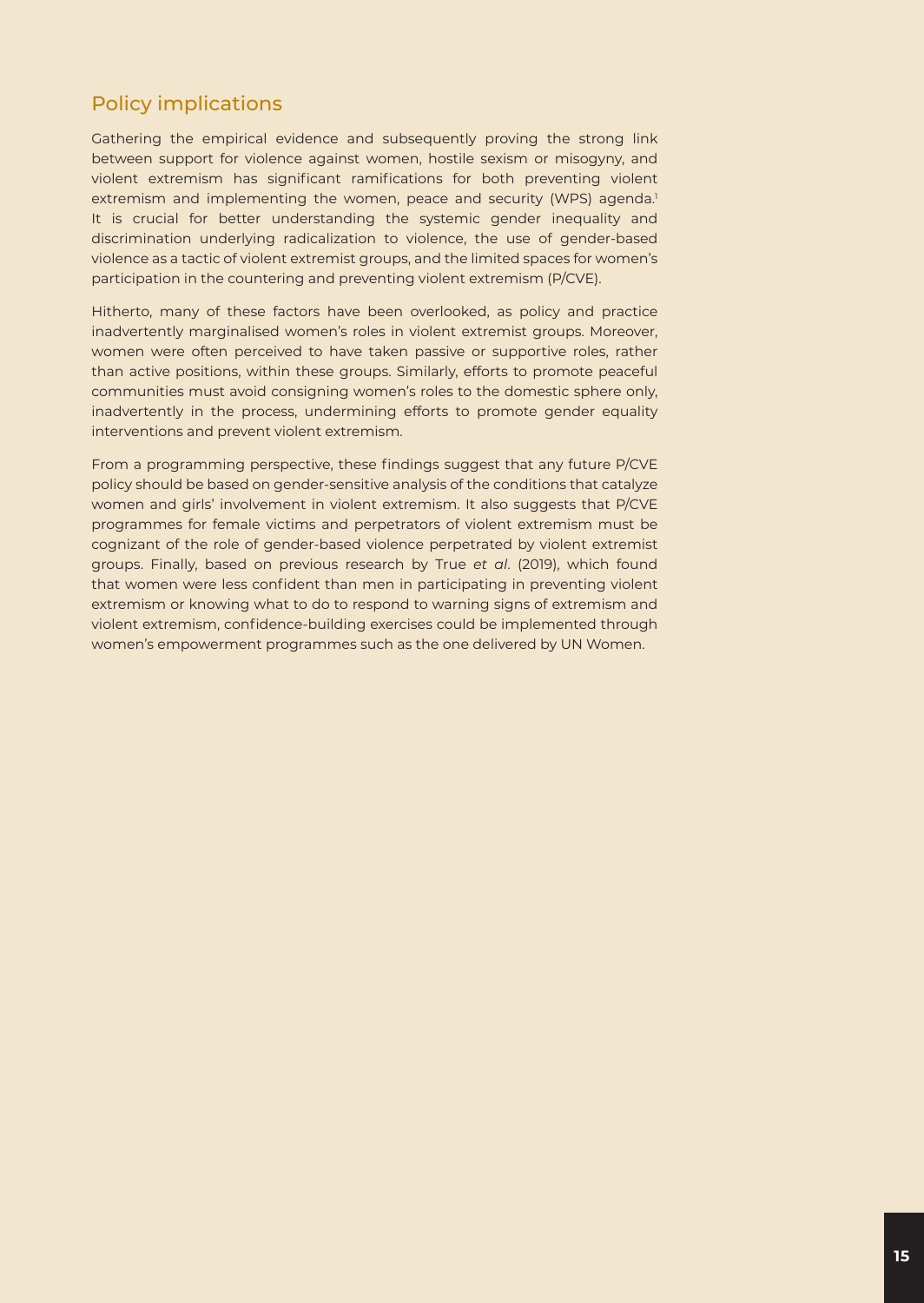#### Policy implications

Gathering the empirical evidence and subsequently proving the strong link between support for violence against women, hostile sexism or misogyny, and violent extremism has significant ramifications for both preventing violent extremism and implementing the women, peace and security (WPS) agenda.<sup>1</sup> It is crucial for better understanding the systemic gender inequality and discrimination underlying radicalization to violence, the use of gender-based violence as a tactic of violent extremist groups, and the limited spaces for women's participation in the countering and preventing violent extremism (P/CVE).

Hitherto, many of these factors have been overlooked, as policy and practice inadvertently marginalised women's roles in violent extremist groups. Moreover, women were often perceived to have taken passive or supportive roles, rather than active positions, within these groups. Similarly, efforts to promote peaceful communities must avoid consigning women's roles to the domestic sphere only, inadvertently in the process, undermining efforts to promote gender equality interventions and prevent violent extremism.

From a programming perspective, these findings suggest that any future P/CVE policy should be based on gender-sensitive analysis of the conditions that catalyze women and girls' involvement in violent extremism. It also suggests that P/CVE programmes for female victims and perpetrators of violent extremism must be cognizant of the role of gender-based violence perpetrated by violent extremist groups. Finally, based on previous research by True *et al*. (2019), which found that women were less confident than men in participating in preventing violent extremism or knowing what to do to respond to warning signs of extremism and violent extremism, confidence-building exercises could be implemented through women's empowerment programmes such as the one delivered by UN Women.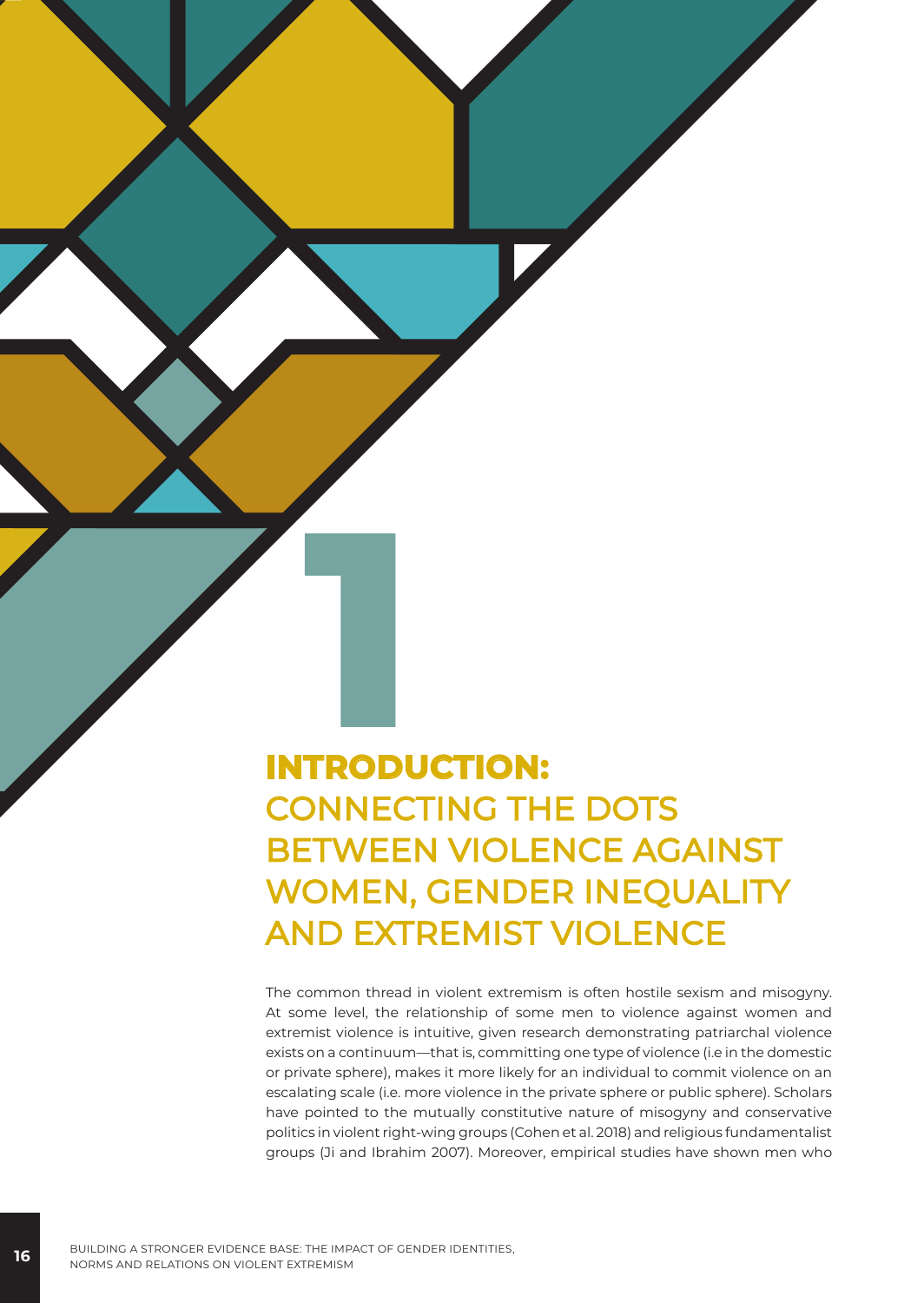# **INTRODUCTION:** CONNECTING THE DOTS BETWEEN VIOLENCE AGAINST WOMEN, GENDER INEQUALITY AND EXTREMIST VIOLENCE

The common thread in violent extremism is often hostile sexism and misogyny. At some level, the relationship of some men to violence against women and extremist violence is intuitive, given research demonstrating patriarchal violence exists on a continuum—that is, committing one type of violence (i.e in the domestic or private sphere), makes it more likely for an individual to commit violence on an escalating scale (i.e. more violence in the private sphere or public sphere). Scholars have pointed to the mutually constitutive nature of misogyny and conservative politics in violent right-wing groups (Cohen et al. 2018) and religious fundamentalist groups (Ji and Ibrahim 2007). Moreover, empirical studies have shown men who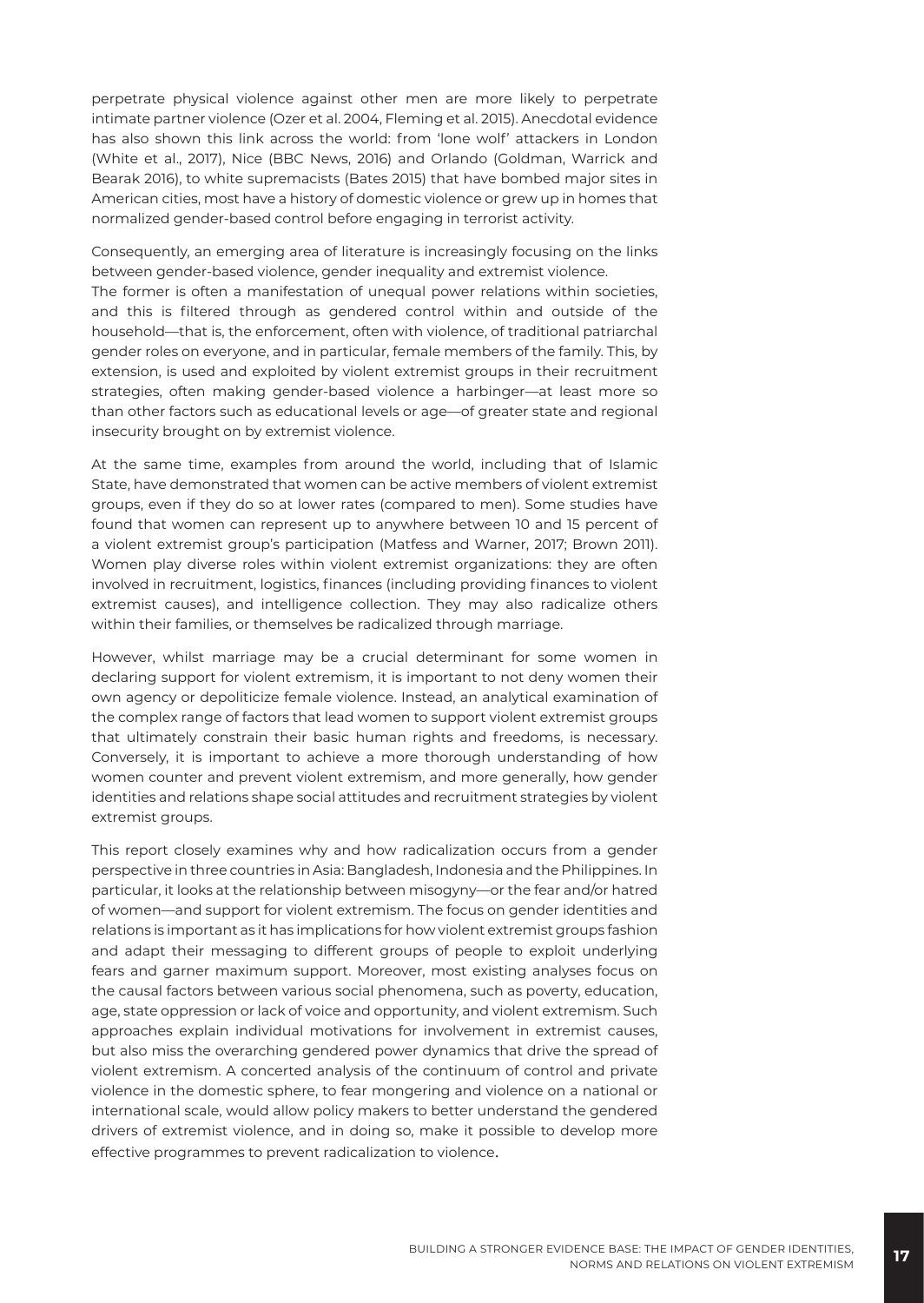perpetrate physical violence against other men are more likely to perpetrate intimate partner violence (Ozer et al. 2004, Fleming et al. 2015). Anecdotal evidence has also shown this link across the world: from 'lone wolf' attackers in London (White et al., 2017), Nice (BBC News, 2016) and Orlando (Goldman, Warrick and Bearak 2016), to white supremacists (Bates 2015) that have bombed major sites in American cities, most have a history of domestic violence or grew up in homes that normalized gender-based control before engaging in terrorist activity.

Consequently, an emerging area of literature is increasingly focusing on the links between gender-based violence, gender inequality and extremist violence. The former is often a manifestation of unequal power relations within societies, and this is filtered through as gendered control within and outside of the household—that is, the enforcement, often with violence, of traditional patriarchal gender roles on everyone, and in particular, female members of the family. This, by extension, is used and exploited by violent extremist groups in their recruitment strategies, often making gender-based violence a harbinger—at least more so than other factors such as educational levels or age—of greater state and regional insecurity brought on by extremist violence.

At the same time, examples from around the world, including that of Islamic State, have demonstrated that women can be active members of violent extremist groups, even if they do so at lower rates (compared to men). Some studies have found that women can represent up to anywhere between 10 and 15 percent of a violent extremist group's participation (Matfess and Warner, 2017; Brown 2011). Women play diverse roles within violent extremist organizations: they are often involved in recruitment, logistics, finances (including providing finances to violent extremist causes), and intelligence collection. They may also radicalize others within their families, or themselves be radicalized through marriage.

However, whilst marriage may be a crucial determinant for some women in declaring support for violent extremism, it is important to not deny women their own agency or depoliticize female violence. Instead, an analytical examination of the complex range of factors that lead women to support violent extremist groups that ultimately constrain their basic human rights and freedoms, is necessary. Conversely, it is important to achieve a more thorough understanding of how women counter and prevent violent extremism, and more generally, how gender identities and relations shape social attitudes and recruitment strategies by violent extremist groups.

This report closely examines why and how radicalization occurs from a gender perspective in three countries in Asia: Bangladesh, Indonesia and the Philippines. In particular, it looks at the relationship between misogyny—or the fear and/or hatred of women—and support for violent extremism. The focus on gender identities and relations is important as it has implications for how violent extremist groups fashion and adapt their messaging to different groups of people to exploit underlying fears and garner maximum support. Moreover, most existing analyses focus on the causal factors between various social phenomena, such as poverty, education, age, state oppression or lack of voice and opportunity, and violent extremism. Such approaches explain individual motivations for involvement in extremist causes, but also miss the overarching gendered power dynamics that drive the spread of violent extremism. A concerted analysis of the continuum of control and private violence in the domestic sphere, to fear mongering and violence on a national or international scale, would allow policy makers to better understand the gendered drivers of extremist violence, and in doing so, make it possible to develop more effective programmes to prevent radicalization to violence.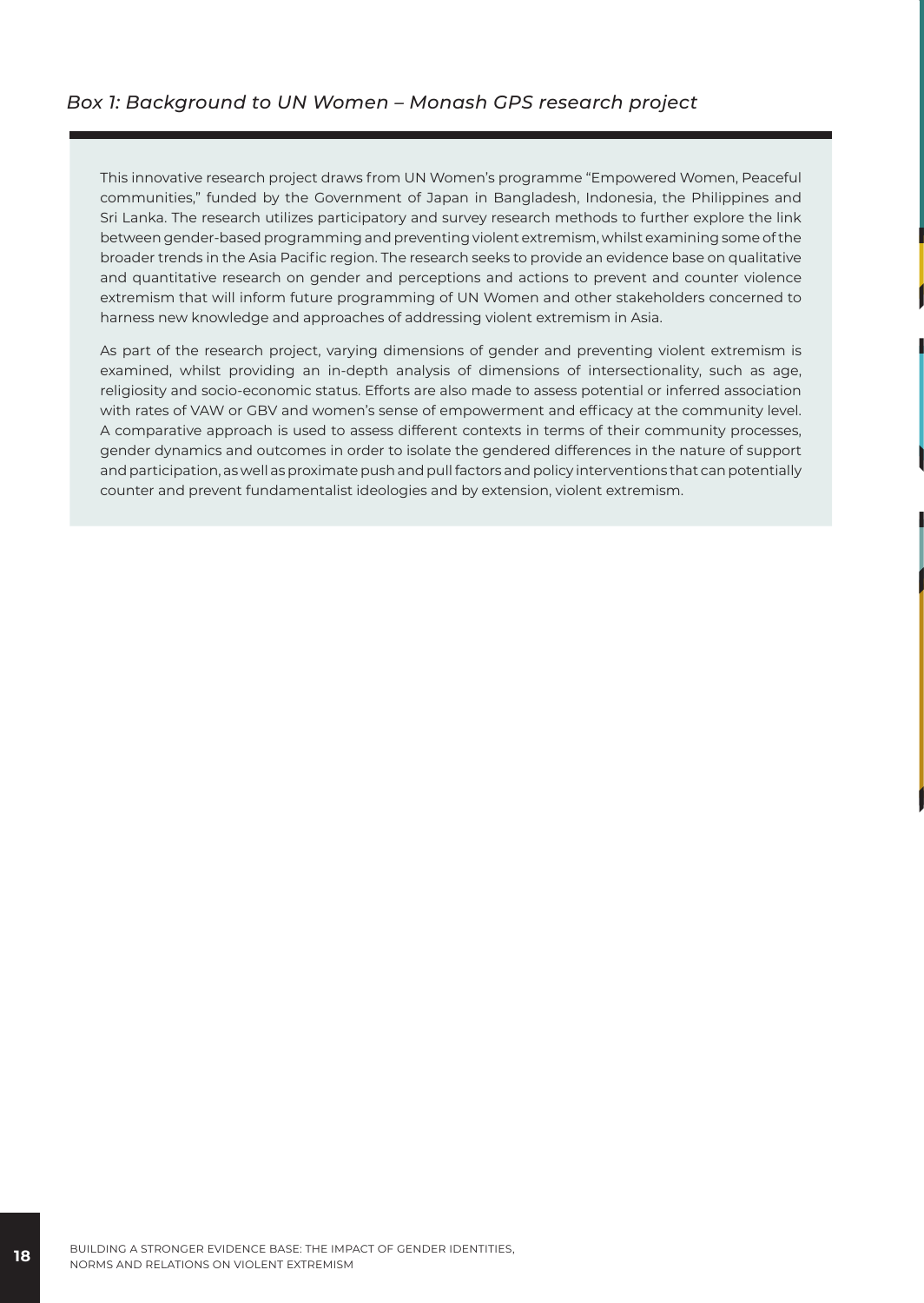This innovative research project draws from UN Women's programme "Empowered Women, Peaceful communities," funded by the Government of Japan in Bangladesh, Indonesia, the Philippines and Sri Lanka. The research utilizes participatory and survey research methods to further explore the link between gender-based programming and preventing violent extremism, whilst examining some of the broader trends in the Asia Pacific region. The research seeks to provide an evidence base on qualitative and quantitative research on gender and perceptions and actions to prevent and counter violence extremism that will inform future programming of UN Women and other stakeholders concerned to harness new knowledge and approaches of addressing violent extremism in Asia.

As part of the research project, varying dimensions of gender and preventing violent extremism is examined, whilst providing an in-depth analysis of dimensions of intersectionality, such as age, religiosity and socio-economic status. Efforts are also made to assess potential or inferred association with rates of VAW or GBV and women's sense of empowerment and efficacy at the community level. A comparative approach is used to assess different contexts in terms of their community processes, gender dynamics and outcomes in order to isolate the gendered differences in the nature of support and participation, as well as proximate push and pull factors and policy interventions that can potentially counter and prevent fundamentalist ideologies and by extension, violent extremism.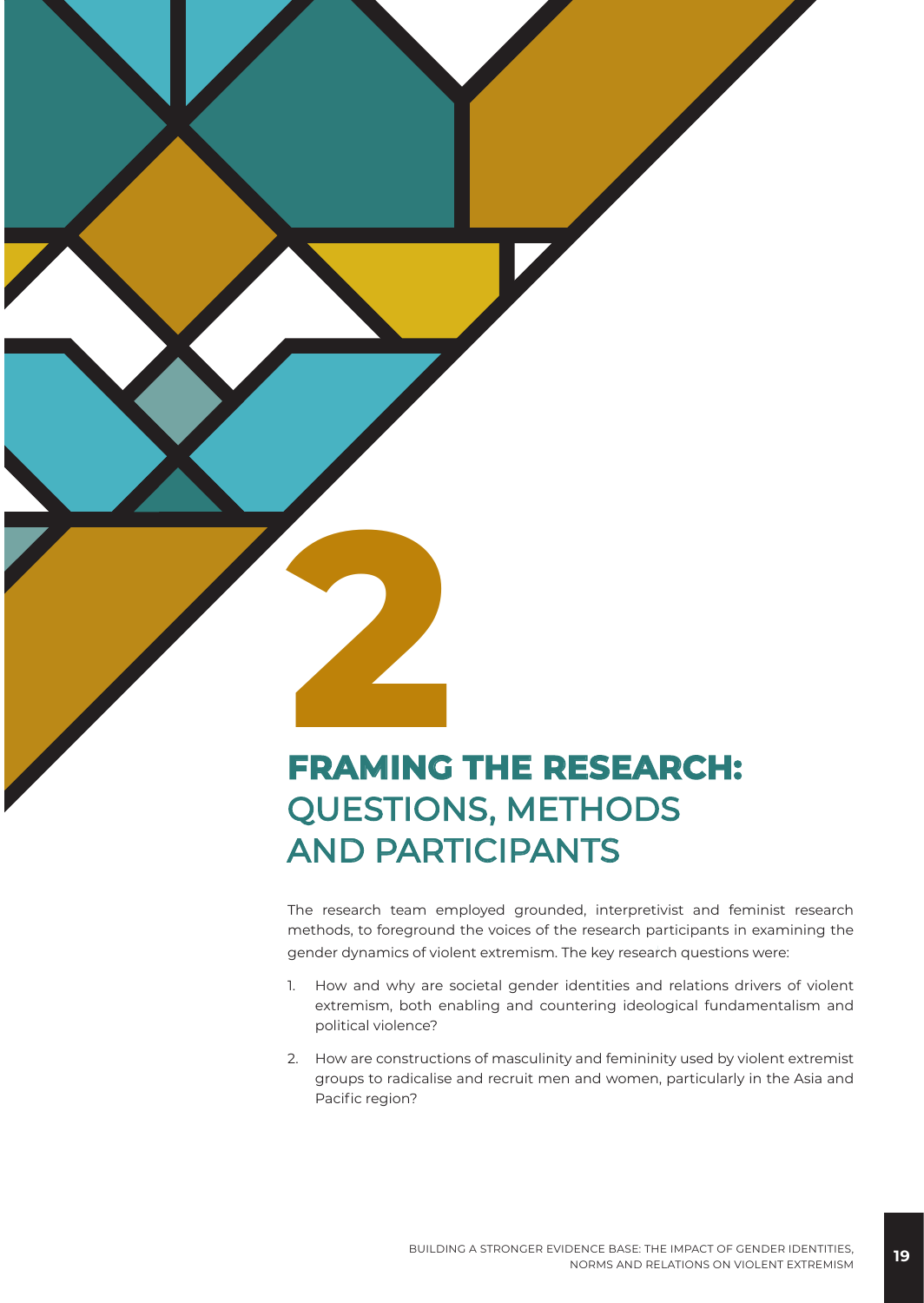# **2 FRAMING THE RESEARCH:** QUESTIONS, METHODS AND PARTICIPANTS

The research team employed grounded, interpretivist and feminist research methods, to foreground the voices of the research participants in examining the gender dynamics of violent extremism. The key research questions were:

- 1. How and why are societal gender identities and relations drivers of violent extremism, both enabling and countering ideological fundamentalism and political violence?
- 2. How are constructions of masculinity and femininity used by violent extremist groups to radicalise and recruit men and women, particularly in the Asia and Pacific region?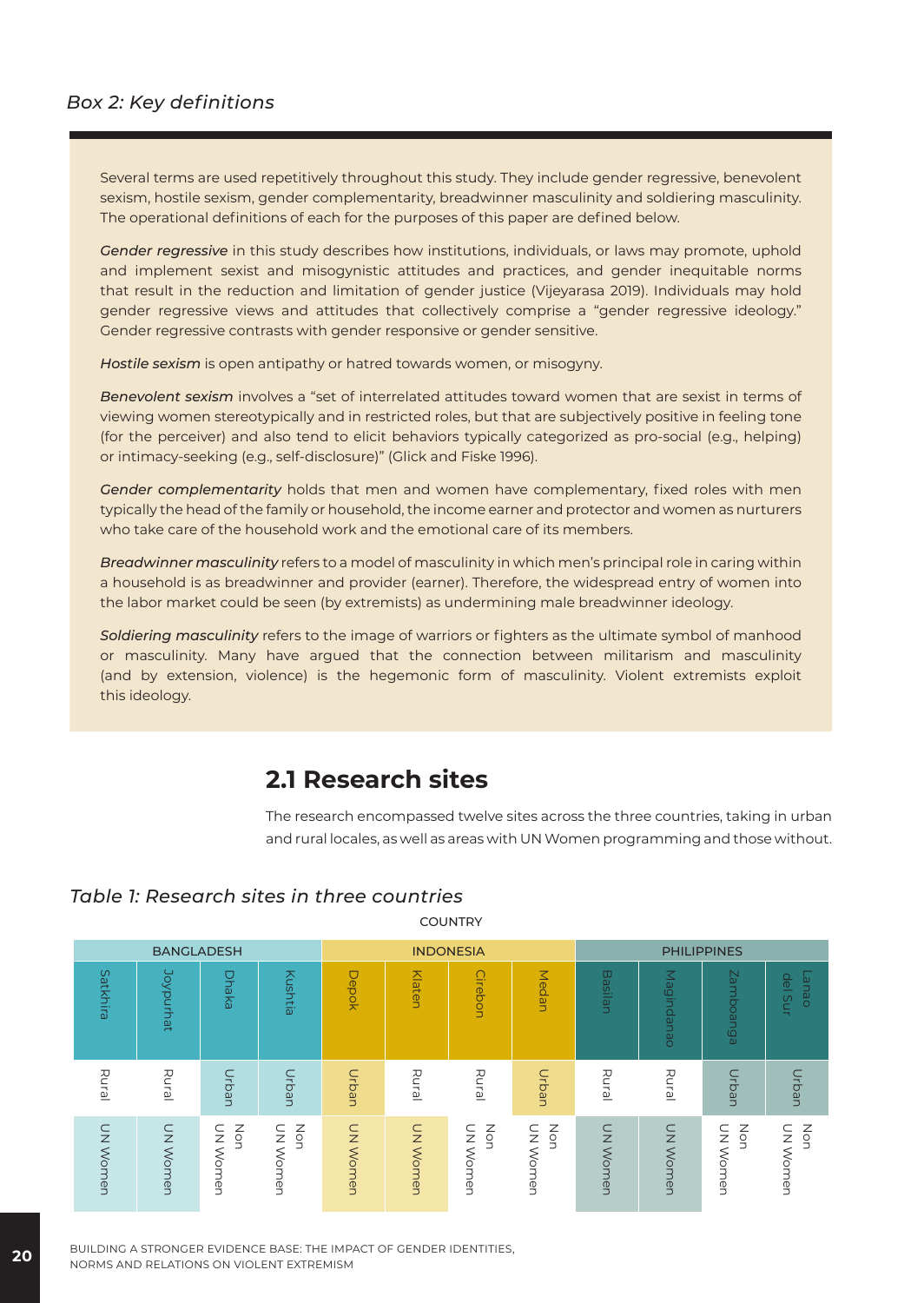#### *Box 2: Key definitions*

Several terms are used repetitively throughout this study. They include gender regressive, benevolent sexism, hostile sexism, gender complementarity, breadwinner masculinity and soldiering masculinity. The operational definitions of each for the purposes of this paper are defined below.

*Gender regressive* in this study describes how institutions, individuals, or laws may promote, uphold and implement sexist and misogynistic attitudes and practices, and gender inequitable norms that result in the reduction and limitation of gender justice (Vijeyarasa 2019). Individuals may hold gender regressive views and attitudes that collectively comprise a "gender regressive ideology." Gender regressive contrasts with gender responsive or gender sensitive.

*Hostile sexism* is open antipathy or hatred towards women, or misogyny.

*Benevolent sexism* involves a "set of interrelated attitudes toward women that are sexist in terms of viewing women stereotypically and in restricted roles, but that are subjectively positive in feeling tone (for the perceiver) and also tend to elicit behaviors typically categorized as pro-social (e.g., helping) or intimacy-seeking (e.g., self-disclosure)" (Glick and Fiske 1996).

*Gender complementarity* holds that men and women have complementary, fixed roles with men typically the head of the family or household, the income earner and protector and women as nurturers who take care of the household work and the emotional care of its members.

*Breadwinner masculinity* refers to a model of masculinity in which men's principal role in caring within a household is as breadwinner and provider (earner). Therefore, the widespread entry of women into the labor market could be seen (by extremists) as undermining male breadwinner ideology.

*Soldiering masculinity* refers to the image of warriors or fighters as the ultimate symbol of manhood or masculinity. Many have argued that the connection between militarism and masculinity (and by extension, violence) is the hegemonic form of masculinity. Violent extremists exploit this ideology.

#### **2.1 Research sites**

The research encompassed twelve sites across the three countries, taking in urban and rural locales, as well as areas with UN Women programming and those without.

#### *Table 1: Research sites in three countries*



**COUNTRY** 

**20** BUILDING A STRONGER EVIDENCE BASE: THE IMPACT OF GENDER IDENTITIES, NORMS AND RELATIONS ON VIOLENT EXTREMISM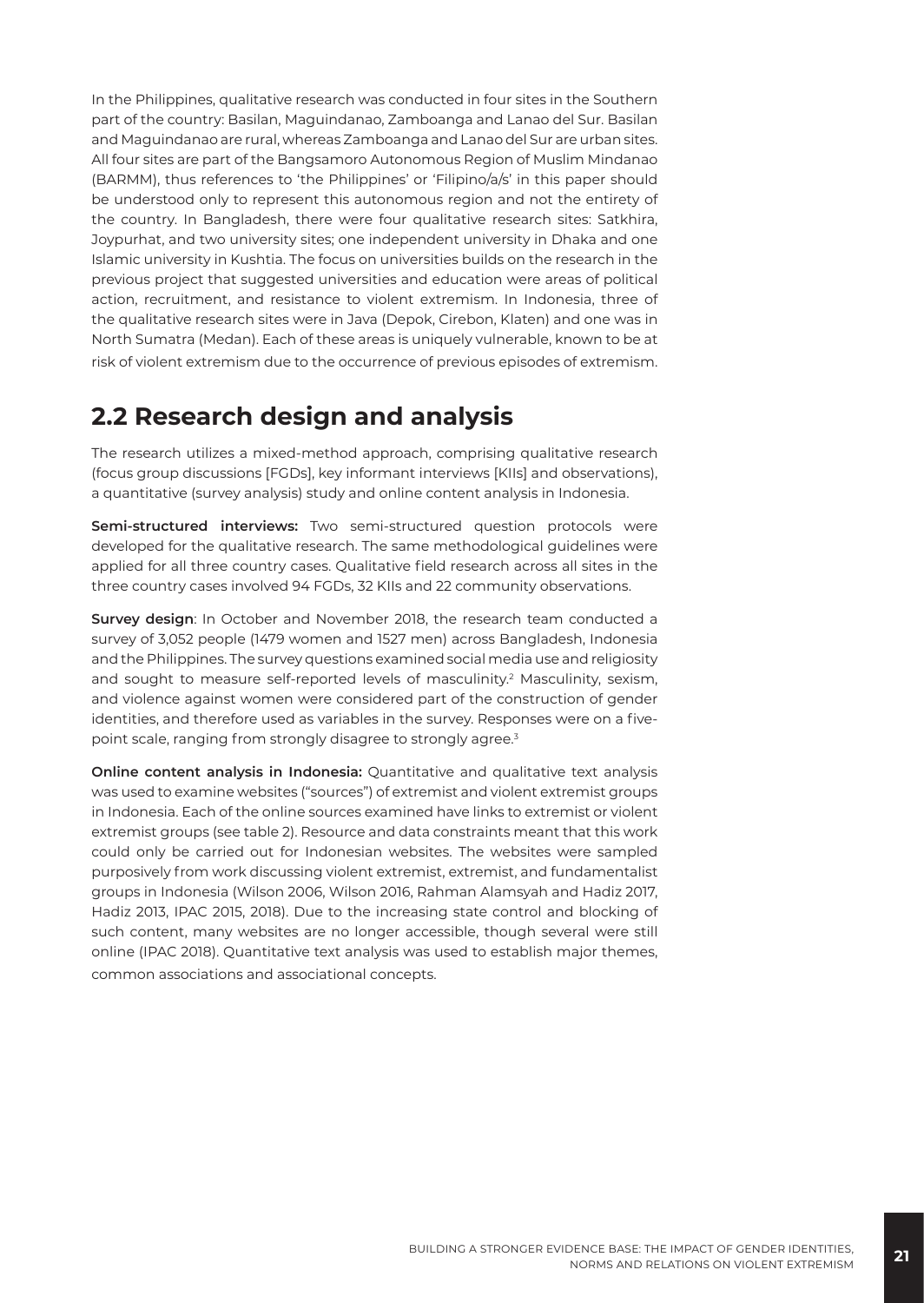In the Philippines, qualitative research was conducted in four sites in the Southern part of the country: Basilan, Maguindanao, Zamboanga and Lanao del Sur. Basilan and Maguindanao are rural, whereas Zamboanga and Lanao del Sur are urban sites. All four sites are part of the Bangsamoro Autonomous Region of Muslim Mindanao (BARMM), thus references to 'the Philippines' or 'Filipino/a/s' in this paper should be understood only to represent this autonomous region and not the entirety of the country. In Bangladesh, there were four qualitative research sites: Satkhira, Joypurhat, and two university sites; one independent university in Dhaka and one Islamic university in Kushtia. The focus on universities builds on the research in the previous project that suggested universities and education were areas of political action, recruitment, and resistance to violent extremism. In Indonesia, three of the qualitative research sites were in Java (Depok, Cirebon, Klaten) and one was in North Sumatra (Medan). Each of these areas is uniquely vulnerable, known to be at risk of violent extremism due to the occurrence of previous episodes of extremism.

#### **2.2 Research design and analysis**

The research utilizes a mixed-method approach, comprising qualitative research (focus group discussions [FGDs], key informant interviews [KIIs] and observations), a quantitative (survey analysis) study and online content analysis in Indonesia.

**Semi-structured interviews:** Two semi-structured question protocols were developed for the qualitative research. The same methodological guidelines were applied for all three country cases. Qualitative field research across all sites in the three country cases involved 94 FGDs, 32 KIIs and 22 community observations.

**Survey design**: In October and November 2018, the research team conducted a survey of 3,052 people (1479 women and 1527 men) across Bangladesh, Indonesia and the Philippines. The survey questions examined social media use and religiosity and sought to measure self-reported levels of masculinity.<sup>2</sup> Masculinity, sexism, and violence against women were considered part of the construction of gender identities, and therefore used as variables in the survey. Responses were on a fivepoint scale, ranging from strongly disagree to strongly agree.<sup>3</sup>

**Online content analysis in Indonesia:** Quantitative and qualitative text analysis was used to examine websites ("sources") of extremist and violent extremist groups in Indonesia. Each of the online sources examined have links to extremist or violent extremist groups (see table 2). Resource and data constraints meant that this work could only be carried out for Indonesian websites. The websites were sampled purposively from work discussing violent extremist, extremist, and fundamentalist groups in Indonesia (Wilson 2006, Wilson 2016, Rahman Alamsyah and Hadiz 2017, Hadiz 2013, IPAC 2015, 2018). Due to the increasing state control and blocking of such content, many websites are no longer accessible, though several were still online (IPAC 2018). Quantitative text analysis was used to establish major themes, common associations and associational concepts.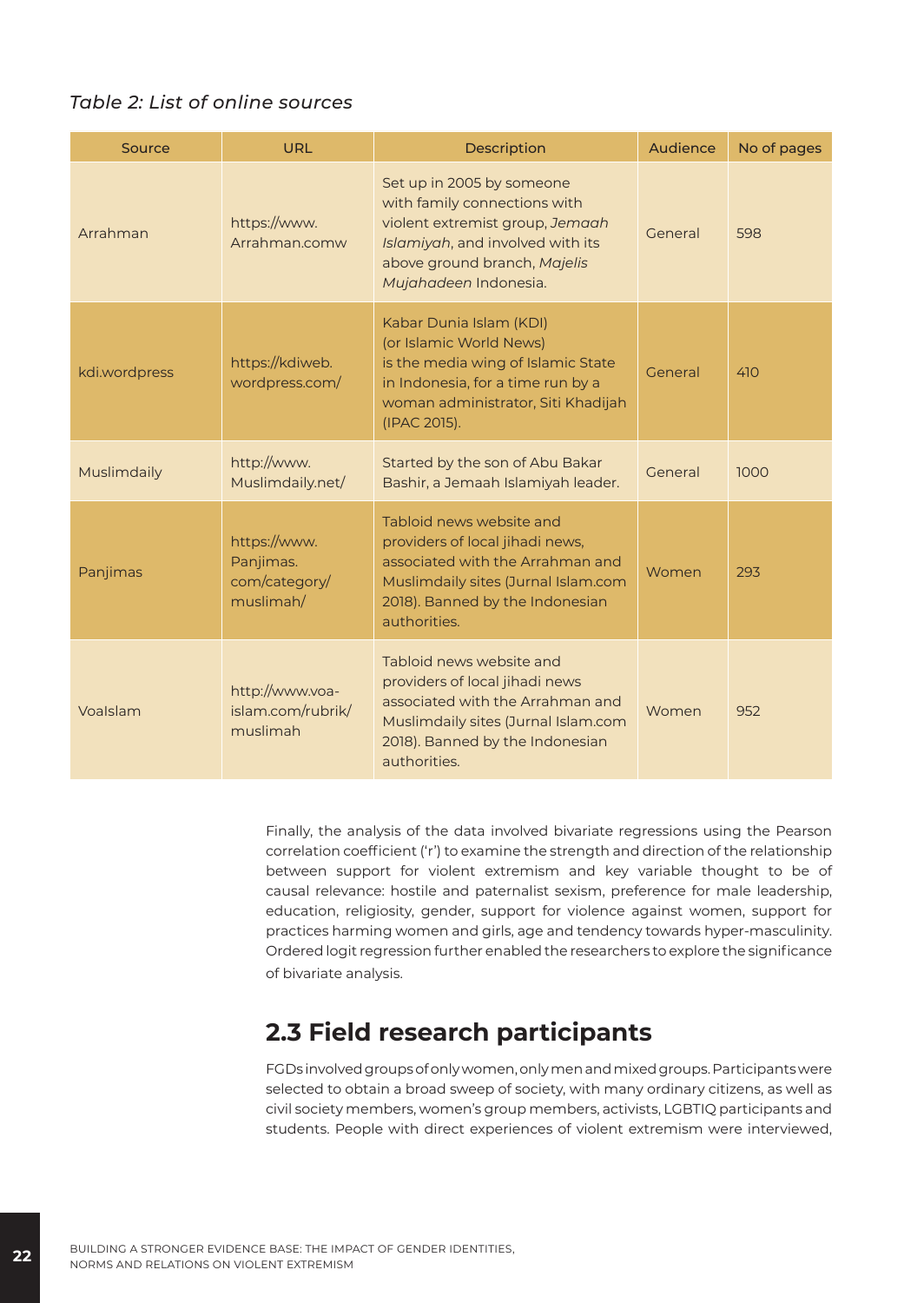#### *Table 2: List of online sources*

| Source        | <b>URL</b>                                              | Description                                                                                                                                                                               | Audience | No of pages |
|---------------|---------------------------------------------------------|-------------------------------------------------------------------------------------------------------------------------------------------------------------------------------------------|----------|-------------|
| Arrahman      | https://www.<br>Arrahman.comw                           | Set up in 2005 by someone<br>with family connections with<br>violent extremist group, Jemaah<br>Islamiyah, and involved with its<br>above ground branch, Majelis<br>Mujahadeen Indonesia. | General  | 598         |
| kdi.wordpress | https://kdiweb.<br>wordpress.com/                       | Kabar Dunia Islam (KDI)<br>(or Islamic World News)<br>is the media wing of Islamic State<br>in Indonesia, for a time run by a<br>woman administrator, Siti Khadijah<br>(IPAC 2015).       | General  | 410         |
| Muslimdaily   | http://www.<br>Muslimdaily.net/                         | Started by the son of Abu Bakar<br>Bashir, a Jemaah Islamiyah leader.                                                                                                                     | General  | 1000        |
| Panjimas      | https://www.<br>Panjimas.<br>com/category/<br>muslimah/ | Tabloid news website and<br>providers of local jihadi news,<br>associated with the Arrahman and<br>Muslimdaily sites (Jurnal Islam.com<br>2018). Banned by the Indonesian<br>authorities. | Women    | 293         |
| Voalslam      | http://www.voa-<br>islam.com/rubrik/<br>muslimah        | Tabloid news website and<br>providers of local jihadi news<br>associated with the Arrahman and<br>Muslimdaily sites (Jurnal Islam.com<br>2018). Banned by the Indonesian<br>authorities.  | Women    | 952         |

Finally, the analysis of the data involved bivariate regressions using the Pearson correlation coefficient ('r') to examine the strength and direction of the relationship between support for violent extremism and key variable thought to be of causal relevance: hostile and paternalist sexism, preference for male leadership, education, religiosity, gender, support for violence against women, support for practices harming women and girls, age and tendency towards hyper-masculinity. Ordered logit regression further enabled the researchers to explore the significance of bivariate analysis.

#### **2.3 Field research participants**

FGDs involved groups of only women, only men and mixed groups. Participants were selected to obtain a broad sweep of society, with many ordinary citizens, as well as civil society members, women's group members, activists, LGBTIQ participants and students. People with direct experiences of violent extremism were interviewed,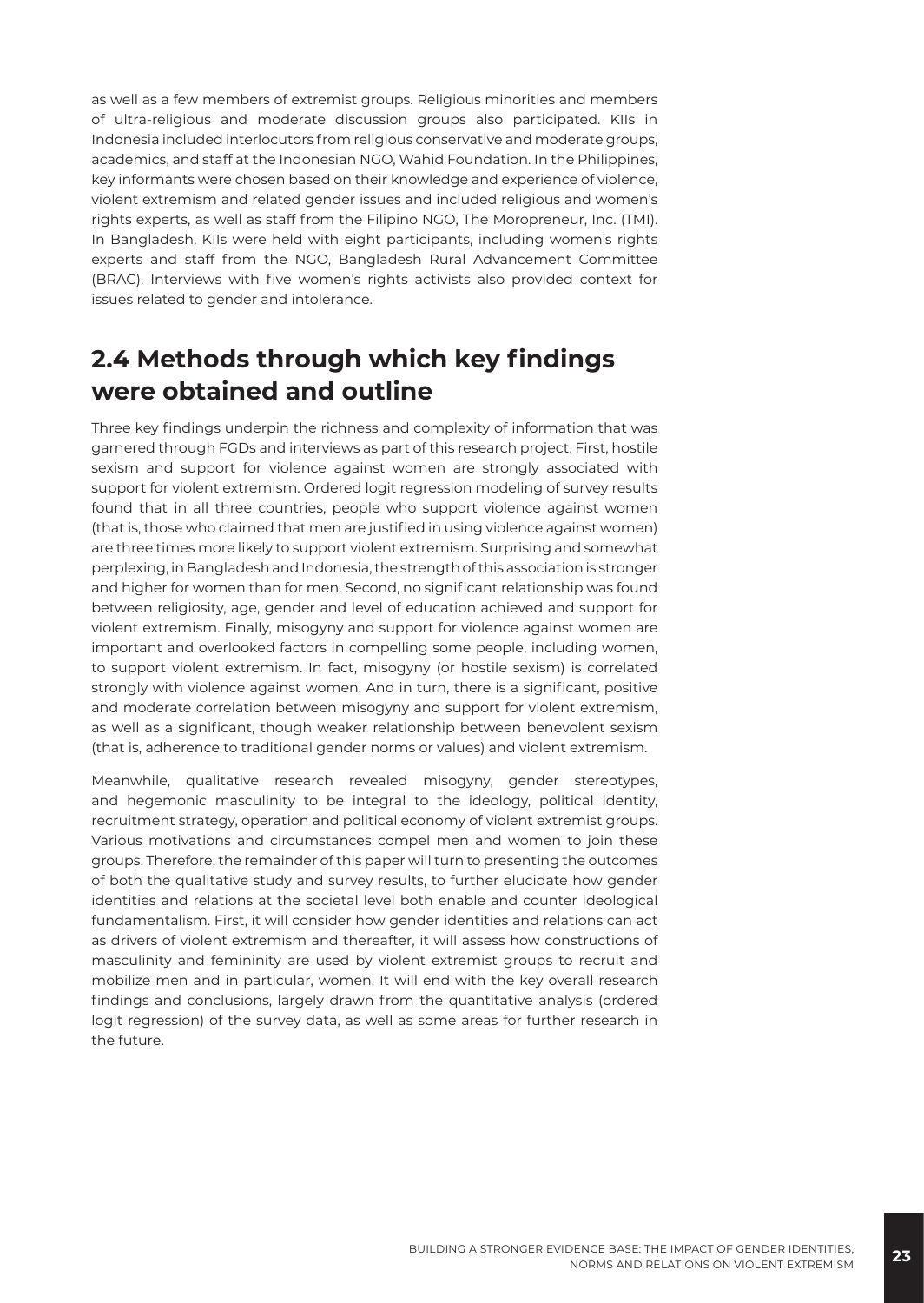as well as a few members of extremist groups. Religious minorities and members of ultra-religious and moderate discussion groups also participated. KIIs in Indonesia included interlocutors from religious conservative and moderate groups, academics, and staff at the Indonesian NGO, Wahid Foundation. In the Philippines, key informants were chosen based on their knowledge and experience of violence, violent extremism and related gender issues and included religious and women's rights experts, as well as staff from the Filipino NGO, The Moropreneur, Inc. (TMI). In Bangladesh, KIIs were held with eight participants, including women's rights experts and staff from the NGO, Bangladesh Rural Advancement Committee (BRAC). Interviews with five women's rights activists also provided context for issues related to gender and intolerance.

#### **2.4 Methods through which key findings were obtained and outline**

Three key findings underpin the richness and complexity of information that was garnered through FGDs and interviews as part of this research project. First, hostile sexism and support for violence against women are strongly associated with support for violent extremism. Ordered logit regression modeling of survey results found that in all three countries, people who support violence against women (that is, those who claimed that men are justified in using violence against women) are three times more likely to support violent extremism. Surprising and somewhat perplexing, in Bangladesh and Indonesia, the strength of this association is stronger and higher for women than for men. Second, no significant relationship was found between religiosity, age, gender and level of education achieved and support for violent extremism. Finally, misogyny and support for violence against women are important and overlooked factors in compelling some people, including women, to support violent extremism. In fact, misogyny (or hostile sexism) is correlated strongly with violence against women. And in turn, there is a significant, positive and moderate correlation between misogyny and support for violent extremism, as well as a significant, though weaker relationship between benevolent sexism (that is, adherence to traditional gender norms or values) and violent extremism.

Meanwhile, qualitative research revealed misogyny, gender stereotypes, and hegemonic masculinity to be integral to the ideology, political identity, recruitment strategy, operation and political economy of violent extremist groups. Various motivations and circumstances compel men and women to join these groups. Therefore, the remainder of this paper will turn to presenting the outcomes of both the qualitative study and survey results, to further elucidate how gender identities and relations at the societal level both enable and counter ideological fundamentalism. First, it will consider how gender identities and relations can act as drivers of violent extremism and thereafter, it will assess how constructions of masculinity and femininity are used by violent extremist groups to recruit and mobilize men and in particular, women. It will end with the key overall research findings and conclusions, largely drawn from the quantitative analysis (ordered logit regression) of the survey data, as well as some areas for further research in the future.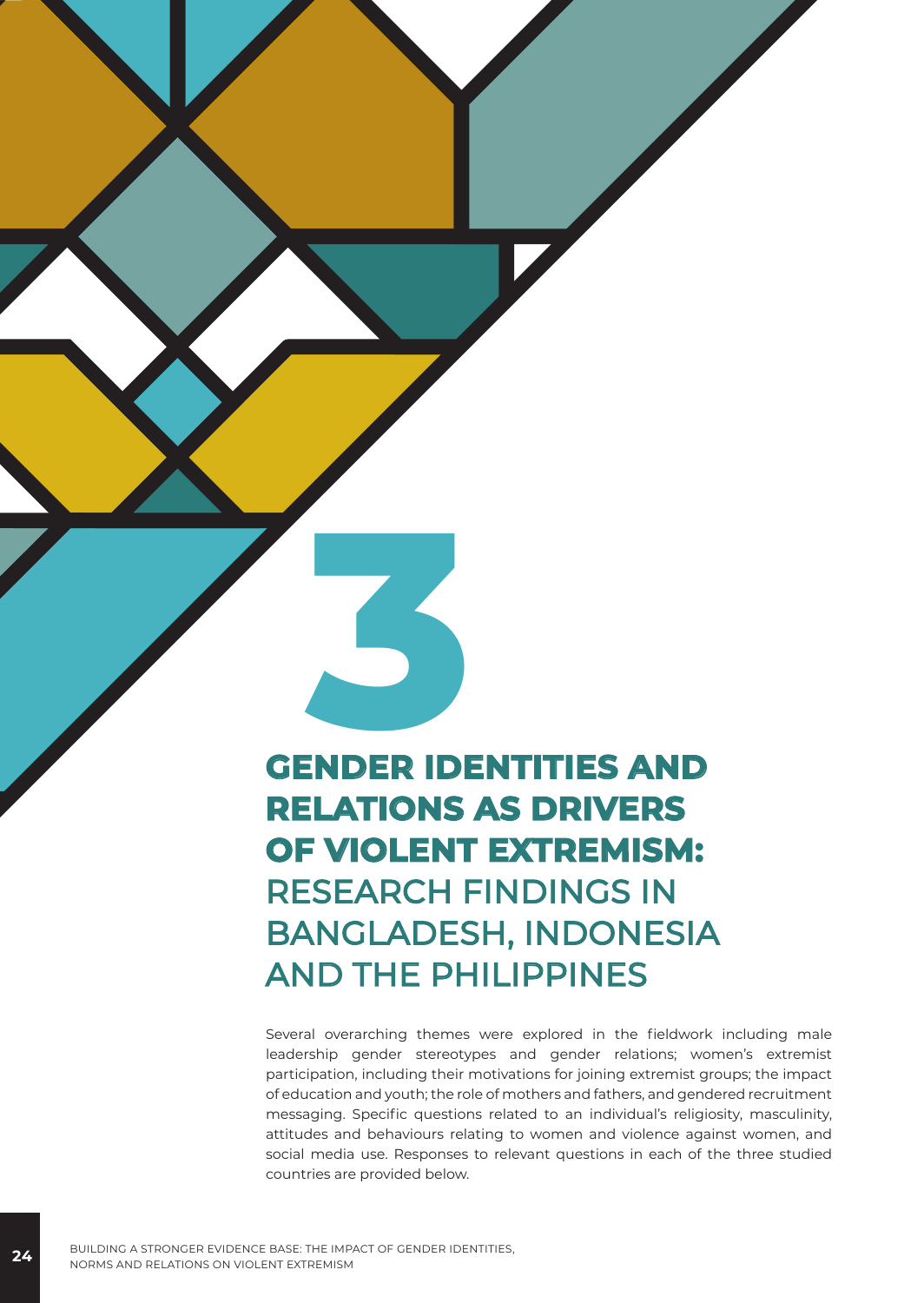# **GENDER IDENTITIES AND RELATIONS AS DRIVERS OF VIOLENT EXTREMISM:** RESEARCH FINDINGS IN BANGLADESH, INDONESIA AND THE PHILIPPINES

Several overarching themes were explored in the fieldwork including male leadership gender stereotypes and gender relations; women's extremist participation, including their motivations for joining extremist groups; the impact of education and youth; the role of mothers and fathers, and gendered recruitment messaging. Specific questions related to an individual's religiosity, masculinity, attitudes and behaviours relating to women and violence against women, and social media use. Responses to relevant questions in each of the three studied countries are provided below.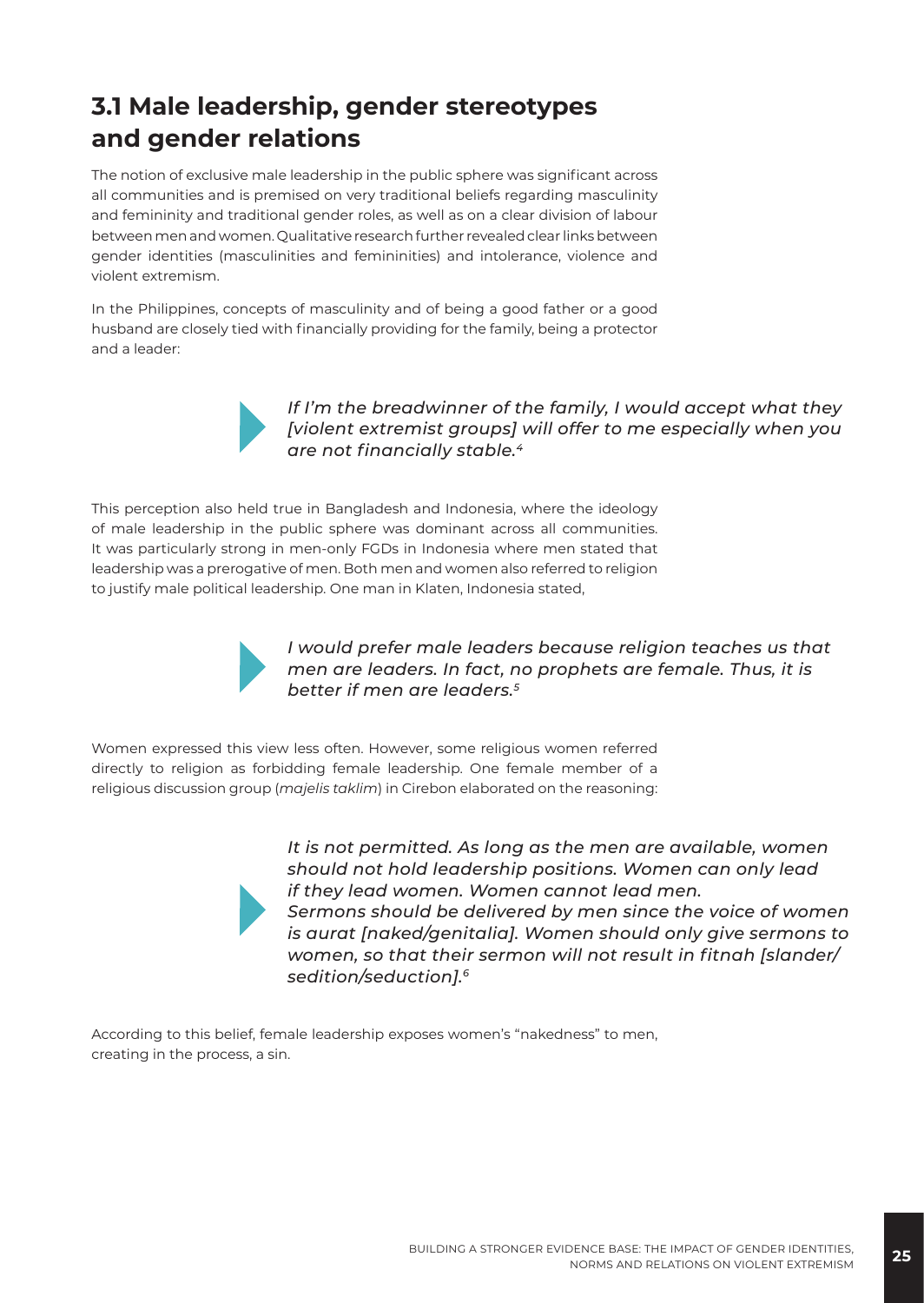#### **3.1 Male leadership, gender stereotypes and gender relations**

The notion of exclusive male leadership in the public sphere was significant across all communities and is premised on very traditional beliefs regarding masculinity and femininity and traditional gender roles, as well as on a clear division of labour between men and women. Qualitative research further revealed clear links between gender identities (masculinities and femininities) and intolerance, violence and violent extremism.

In the Philippines, concepts of masculinity and of being a good father or a good husband are closely tied with financially providing for the family, being a protector and a leader:



*If I'm the breadwinner of the family, I would accept what they [violent extremist groups] will offer to me especially when you are not financially stable.<sup>4</sup>*

This perception also held true in Bangladesh and Indonesia, where the ideology of male leadership in the public sphere was dominant across all communities. It was particularly strong in men-only FGDs in Indonesia where men stated that leadership was a prerogative of men. Both men and women also referred to religion to justify male political leadership. One man in Klaten, Indonesia stated,



*I would prefer male leaders because religion teaches us that men are leaders. In fact, no prophets are female. Thus, it is better if men are leaders.5*

Women expressed this view less often. However, some religious women referred directly to religion as forbidding female leadership. One female member of a religious discussion group (*majelis taklim*) in Cirebon elaborated on the reasoning:



*It is not permitted. As long as the men are available, women should not hold leadership positions. Women can only lead if they lead women. Women cannot lead men. Sermons should be delivered by men since the voice of women is aurat [naked/genitalia]. Women should only give sermons to women, so that their sermon will not result in fitnah [slander/ sedition/seduction].6*

According to this belief, female leadership exposes women's "nakedness" to men, creating in the process, a sin.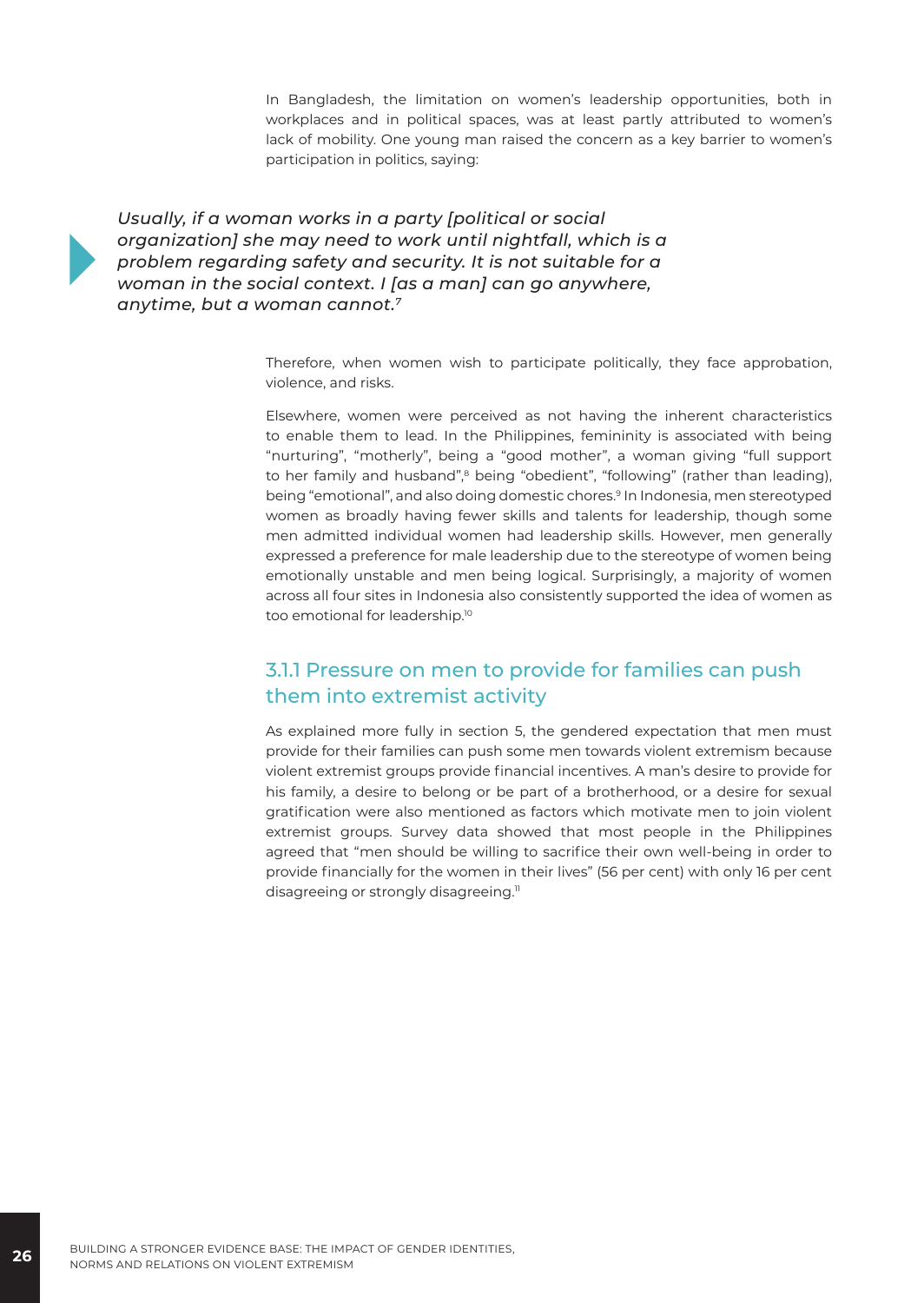In Bangladesh, the limitation on women's leadership opportunities, both in workplaces and in political spaces, was at least partly attributed to women's lack of mobility. One young man raised the concern as a key barrier to women's participation in politics, saying:

*Usually, if a woman works in a party [political or social organization] she may need to work until nightfall, which is a problem regarding safety and security. It is not suitable for a woman in the social context. I [as a man] can go anywhere, anytime, but a woman cannot.7*

> Therefore, when women wish to participate politically, they face approbation, violence, and risks.

> Elsewhere, women were perceived as not having the inherent characteristics to enable them to lead. In the Philippines, femininity is associated with being "nurturing", "motherly", being a "good mother", a woman giving "full support to her family and husband",<sup>8</sup> being "obedient", "following" (rather than leading), being "emotional", and also doing domestic chores.9 In Indonesia, men stereotyped women as broadly having fewer skills and talents for leadership, though some men admitted individual women had leadership skills. However, men generally expressed a preference for male leadership due to the stereotype of women being emotionally unstable and men being logical. Surprisingly, a majority of women across all four sites in Indonesia also consistently supported the idea of women as too emotional for leadership.10

#### 3.1.1 Pressure on men to provide for families can push them into extremist activity

As explained more fully in section 5, the gendered expectation that men must provide for their families can push some men towards violent extremism because violent extremist groups provide financial incentives. A man's desire to provide for his family, a desire to belong or be part of a brotherhood, or a desire for sexual gratification were also mentioned as factors which motivate men to join violent extremist groups. Survey data showed that most people in the Philippines agreed that "men should be willing to sacrifice their own well-being in order to provide financially for the women in their lives" (56 per cent) with only 16 per cent disagreeing or strongly disagreeing.<sup>11</sup>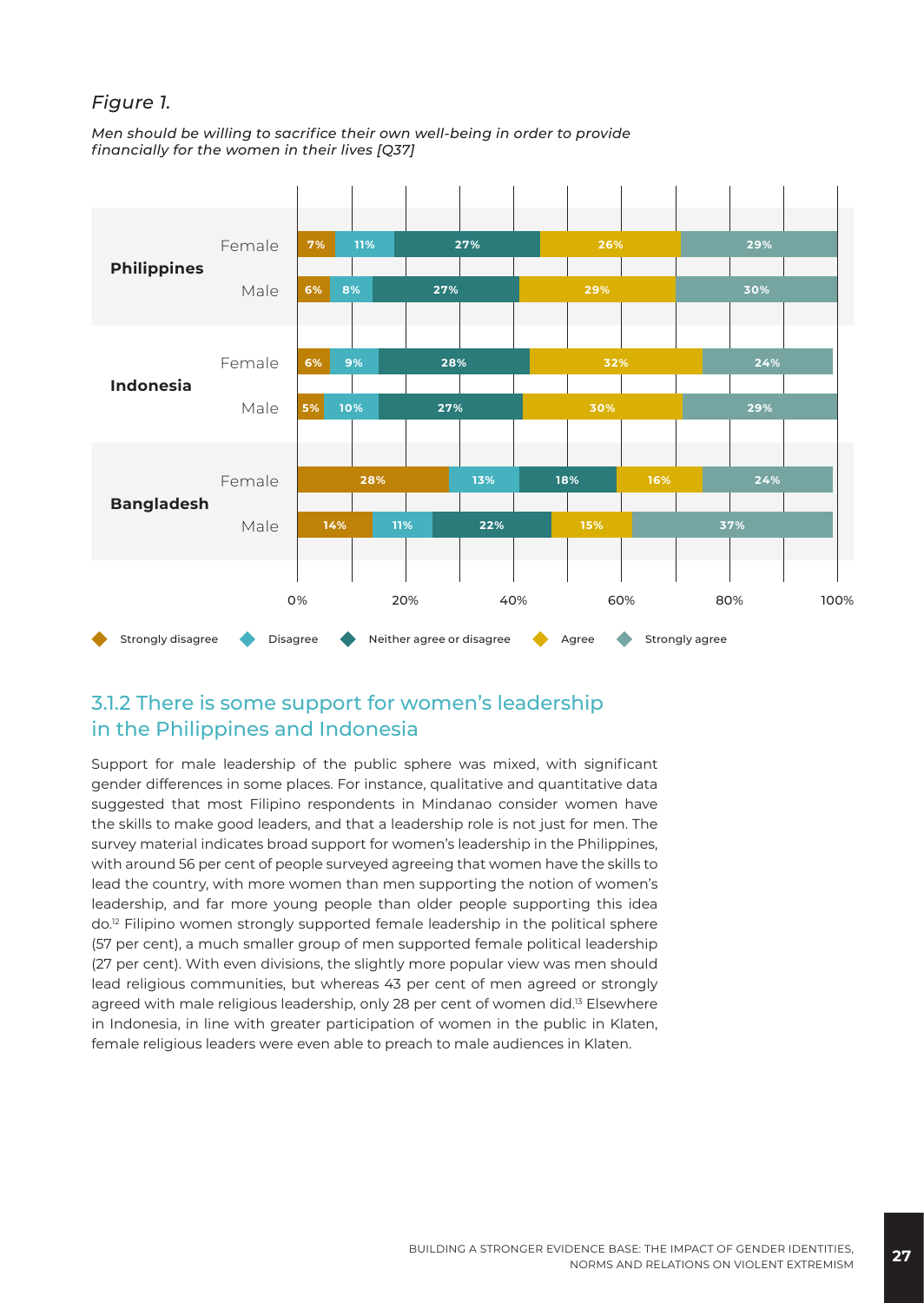#### *Figure 1.*

*Men should be willing to sacrifice their own well-being in order to provide financially for the women in their lives [Q37]*



#### 3.1.2 There is some support for women's leadership in the Philippines and Indonesia

Support for male leadership of the public sphere was mixed, with significant gender differences in some places. For instance, qualitative and quantitative data suggested that most Filipino respondents in Mindanao consider women have the skills to make good leaders, and that a leadership role is not just for men. The survey material indicates broad support for women's leadership in the Philippines, with around 56 per cent of people surveyed agreeing that women have the skills to lead the country, with more women than men supporting the notion of women's leadership, and far more young people than older people supporting this idea do.12 Filipino women strongly supported female leadership in the political sphere (57 per cent), a much smaller group of men supported female political leadership (27 per cent). With even divisions, the slightly more popular view was men should lead religious communities, but whereas 43 per cent of men agreed or strongly agreed with male religious leadership, only 28 per cent of women did.<sup>13</sup> Elsewhere in Indonesia, in line with greater participation of women in the public in Klaten, female religious leaders were even able to preach to male audiences in Klaten.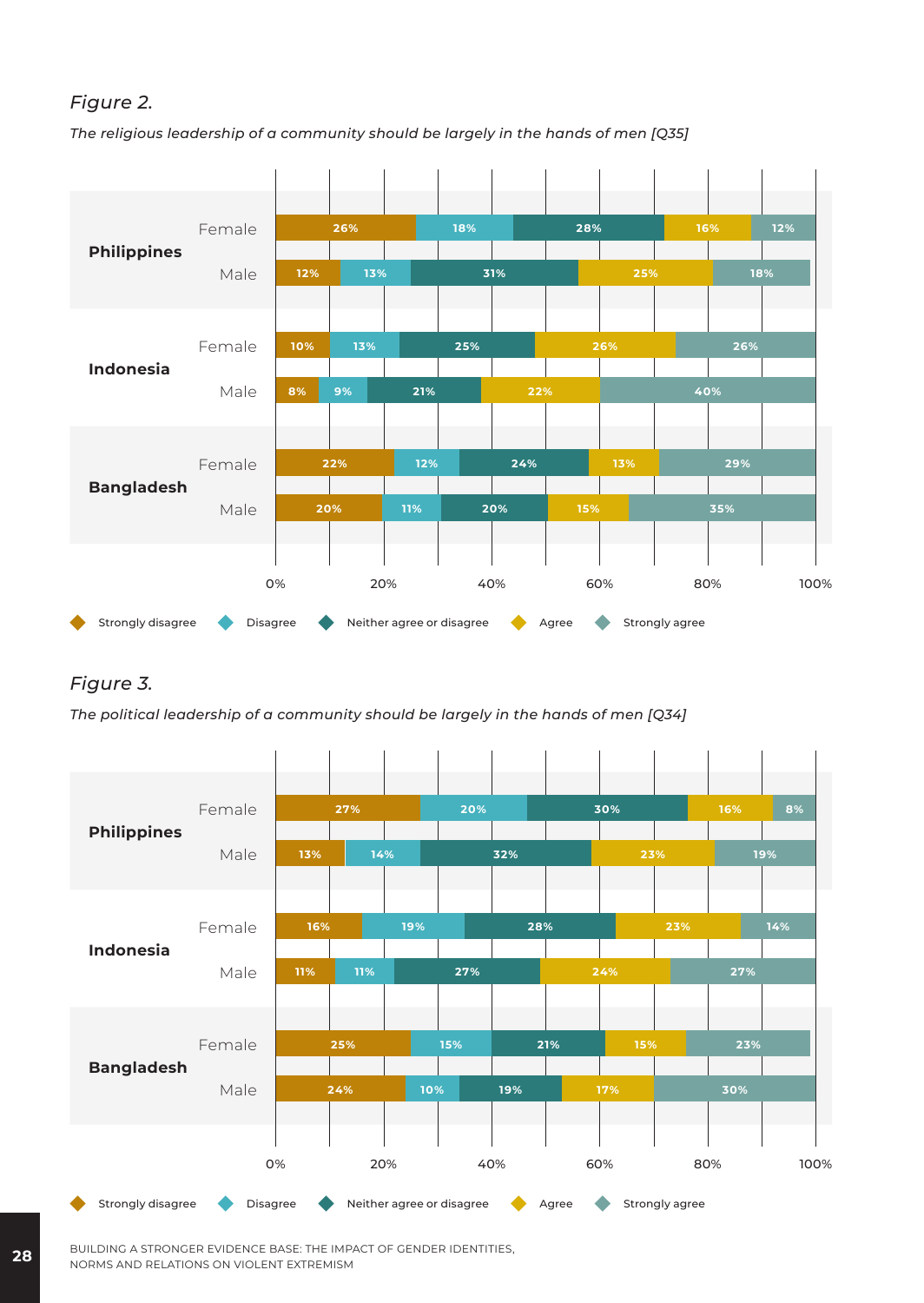#### *Figure 2.*

*The religious leadership of a community should be largely in the hands of men [Q35]*



#### *Figure 3.*

*The political leadership of a community should be largely in the hands of men [Q34]*



**28** BUILDING A STRONGER EVIDENCE BASE: THE IMPACT OF GENDER IDENTITIES, NORMS AND RELATIONS ON VIOLENT EXTREMISM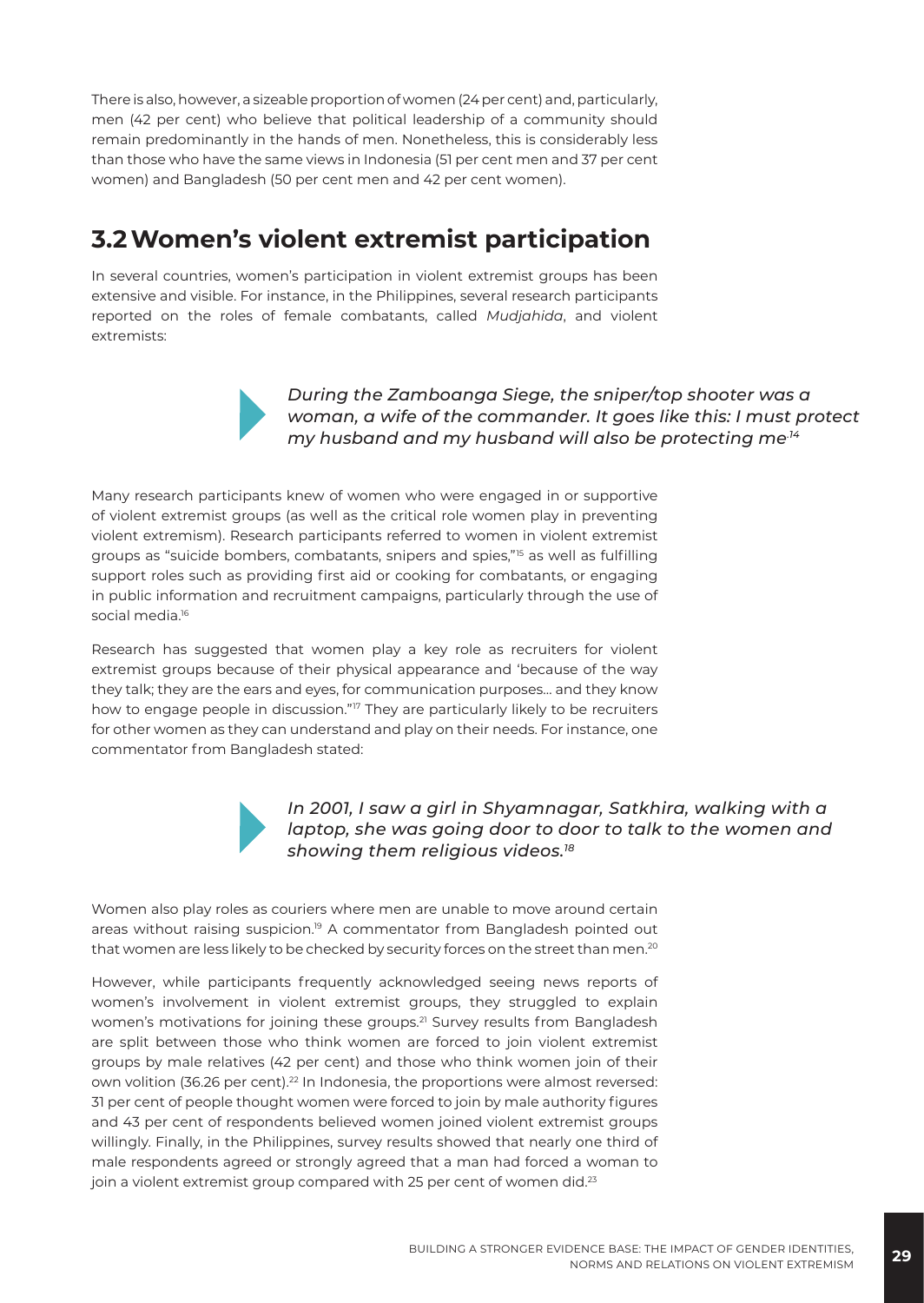There is also, however, a sizeable proportion of women (24 per cent) and, particularly, men (42 per cent) who believe that political leadership of a community should remain predominantly in the hands of men. Nonetheless, this is considerably less than those who have the same views in Indonesia (51 per cent men and 37 per cent women) and Bangladesh (50 per cent men and 42 per cent women).

#### **3.2Women's violent extremist participation**

In several countries, women's participation in violent extremist groups has been extensive and visible. For instance, in the Philippines, several research participants reported on the roles of female combatants, called *Mudjahida*, and violent extremists:



*During the Zamboanga Siege, the sniper/top shooter was a woman, a wife of the commander. It goes like this: I must protect my husband and my husband will also be protecting me.14*

Many research participants knew of women who were engaged in or supportive of violent extremist groups (as well as the critical role women play in preventing violent extremism). Research participants referred to women in violent extremist groups as "suicide bombers, combatants, snipers and spies,"15 as well as fulfilling support roles such as providing first aid or cooking for combatants, or engaging in public information and recruitment campaigns, particularly through the use of social media.<sup>16</sup>

Research has suggested that women play a key role as recruiters for violent extremist groups because of their physical appearance and 'because of the way they talk; they are the ears and eyes, for communication purposes… and they know how to engage people in discussion."<sup>17</sup> They are particularly likely to be recruiters for other women as they can understand and play on their needs. For instance, one commentator from Bangladesh stated:



*In 2001, I saw a girl in Shyamnagar, Satkhira, walking with a laptop, she was going door to door to talk to the women and showing them religious videos.18*

Women also play roles as couriers where men are unable to move around certain areas without raising suspicion.19 A commentator from Bangladesh pointed out that women are less likely to be checked by security forces on the street than men.<sup>20</sup>

However, while participants frequently acknowledged seeing news reports of women's involvement in violent extremist groups, they struggled to explain women's motivations for joining these groups.<sup>21</sup> Survey results from Bangladesh are split between those who think women are forced to join violent extremist groups by male relatives (42 per cent) and those who think women join of their own volition (36.26 per cent).<sup>22</sup> In Indonesia, the proportions were almost reversed: 31 per cent of people thought women were forced to join by male authority figures and 43 per cent of respondents believed women joined violent extremist groups willingly. Finally, in the Philippines, survey results showed that nearly one third of male respondents agreed or strongly agreed that a man had forced a woman to join a violent extremist group compared with 25 per cent of women did.<sup>23</sup>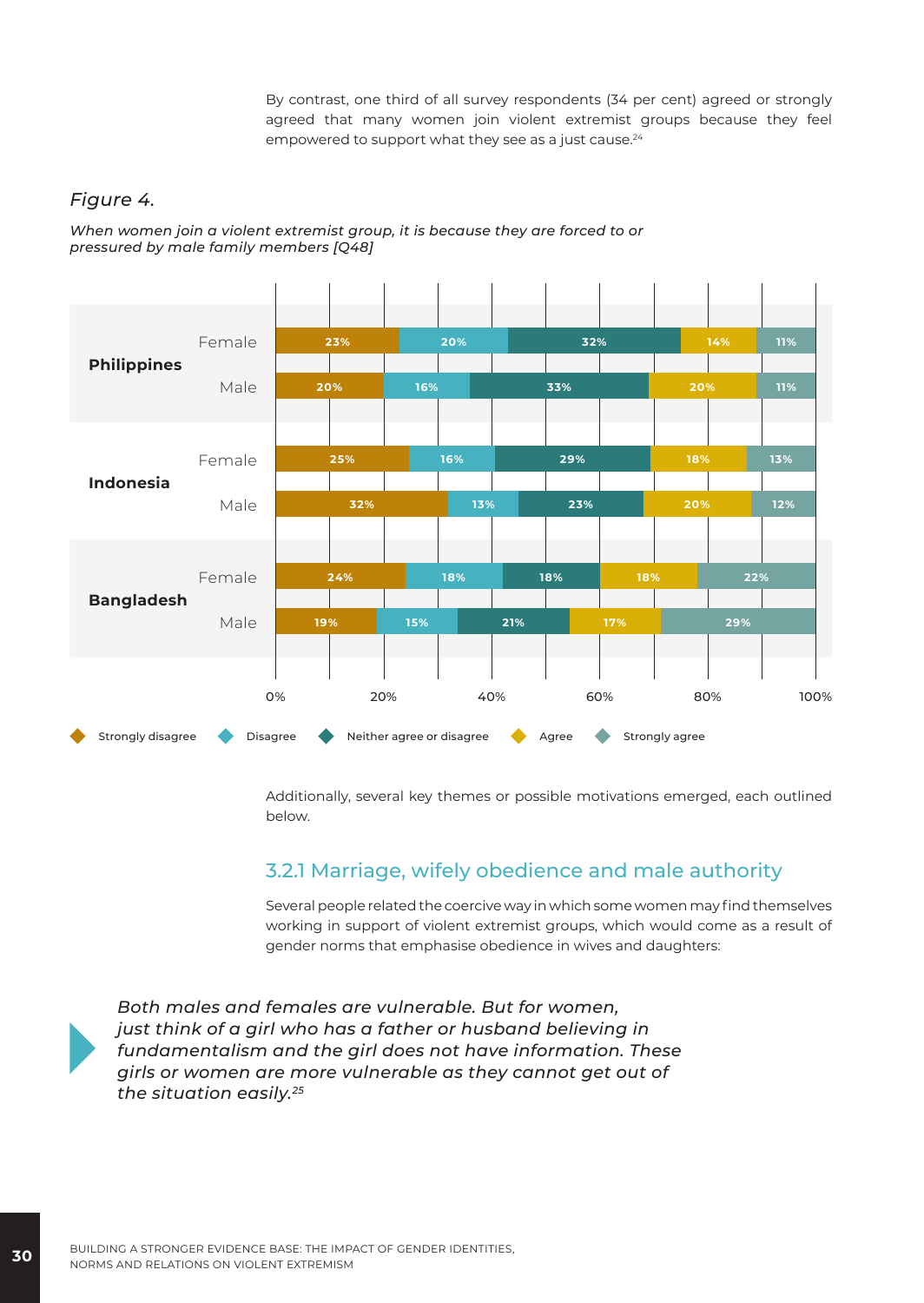By contrast, one third of all survey respondents (34 per cent) agreed or strongly agreed that many women join violent extremist groups because they feel empowered to support what they see as a just cause.<sup>24</sup>

#### *Figure 4.*

*When women join a violent extremist group, it is because they are forced to or pressured by male family members [Q48]*



Additionally, several key themes or possible motivations emerged, each outlined below.

#### 3.2.1 Marriage, wifely obedience and male authority

Several people related the coercive way in which some women may find themselves working in support of violent extremist groups, which would come as a result of gender norms that emphasise obedience in wives and daughters:



*Both males and females are vulnerable. But for women, just think of a girl who has a father or husband believing in fundamentalism and the girl does not have information. These girls or women are more vulnerable as they cannot get out of the situation easily.25*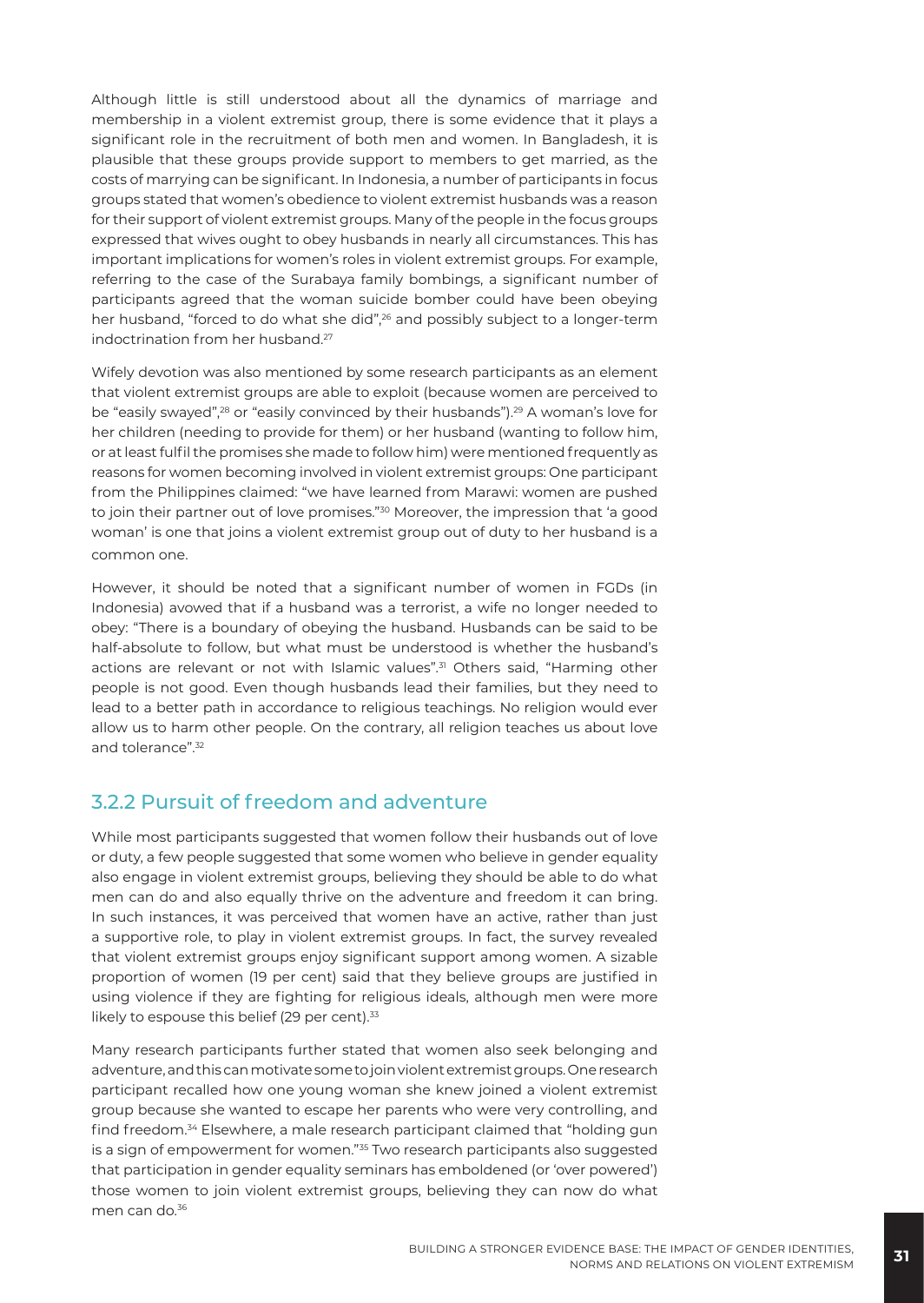Although little is still understood about all the dynamics of marriage and membership in a violent extremist group, there is some evidence that it plays a significant role in the recruitment of both men and women. In Bangladesh, it is plausible that these groups provide support to members to get married, as the costs of marrying can be significant. In Indonesia, a number of participants in focus groups stated that women's obedience to violent extremist husbands was a reason for their support of violent extremist groups. Many of the people in the focus groups expressed that wives ought to obey husbands in nearly all circumstances. This has important implications for women's roles in violent extremist groups. For example, referring to the case of the Surabaya family bombings, a significant number of participants agreed that the woman suicide bomber could have been obeying her husband, "forced to do what she did",<sup>26</sup> and possibly subject to a longer-term indoctrination from her husband.27

Wifely devotion was also mentioned by some research participants as an element that violent extremist groups are able to exploit (because women are perceived to be "easily swayed",<sup>28</sup> or "easily convinced by their husbands").<sup>29</sup> A woman's love for her children (needing to provide for them) or her husband (wanting to follow him, or at least fulfil the promises she made to follow him) were mentioned frequently as reasons for women becoming involved in violent extremist groups: One participant from the Philippines claimed: "we have learned from Marawi: women are pushed to join their partner out of love promises."30 Moreover, the impression that 'a good woman' is one that joins a violent extremist group out of duty to her husband is a common one.

However, it should be noted that a significant number of women in FGDs (in Indonesia) avowed that if a husband was a terrorist, a wife no longer needed to obey: "There is a boundary of obeying the husband. Husbands can be said to be half-absolute to follow, but what must be understood is whether the husband's actions are relevant or not with Islamic values".<sup>31</sup> Others said, "Harming other people is not good. Even though husbands lead their families, but they need to lead to a better path in accordance to religious teachings. No religion would ever allow us to harm other people. On the contrary, all religion teaches us about love and tolerance".32

#### 3.2.2 Pursuit of freedom and adventure

While most participants suggested that women follow their husbands out of love or duty, a few people suggested that some women who believe in gender equality also engage in violent extremist groups, believing they should be able to do what men can do and also equally thrive on the adventure and freedom it can bring. In such instances, it was perceived that women have an active, rather than just a supportive role, to play in violent extremist groups. In fact, the survey revealed that violent extremist groups enjoy significant support among women. A sizable proportion of women (19 per cent) said that they believe groups are justified in using violence if they are fighting for religious ideals, although men were more likely to espouse this belief (29 per cent).<sup>33</sup>

Many research participants further stated that women also seek belonging and adventure, and this can motivate some to join violent extremist groups. One research participant recalled how one young woman she knew joined a violent extremist group because she wanted to escape her parents who were very controlling, and find freedom.34 Elsewhere, a male research participant claimed that "holding gun is a sign of empowerment for women."<sup>35</sup> Two research participants also suggested that participation in gender equality seminars has emboldened (or 'over powered') those women to join violent extremist groups, believing they can now do what men can do.<sup>36</sup>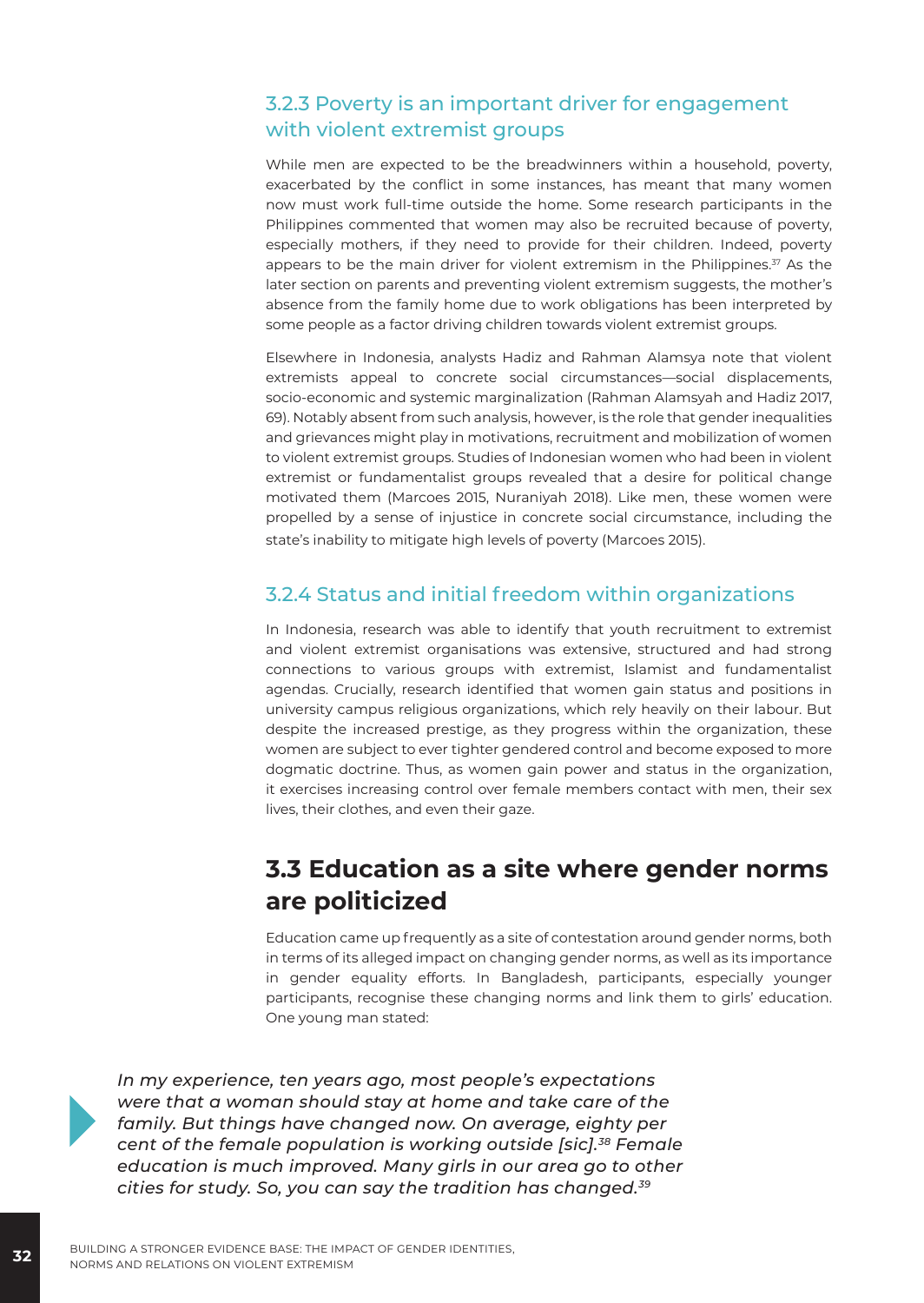#### 3.2.3 Poverty is an important driver for engagement with violent extremist groups

While men are expected to be the breadwinners within a household, poverty, exacerbated by the conflict in some instances, has meant that many women now must work full-time outside the home. Some research participants in the Philippines commented that women may also be recruited because of poverty, especially mothers, if they need to provide for their children. Indeed, poverty appears to be the main driver for violent extremism in the Philippines. $37$  As the later section on parents and preventing violent extremism suggests, the mother's absence from the family home due to work obligations has been interpreted by some people as a factor driving children towards violent extremist groups.

Elsewhere in Indonesia, analysts Hadiz and Rahman Alamsya note that violent extremists appeal to concrete social circumstances—social displacements, socio-economic and systemic marginalization (Rahman Alamsyah and Hadiz 2017, 69). Notably absent from such analysis, however, is the role that gender inequalities and grievances might play in motivations, recruitment and mobilization of women to violent extremist groups. Studies of Indonesian women who had been in violent extremist or fundamentalist groups revealed that a desire for political change motivated them (Marcoes 2015, Nuraniyah 2018). Like men, these women were propelled by a sense of injustice in concrete social circumstance, including the state's inability to mitigate high levels of poverty (Marcoes 2015).

#### 3.2.4 Status and initial freedom within organizations

In Indonesia, research was able to identify that youth recruitment to extremist and violent extremist organisations was extensive, structured and had strong connections to various groups with extremist, Islamist and fundamentalist agendas. Crucially, research identified that women gain status and positions in university campus religious organizations, which rely heavily on their labour. But despite the increased prestige, as they progress within the organization, these women are subject to ever tighter gendered control and become exposed to more dogmatic doctrine. Thus, as women gain power and status in the organization, it exercises increasing control over female members contact with men, their sex lives, their clothes, and even their gaze.

#### **3.3 Education as a site where gender norms are politicized**

Education came up frequently as a site of contestation around gender norms, both in terms of its alleged impact on changing gender norms, as well as its importance in gender equality efforts. In Bangladesh, participants, especially younger participants, recognise these changing norms and link them to girls' education. One young man stated:



*In my experience, ten years ago, most people's expectations were that a woman should stay at home and take care of the family. But things have changed now. On average, eighty per cent of the female population is working outside [sic].38 Female education is much improved. Many girls in our area go to other cities for study. So, you can say the tradition has changed.39*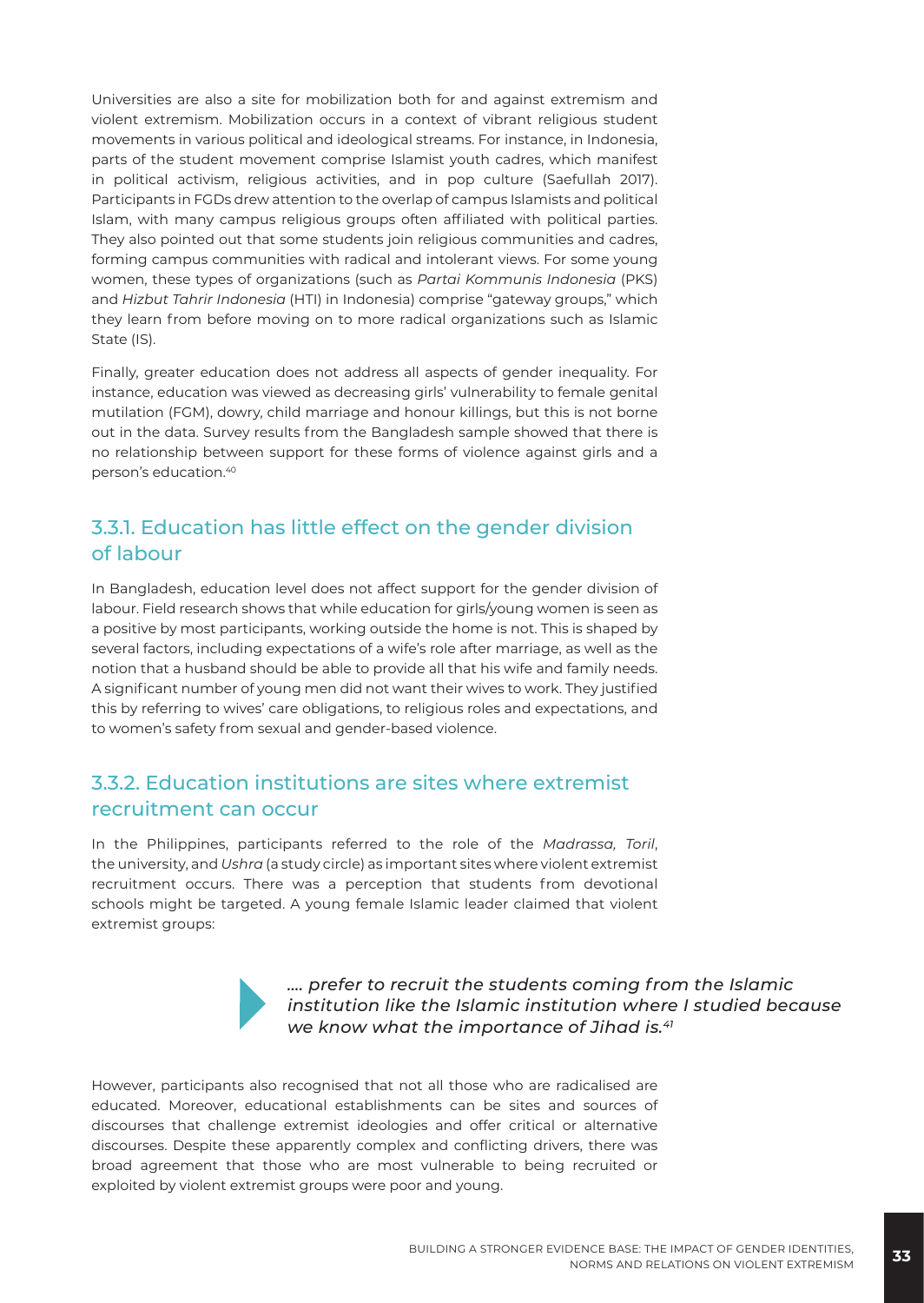Universities are also a site for mobilization both for and against extremism and violent extremism. Mobilization occurs in a context of vibrant religious student movements in various political and ideological streams. For instance, in Indonesia, parts of the student movement comprise Islamist youth cadres, which manifest in political activism, religious activities, and in pop culture (Saefullah 2017). Participants in FGDs drew attention to the overlap of campus Islamists and political Islam, with many campus religious groups often affiliated with political parties. They also pointed out that some students join religious communities and cadres, forming campus communities with radical and intolerant views. For some young women, these types of organizations (such as *Partai Kommunis Indonesia* (PKS) and *Hizbut Tahrir Indonesia* (HTI) in Indonesia) comprise "gateway groups," which they learn from before moving on to more radical organizations such as Islamic State (IS).

Finally, greater education does not address all aspects of gender inequality. For instance, education was viewed as decreasing girls' vulnerability to female genital mutilation (FGM), dowry, child marriage and honour killings, but this is not borne out in the data. Survey results from the Bangladesh sample showed that there is no relationship between support for these forms of violence against girls and a person's education.40

#### 3.3.1. Education has little effect on the gender division of labour

In Bangladesh, education level does not affect support for the gender division of labour. Field research shows that while education for girls/young women is seen as a positive by most participants, working outside the home is not. This is shaped by several factors, including expectations of a wife's role after marriage, as well as the notion that a husband should be able to provide all that his wife and family needs. A significant number of young men did not want their wives to work. They justified this by referring to wives' care obligations, to religious roles and expectations, and to women's safety from sexual and gender-based violence.

#### 3.3.2. Education institutions are sites where extremist recruitment can occur

In the Philippines, participants referred to the role of the *Madrassa, Toril*, the university, and *Ushra* (a study circle) as important sites where violent extremist recruitment occurs. There was a perception that students from devotional schools might be targeted. A young female Islamic leader claimed that violent extremist groups:



*…. prefer to recruit the students coming from the Islamic institution like the Islamic institution where I studied because we know what the importance of Jihad is.41*

However, participants also recognised that not all those who are radicalised are educated. Moreover, educational establishments can be sites and sources of discourses that challenge extremist ideologies and offer critical or alternative discourses. Despite these apparently complex and conflicting drivers, there was broad agreement that those who are most vulnerable to being recruited or exploited by violent extremist groups were poor and young.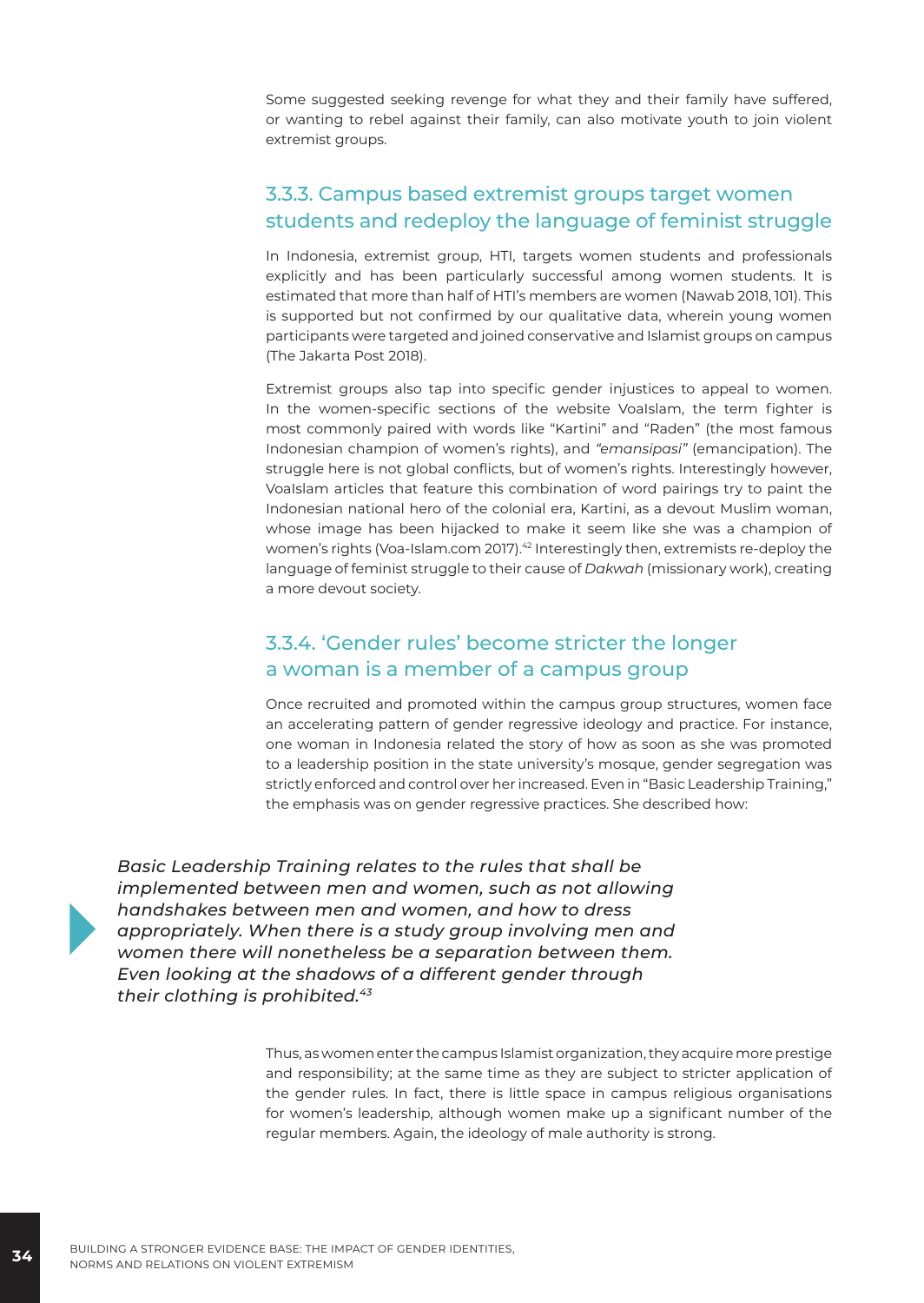Some suggested seeking revenge for what they and their family have suffered, or wanting to rebel against their family, can also motivate youth to join violent extremist groups.

#### 3.3.3. Campus based extremist groups target women students and redeploy the language of feminist struggle

In Indonesia, extremist group, HTI, targets women students and professionals explicitly and has been particularly successful among women students. It is estimated that more than half of HTI's members are women (Nawab 2018, 101). This is supported but not confirmed by our qualitative data, wherein young women participants were targeted and joined conservative and Islamist groups on campus (The Jakarta Post 2018).

Extremist groups also tap into specific gender injustices to appeal to women. In the women-specific sections of the website VoaIslam, the term fighter is most commonly paired with words like "Kartini" and "Raden" (the most famous Indonesian champion of women's rights), and *"emansipasi"* (emancipation). The struggle here is not global conflicts, but of women's rights. Interestingly however, VoaIslam articles that feature this combination of word pairings try to paint the Indonesian national hero of the colonial era, Kartini, as a devout Muslim woman, whose image has been hijacked to make it seem like she was a champion of women's rights (Voa-Islam.com 2017).<sup>42</sup> Interestingly then, extremists re-deploy the language of feminist struggle to their cause of *Dakwah* (missionary work), creating a more devout society.

#### 3.3.4. 'Gender rules' become stricter the longer a woman is a member of a campus group

Once recruited and promoted within the campus group structures, women face an accelerating pattern of gender regressive ideology and practice. For instance, one woman in Indonesia related the story of how as soon as she was promoted to a leadership position in the state university's mosque, gender segregation was strictly enforced and control over her increased. Even in "Basic Leadership Training," the emphasis was on gender regressive practices. She described how:

*Basic Leadership Training relates to the rules that shall be implemented between men and women, such as not allowing handshakes between men and women, and how to dress appropriately. When there is a study group involving men and women there will nonetheless be a separation between them. Even looking at the shadows of a different gender through their clothing is prohibited.<sup>43</sup>*

> Thus, as women enter the campus Islamist organization, they acquire more prestige and responsibility; at the same time as they are subject to stricter application of the gender rules. In fact, there is little space in campus religious organisations for women's leadership, although women make up a significant number of the regular members. Again, the ideology of male authority is strong.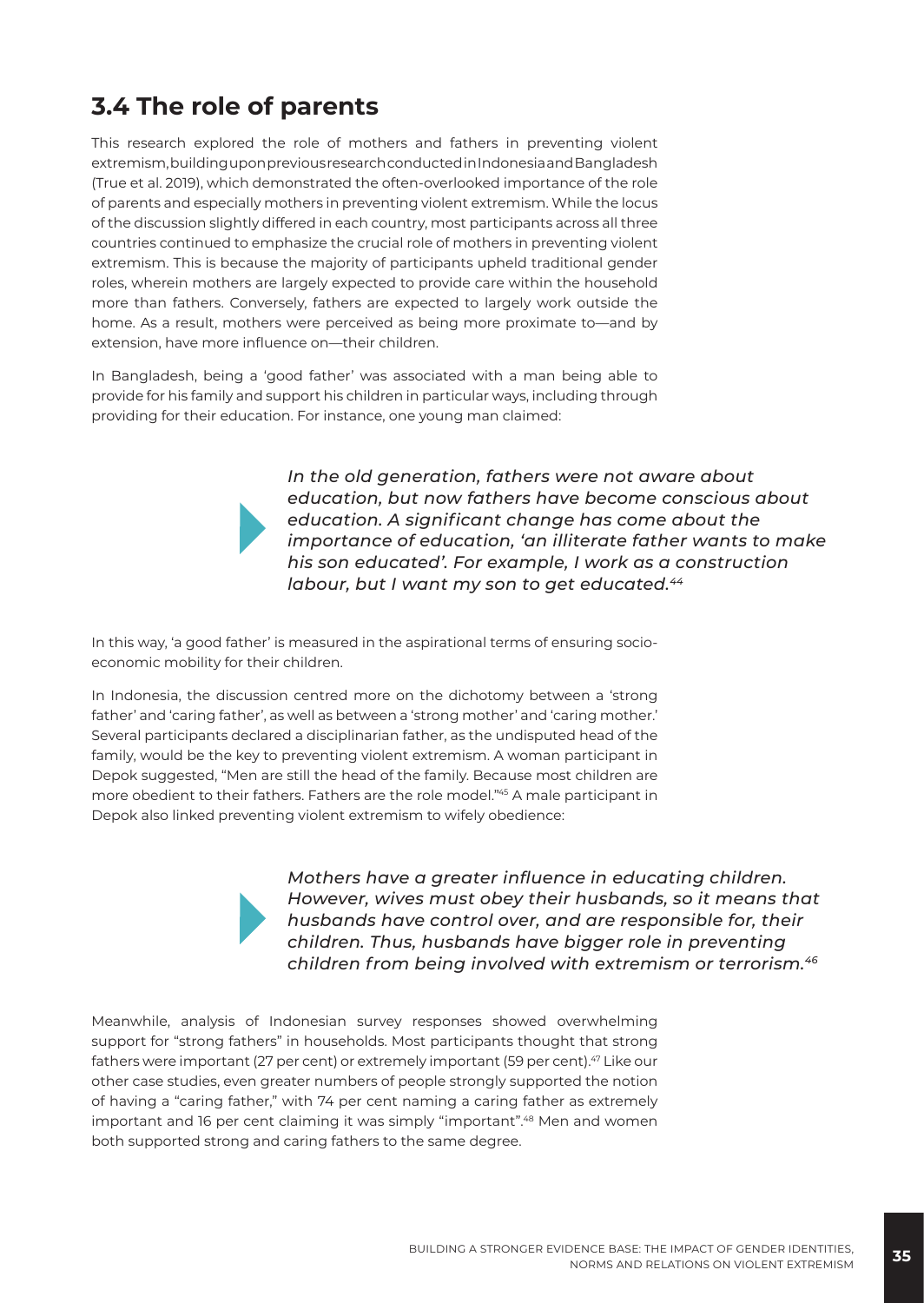#### **3.4 The role of parents**

This research explored the role of mothers and fathers in preventing violent extremism, building upon previous research conducted in Indonesia and Bangladesh (True et al. 2019), which demonstrated the often-overlooked importance of the role of parents and especially mothers in preventing violent extremism. While the locus of the discussion slightly differed in each country, most participants across all three countries continued to emphasize the crucial role of mothers in preventing violent extremism. This is because the majority of participants upheld traditional gender roles, wherein mothers are largely expected to provide care within the household more than fathers. Conversely, fathers are expected to largely work outside the home. As a result, mothers were perceived as being more proximate to—and by extension, have more influence on—their children.

In Bangladesh, being a 'good father' was associated with a man being able to provide for his family and support his children in particular ways, including through providing for their education. For instance, one young man claimed:

> *In the old generation, fathers were not aware about education, but now fathers have become conscious about education. A significant change has come about the importance of education, 'an illiterate father wants to make his son educated'. For example, I work as a construction labour, but I want my son to get educated.44*

In this way, 'a good father' is measured in the aspirational terms of ensuring socioeconomic mobility for their children.

In Indonesia, the discussion centred more on the dichotomy between a 'strong father' and 'caring father', as well as between a 'strong mother' and 'caring mother.' Several participants declared a disciplinarian father, as the undisputed head of the family, would be the key to preventing violent extremism. A woman participant in Depok suggested, "Men are still the head of the family. Because most children are more obedient to their fathers. Fathers are the role model."45 A male participant in Depok also linked preventing violent extremism to wifely obedience:

> *Mothers have a greater influence in educating children. However, wives must obey their husbands, so it means that husbands have control over, and are responsible for, their children. Thus, husbands have bigger role in preventing children from being involved with extremism or terrorism.46*

Meanwhile, analysis of Indonesian survey responses showed overwhelming support for "strong fathers" in households. Most participants thought that strong fathers were important (27 per cent) or extremely important (59 per cent).<sup>47</sup> Like our other case studies, even greater numbers of people strongly supported the notion of having a "caring father," with 74 per cent naming a caring father as extremely important and 16 per cent claiming it was simply "important".<sup>48</sup> Men and women both supported strong and caring fathers to the same degree.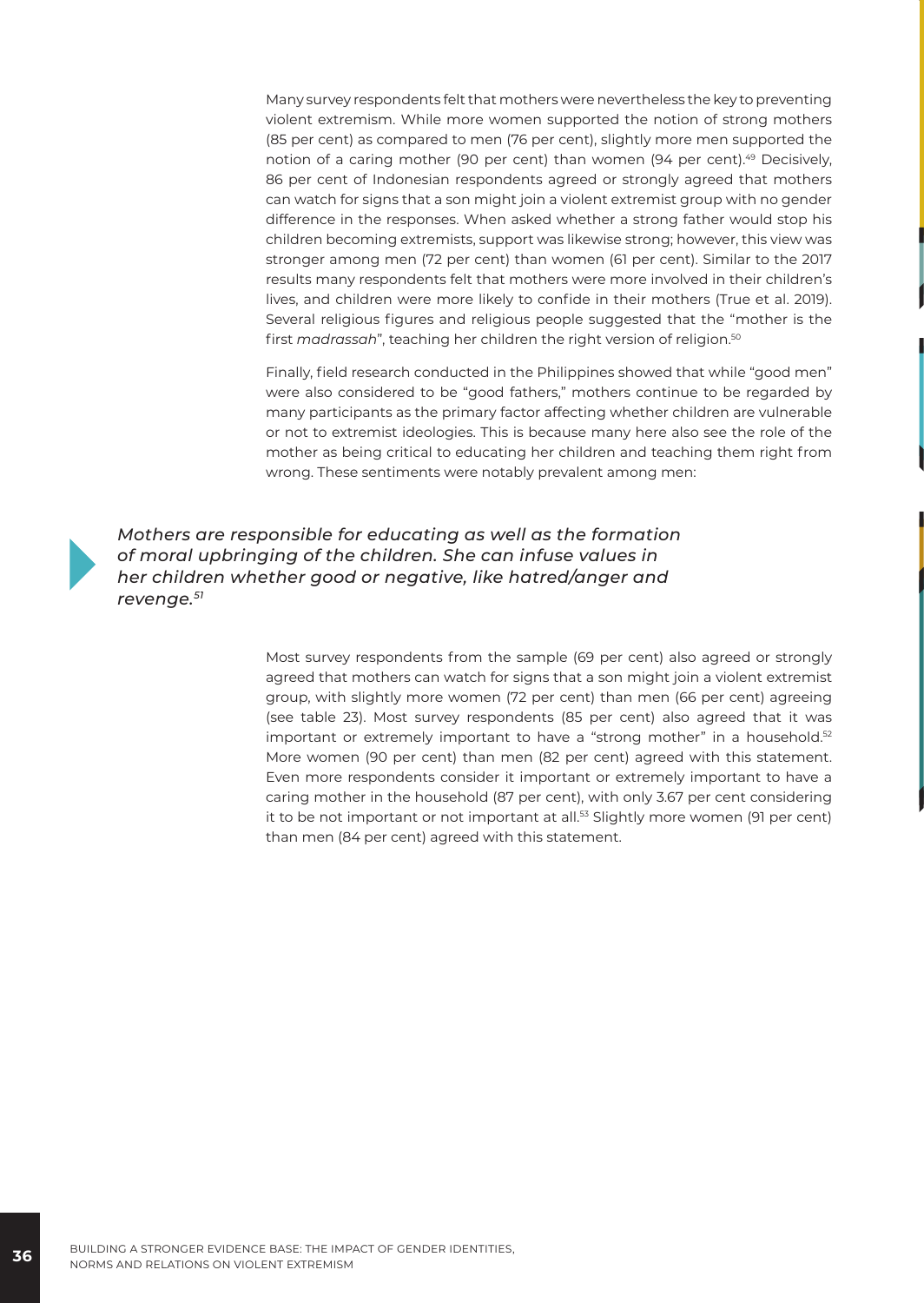Many survey respondents felt that mothers were nevertheless the key to preventing violent extremism. While more women supported the notion of strong mothers (85 per cent) as compared to men (76 per cent), slightly more men supported the notion of a caring mother (90 per cent) than women (94 per cent).<sup>49</sup> Decisively, 86 per cent of Indonesian respondents agreed or strongly agreed that mothers can watch for signs that a son might join a violent extremist group with no gender difference in the responses. When asked whether a strong father would stop his children becoming extremists, support was likewise strong; however, this view was stronger among men (72 per cent) than women (61 per cent). Similar to the 2017 results many respondents felt that mothers were more involved in their children's lives, and children were more likely to confide in their mothers (True et al. 2019). Several religious figures and religious people suggested that the "mother is the first *madrassah*", teaching her children the right version of religion.<sup>50</sup>

Finally, field research conducted in the Philippines showed that while "good men" were also considered to be "good fathers," mothers continue to be regarded by many participants as the primary factor affecting whether children are vulnerable or not to extremist ideologies. This is because many here also see the role of the mother as being critical to educating her children and teaching them right from wrong. These sentiments were notably prevalent among men:



*Mothers are responsible for educating as well as the formation of moral upbringing of the children. She can infuse values in her children whether good or negative, like hatred/anger and revenge.51*

> Most survey respondents from the sample (69 per cent) also agreed or strongly agreed that mothers can watch for signs that a son might join a violent extremist group, with slightly more women (72 per cent) than men (66 per cent) agreeing (see table 23). Most survey respondents (85 per cent) also agreed that it was important or extremely important to have a "strong mother" in a household.<sup>52</sup> More women (90 per cent) than men (82 per cent) agreed with this statement. Even more respondents consider it important or extremely important to have a caring mother in the household (87 per cent), with only 3.67 per cent considering it to be not important or not important at all.<sup>53</sup> Slightly more women (91 per cent) than men (84 per cent) agreed with this statement.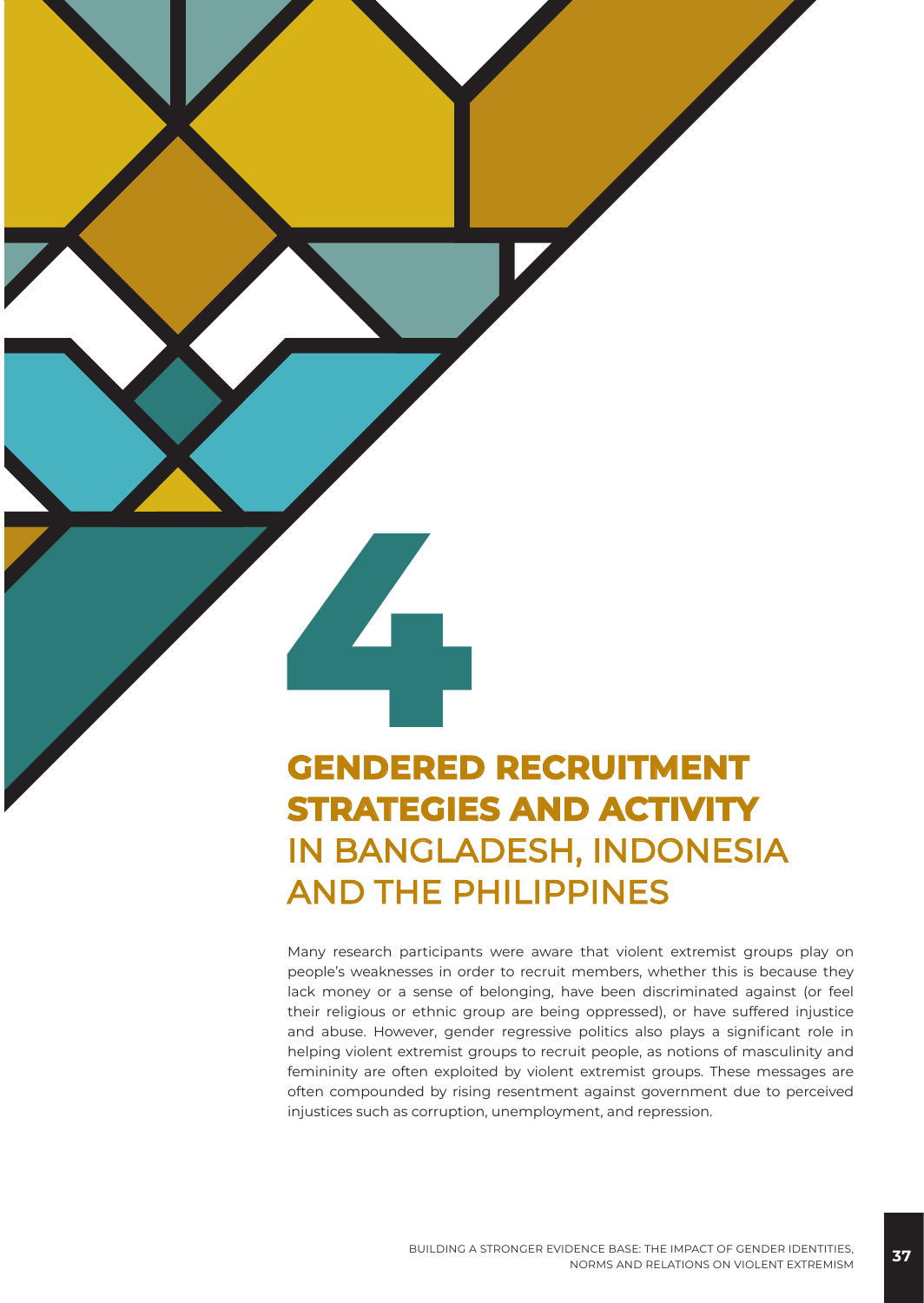# **4 GENDERED RECRUITMENT STRATEGIES AND ACTIVITY**  IN BANGLADESH, INDONESIA AND THE PHILIPPINES

Many research participants were aware that violent extremist groups play on people's weaknesses in order to recruit members, whether this is because they lack money or a sense of belonging, have been discriminated against (or feel their religious or ethnic group are being oppressed), or have suffered injustice and abuse. However, gender regressive politics also plays a significant role in helping violent extremist groups to recruit people, as notions of masculinity and femininity are often exploited by violent extremist groups. These messages are often compounded by rising resentment against government due to perceived injustices such as corruption, unemployment, and repression.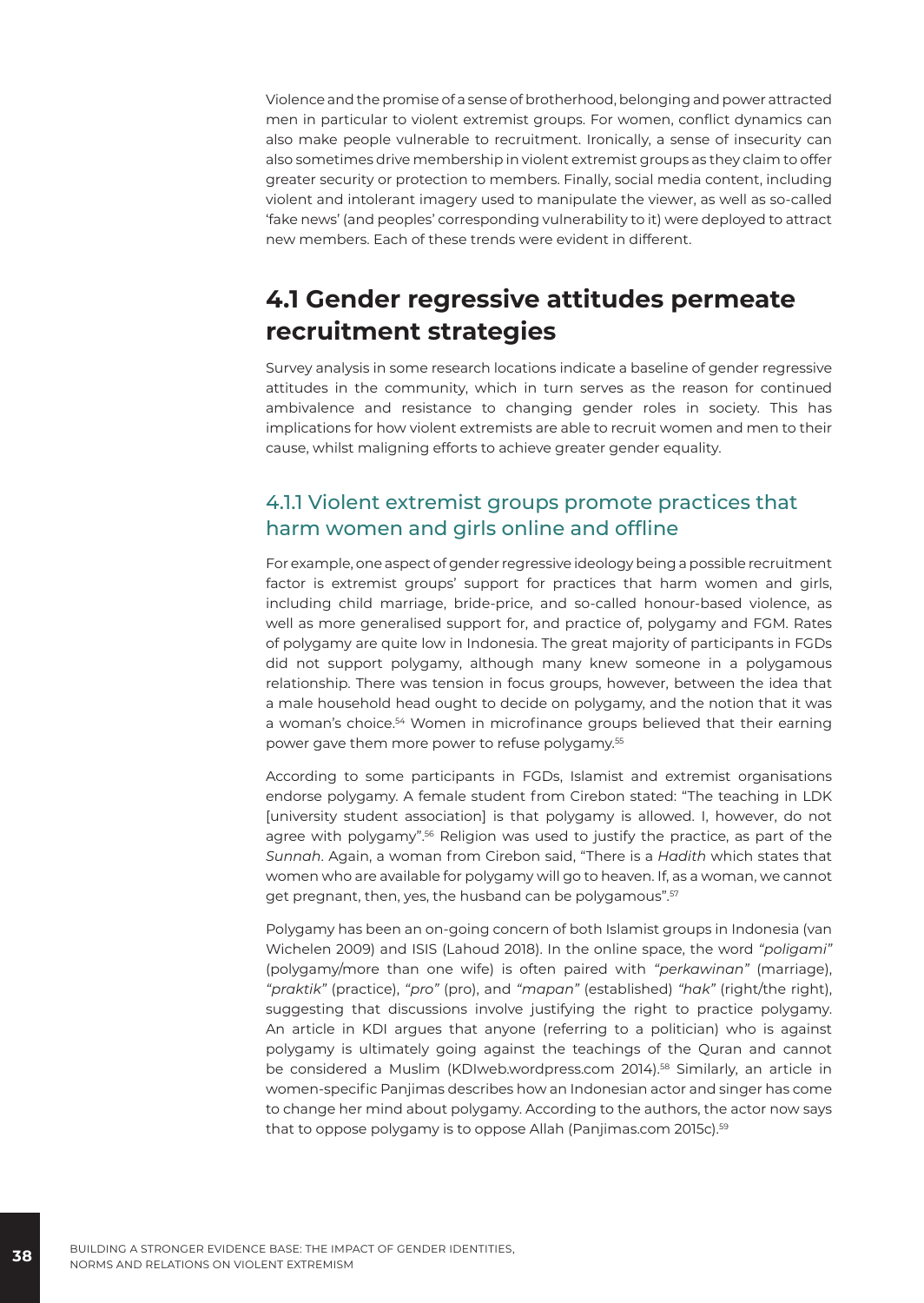Violence and the promise of a sense of brotherhood, belonging and power attracted men in particular to violent extremist groups. For women, conflict dynamics can also make people vulnerable to recruitment. Ironically, a sense of insecurity can also sometimes drive membership in violent extremist groups as they claim to offer greater security or protection to members. Finally, social media content, including violent and intolerant imagery used to manipulate the viewer, as well as so-called 'fake news' (and peoples' corresponding vulnerability to it) were deployed to attract new members. Each of these trends were evident in different.

# **4.1 Gender regressive attitudes permeate recruitment strategies**

Survey analysis in some research locations indicate a baseline of gender regressive attitudes in the community, which in turn serves as the reason for continued ambivalence and resistance to changing gender roles in society. This has implications for how violent extremists are able to recruit women and men to their cause, whilst maligning efforts to achieve greater gender equality.

#### 4.1.1 Violent extremist groups promote practices that harm women and girls online and offline

For example, one aspect of gender regressive ideology being a possible recruitment factor is extremist groups' support for practices that harm women and girls, including child marriage, bride-price, and so-called honour-based violence, as well as more generalised support for, and practice of, polygamy and FGM. Rates of polygamy are quite low in Indonesia. The great majority of participants in FGDs did not support polygamy, although many knew someone in a polygamous relationship. There was tension in focus groups, however, between the idea that a male household head ought to decide on polygamy, and the notion that it was a woman's choice.<sup>54</sup> Women in microfinance groups believed that their earning power gave them more power to refuse polygamy.<sup>55</sup>

According to some participants in FGDs, Islamist and extremist organisations endorse polygamy. A female student from Cirebon stated: "The teaching in LDK [university student association] is that polygamy is allowed. I, however, do not agree with polygamy".56 Religion was used to justify the practice, as part of the *Sunnah*. Again, a woman from Cirebon said, "There is a *Hadith* which states that women who are available for polygamy will go to heaven. If, as a woman, we cannot get pregnant, then, yes, the husband can be polygamous".57

Polygamy has been an on-going concern of both Islamist groups in Indonesia (van Wichelen 2009) and ISIS (Lahoud 2018). In the online space, the word *"poligami"*  (polygamy/more than one wife) is often paired with *"perkawinan"* (marriage), *"praktik"* (practice), *"pro"* (pro), and *"mapan"* (established) *"hak"* (right/the right), suggesting that discussions involve justifying the right to practice polygamy. An article in KDI argues that anyone (referring to a politician) who is against polygamy is ultimately going against the teachings of the Quran and cannot be considered a Muslim (KDIweb.wordpress.com 2014).58 Similarly, an article in women-specific Panjimas describes how an Indonesian actor and singer has come to change her mind about polygamy. According to the authors, the actor now says that to oppose polygamy is to oppose Allah (Panjimas.com 2015c).<sup>59</sup>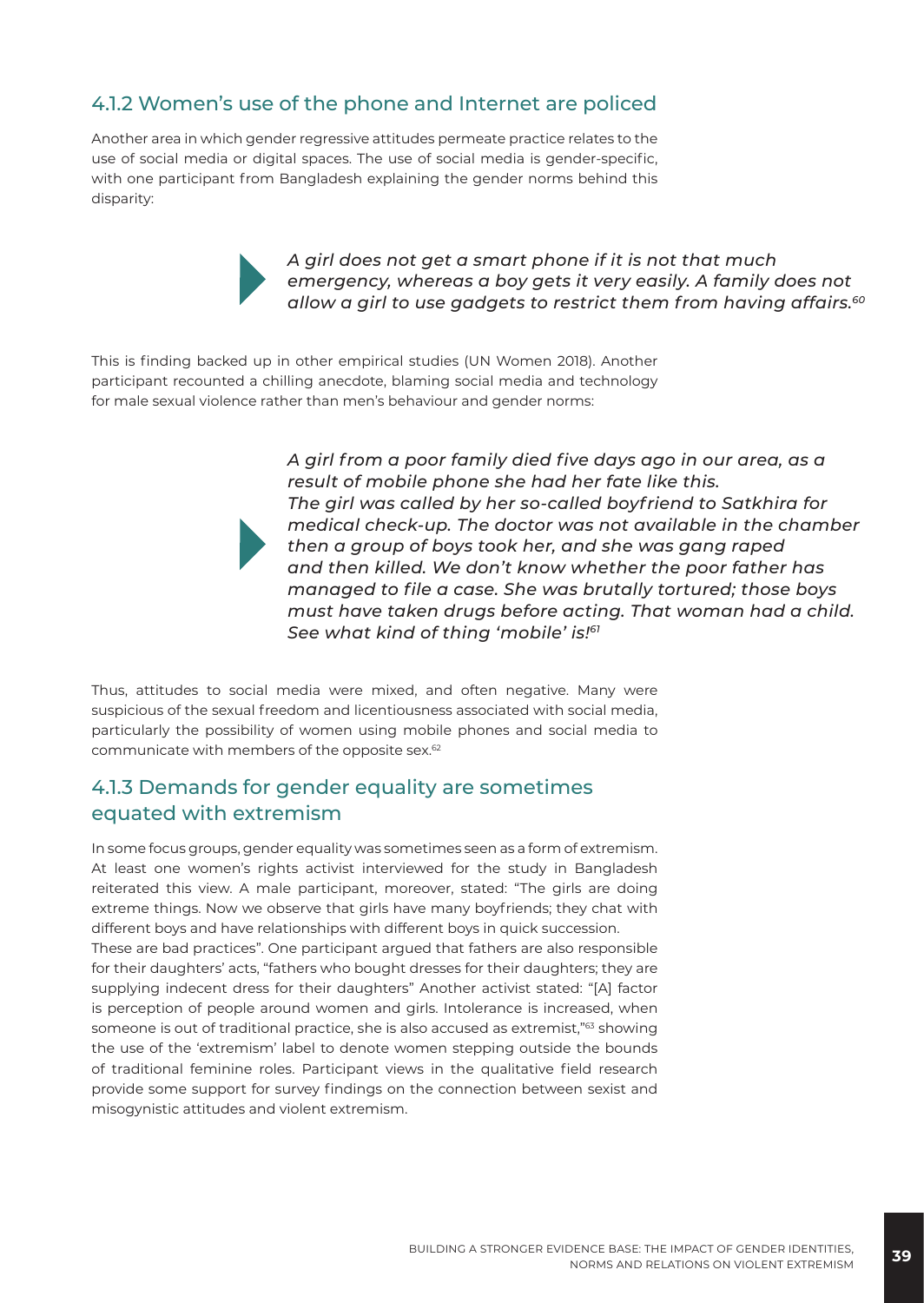#### 4.1.2 Women's use of the phone and Internet are policed

Another area in which gender regressive attitudes permeate practice relates to the use of social media or digital spaces. The use of social media is gender-specific, with one participant from Bangladesh explaining the gender norms behind this disparity:



*A girl does not get a smart phone if it is not that much emergency, whereas a boy gets it very easily. A family does not allow a girl to use gadgets to restrict them from having affairs.60*

This is finding backed up in other empirical studies (UN Women 2018). Another participant recounted a chilling anecdote, blaming social media and technology for male sexual violence rather than men's behaviour and gender norms:

> *A girl from a poor family died five days ago in our area, as a result of mobile phone she had her fate like this. The girl was called by her so-called boyfriend to Satkhira for medical check-up. The doctor was not available in the chamber then a group of boys took her, and she was gang raped and then killed. We don't know whether the poor father has managed to file a case. She was brutally tortured; those boys must have taken drugs before acting. That woman had a child. See what kind of thing 'mobile' is!61*

Thus, attitudes to social media were mixed, and often negative. Many were suspicious of the sexual freedom and licentiousness associated with social media, particularly the possibility of women using mobile phones and social media to communicate with members of the opposite sex.62

#### 4.1.3 Demands for gender equality are sometimes equated with extremism

In some focus groups, gender equality was sometimes seen as a form of extremism. At least one women's rights activist interviewed for the study in Bangladesh reiterated this view. A male participant, moreover, stated: "The girls are doing extreme things. Now we observe that girls have many boyfriends; they chat with different boys and have relationships with different boys in quick succession.

These are bad practices". One participant argued that fathers are also responsible for their daughters' acts, "fathers who bought dresses for their daughters; they are supplying indecent dress for their daughters" Another activist stated: "[A] factor is perception of people around women and girls. Intolerance is increased, when someone is out of traditional practice, she is also accused as extremist,"<sup>63</sup> showing the use of the 'extremism' label to denote women stepping outside the bounds of traditional feminine roles. Participant views in the qualitative field research provide some support for survey findings on the connection between sexist and misogynistic attitudes and violent extremism.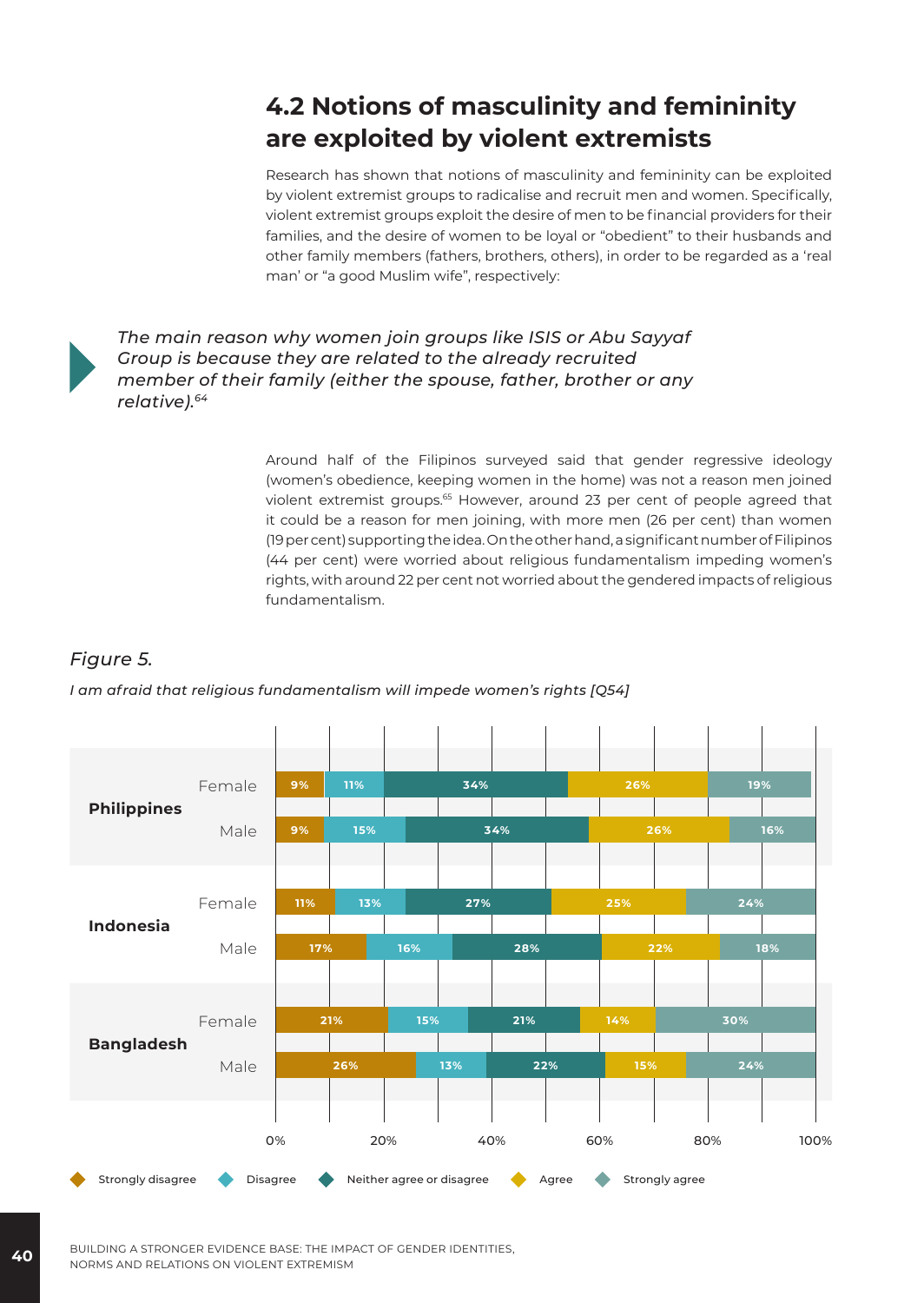# **4.2 Notions of masculinity and femininity are exploited by violent extremists**

Research has shown that notions of masculinity and femininity can be exploited by violent extremist groups to radicalise and recruit men and women. Specifically, violent extremist groups exploit the desire of men to be financial providers for their families, and the desire of women to be loyal or "obedient" to their husbands and other family members (fathers, brothers, others), in order to be regarded as a 'real man' or "a good Muslim wife", respectively:



*The main reason why women join groups like ISIS or Abu Sayyaf Group is because they are related to the already recruited member of their family (either the spouse, father, brother or any relative).64*

> Around half of the Filipinos surveyed said that gender regressive ideology (women's obedience, keeping women in the home) was not a reason men joined violent extremist groups.65 However, around 23 per cent of people agreed that it could be a reason for men joining, with more men (26 per cent) than women (19 per cent) supporting the idea. On the other hand, a significant number of Filipinos (44 per cent) were worried about religious fundamentalism impeding women's rights, with around 22 per cent not worried about the gendered impacts of religious fundamentalism.

#### *Figure 5.*

*I am afraid that religious fundamentalism will impede women's rights [Q54]*



**40** BUILDING A STRONGER EVIDENCE BASE: THE IMPACT OF GENDER IDENTITIES, NORMS AND RELATIONS ON VIOLENT EXTREMISM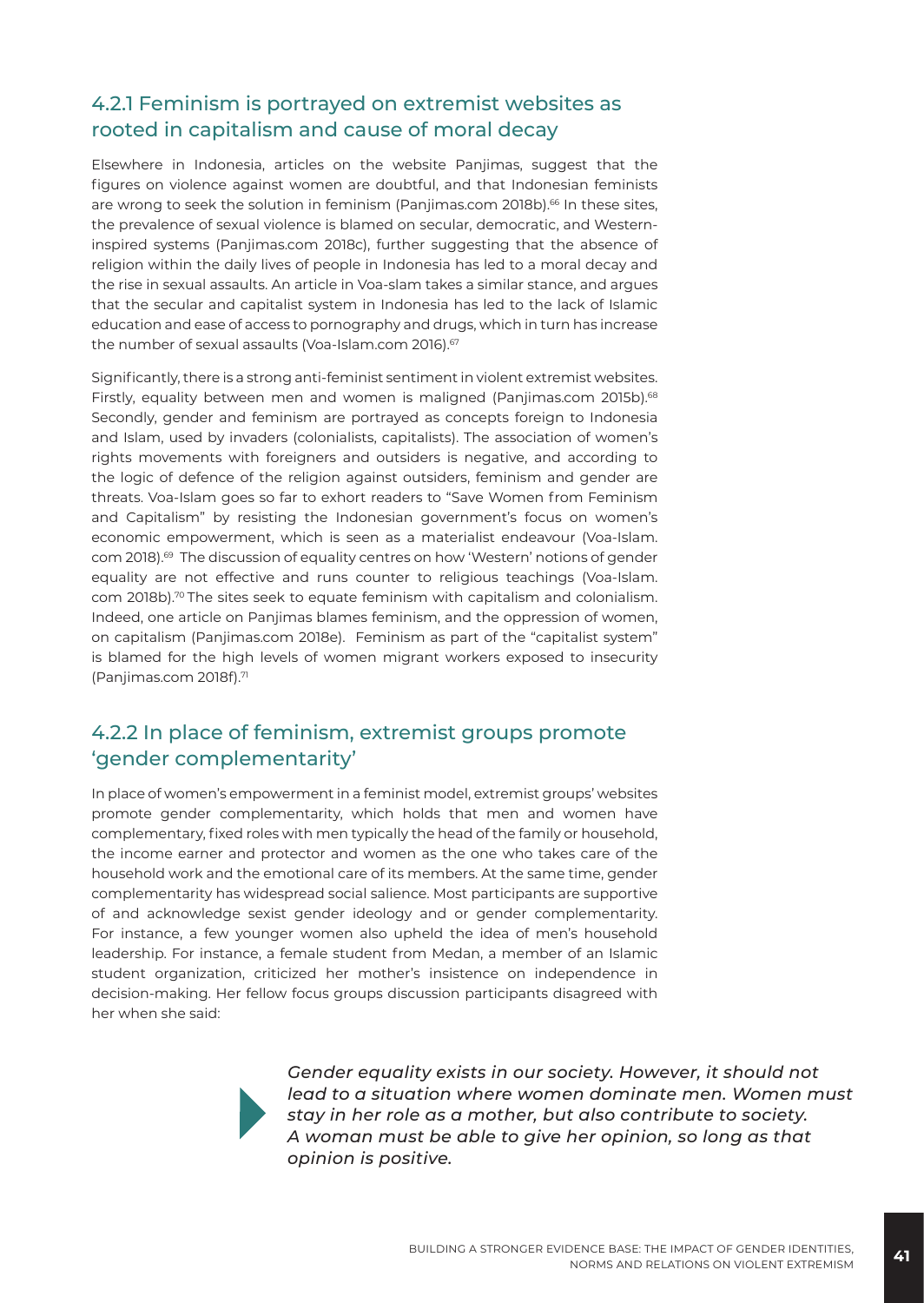#### 4.2.1 Feminism is portrayed on extremist websites as rooted in capitalism and cause of moral decay

Elsewhere in Indonesia, articles on the website Panjimas, suggest that the figures on violence against women are doubtful, and that Indonesian feminists are wrong to seek the solution in feminism (Panjimas.com 2018b).<sup>66</sup> In these sites, the prevalence of sexual violence is blamed on secular, democratic, and Westerninspired systems (Panjimas.com 2018c), further suggesting that the absence of religion within the daily lives of people in Indonesia has led to a moral decay and the rise in sexual assaults. An article in Voa-slam takes a similar stance, and argues that the secular and capitalist system in Indonesia has led to the lack of Islamic education and ease of access to pornography and drugs, which in turn has increase the number of sexual assaults (Voa-Islam.com 2016).<sup>67</sup>

Significantly, there is a strong anti-feminist sentiment in violent extremist websites. Firstly, equality between men and women is maligned (Panjimas.com 2015b).<sup>68</sup> Secondly, gender and feminism are portrayed as concepts foreign to Indonesia and Islam, used by invaders (colonialists, capitalists). The association of women's rights movements with foreigners and outsiders is negative, and according to the logic of defence of the religion against outsiders, feminism and gender are threats. Voa-Islam goes so far to exhort readers to "Save Women from Feminism and Capitalism" by resisting the Indonesian government's focus on women's economic empowerment, which is seen as a materialist endeavour (Voa-Islam. com 2018).<sup>69</sup> The discussion of equality centres on how 'Western' notions of gender equality are not effective and runs counter to religious teachings (Voa-Islam. com 2018b).70 The sites seek to equate feminism with capitalism and colonialism. Indeed, one article on Panjimas blames feminism, and the oppression of women, on capitalism (Panjimas.com 2018e). Feminism as part of the "capitalist system" is blamed for the high levels of women migrant workers exposed to insecurity (Panjimas.com 2018f).<sup>71</sup>

#### 4.2.2 In place of feminism, extremist groups promote 'gender complementarity'

In place of women's empowerment in a feminist model, extremist groups' websites promote gender complementarity, which holds that men and women have complementary, fixed roles with men typically the head of the family or household, the income earner and protector and women as the one who takes care of the household work and the emotional care of its members. At the same time, gender complementarity has widespread social salience. Most participants are supportive of and acknowledge sexist gender ideology and or gender complementarity. For instance, a few younger women also upheld the idea of men's household leadership. For instance, a female student from Medan, a member of an Islamic student organization, criticized her mother's insistence on independence in decision-making. Her fellow focus groups discussion participants disagreed with her when she said:



*Gender equality exists in our society. However, it should not lead to a situation where women dominate men. Women must stay in her role as a mother, but also contribute to society. A woman must be able to give her opinion, so long as that opinion is positive.*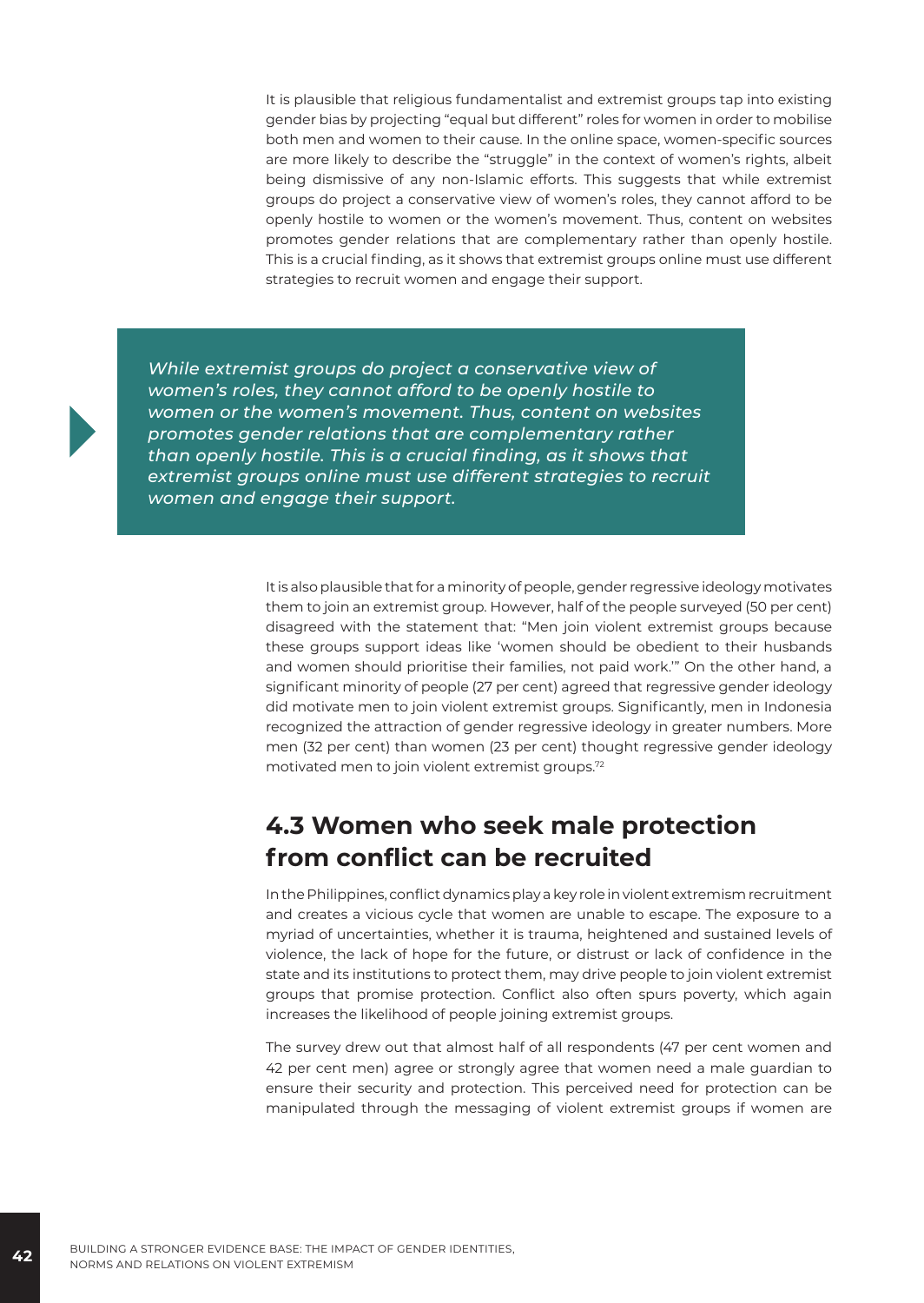It is plausible that religious fundamentalist and extremist groups tap into existing gender bias by projecting "equal but different" roles for women in order to mobilise both men and women to their cause. In the online space, women-specific sources are more likely to describe the "struggle" in the context of women's rights, albeit being dismissive of any non-Islamic efforts. This suggests that while extremist groups do project a conservative view of women's roles, they cannot afford to be openly hostile to women or the women's movement. Thus, content on websites promotes gender relations that are complementary rather than openly hostile. This is a crucial finding, as it shows that extremist groups online must use different strategies to recruit women and engage their support.

*While extremist groups do project a conservative view of women's roles, they cannot afford to be openly hostile to women or the women's movement. Thus, content on websites promotes gender relations that are complementary rather than openly hostile. This is a crucial finding, as it shows that extremist groups online must use different strategies to recruit women and engage their support.*

> It is also plausible that for a minority of people, gender regressive ideology motivates them to join an extremist group. However, half of the people surveyed (50 per cent) disagreed with the statement that: "Men join violent extremist groups because these groups support ideas like 'women should be obedient to their husbands and women should prioritise their families, not paid work.'" On the other hand, a significant minority of people (27 per cent) agreed that regressive gender ideology did motivate men to join violent extremist groups. Significantly, men in Indonesia recognized the attraction of gender regressive ideology in greater numbers. More men (32 per cent) than women (23 per cent) thought regressive gender ideology motivated men to join violent extremist groups.72

### **4.3 Women who seek male protection from conflict can be recruited**

In the Philippines, conflict dynamics play a key role in violent extremism recruitment and creates a vicious cycle that women are unable to escape. The exposure to a myriad of uncertainties, whether it is trauma, heightened and sustained levels of violence, the lack of hope for the future, or distrust or lack of confidence in the state and its institutions to protect them, may drive people to join violent extremist groups that promise protection. Conflict also often spurs poverty, which again increases the likelihood of people joining extremist groups.

The survey drew out that almost half of all respondents (47 per cent women and 42 per cent men) agree or strongly agree that women need a male guardian to ensure their security and protection. This perceived need for protection can be manipulated through the messaging of violent extremist groups if women are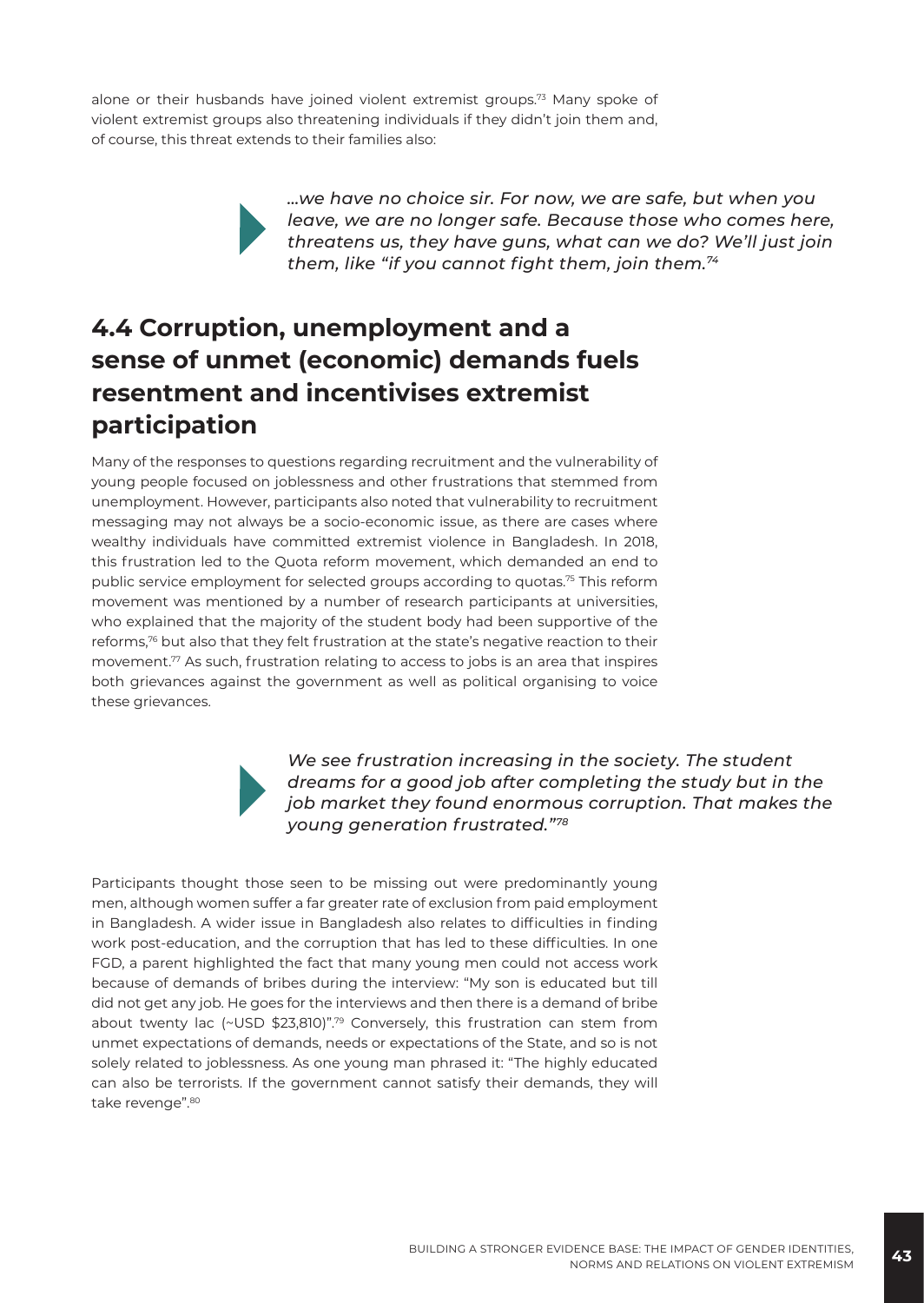alone or their husbands have joined violent extremist groups.73 Many spoke of violent extremist groups also threatening individuals if they didn't join them and, of course, this threat extends to their families also:

> *…we have no choice sir. For now, we are safe, but when you leave, we are no longer safe. Because those who comes here, threatens us, they have guns, what can we do? We'll just join them, like "if you cannot fight them, join them.<sup>74</sup>*

# **4.4 Corruption, unemployment and a sense of unmet (economic) demands fuels resentment and incentivises extremist participation**

Many of the responses to questions regarding recruitment and the vulnerability of young people focused on joblessness and other frustrations that stemmed from unemployment. However, participants also noted that vulnerability to recruitment messaging may not always be a socio-economic issue, as there are cases where wealthy individuals have committed extremist violence in Bangladesh. In 2018, this frustration led to the Quota reform movement, which demanded an end to public service employment for selected groups according to quotas.75 This reform movement was mentioned by a number of research participants at universities, who explained that the majority of the student body had been supportive of the reforms, $76$  but also that they felt frustration at the state's negative reaction to their movement.77 As such, frustration relating to access to jobs is an area that inspires both grievances against the government as well as political organising to voice these grievances.



*We see frustration increasing in the society. The student dreams for a good job after completing the study but in the job market they found enormous corruption. That makes the young generation frustrated."78*

Participants thought those seen to be missing out were predominantly young men, although women suffer a far greater rate of exclusion from paid employment in Bangladesh. A wider issue in Bangladesh also relates to difficulties in finding work post-education, and the corruption that has led to these difficulties. In one FGD, a parent highlighted the fact that many young men could not access work because of demands of bribes during the interview: "My son is educated but till did not get any job. He goes for the interviews and then there is a demand of bribe about twenty lac (~USD \$23,810)".79 Conversely, this frustration can stem from unmet expectations of demands, needs or expectations of the State, and so is not solely related to joblessness. As one young man phrased it: "The highly educated can also be terrorists. If the government cannot satisfy their demands, they will take revenge".80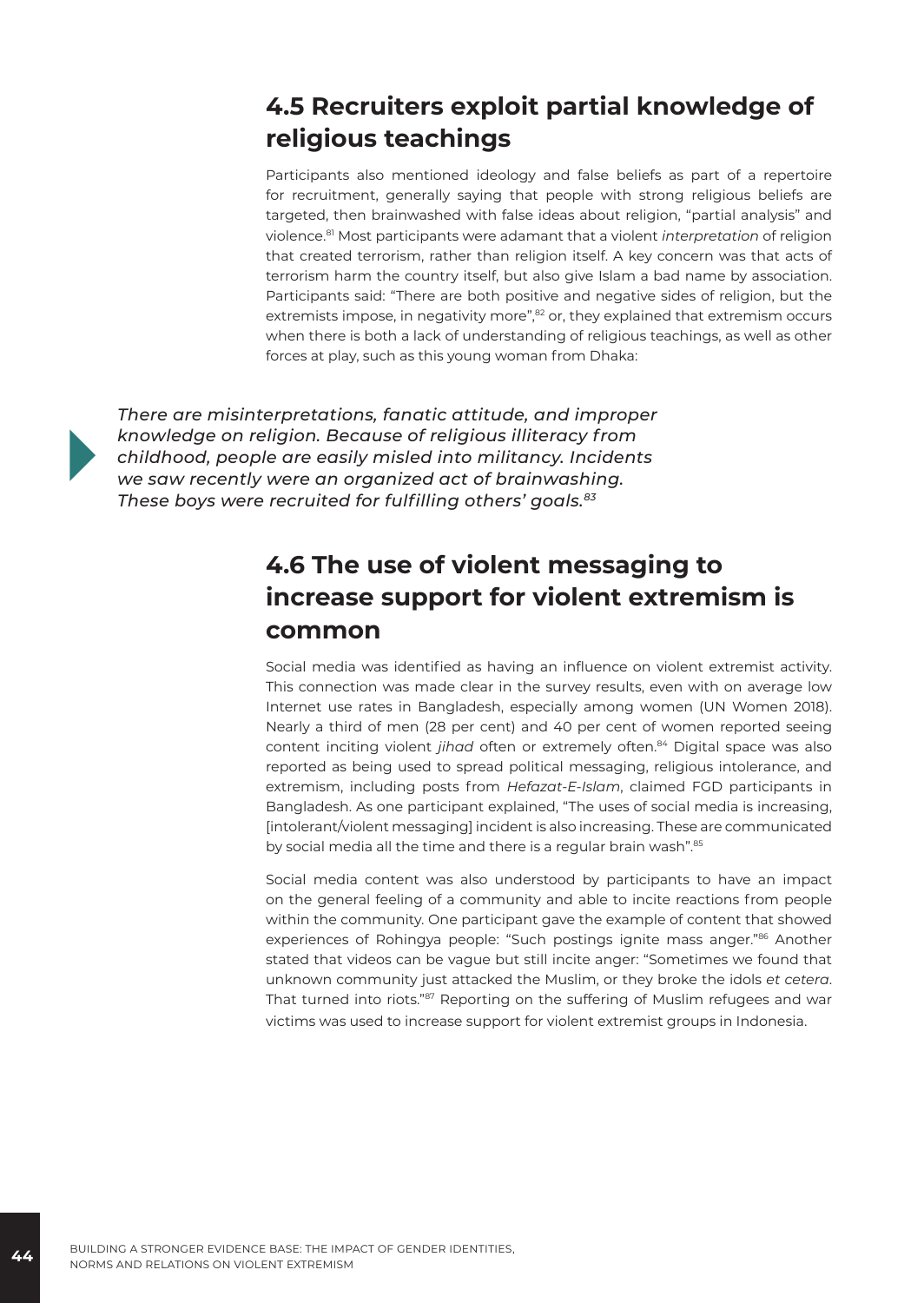# **4.5 Recruiters exploit partial knowledge of religious teachings**

Participants also mentioned ideology and false beliefs as part of a repertoire for recruitment, generally saying that people with strong religious beliefs are targeted, then brainwashed with false ideas about religion, "partial analysis" and violence.81 Most participants were adamant that a violent *interpretation* of religion that created terrorism, rather than religion itself. A key concern was that acts of terrorism harm the country itself, but also give Islam a bad name by association. Participants said: "There are both positive and negative sides of religion, but the extremists impose, in negativity more",<sup>82</sup> or, they explained that extremism occurs when there is both a lack of understanding of religious teachings, as well as other forces at play, such as this young woman from Dhaka:



*There are misinterpretations, fanatic attitude, and improper knowledge on religion. Because of religious illiteracy from childhood, people are easily misled into militancy. Incidents we saw recently were an organized act of brainwashing. These boys were recruited for fulfilling others' goals.83*

# **4.6 The use of violent messaging to increase support for violent extremism is common**

Social media was identified as having an influence on violent extremist activity. This connection was made clear in the survey results, even with on average low Internet use rates in Bangladesh, especially among women (UN Women 2018). Nearly a third of men (28 per cent) and 40 per cent of women reported seeing content inciting violent *jihad* often or extremely often.84 Digital space was also reported as being used to spread political messaging, religious intolerance, and extremism, including posts from *Hefazat-E-Islam*, claimed FGD participants in Bangladesh. As one participant explained, "The uses of social media is increasing, [intolerant/violent messaging] incident is also increasing. These are communicated by social media all the time and there is a regular brain wash".<sup>85</sup>

Social media content was also understood by participants to have an impact on the general feeling of a community and able to incite reactions from people within the community. One participant gave the example of content that showed experiences of Rohingya people: "Such postings ignite mass anger."86 Another stated that videos can be vague but still incite anger: "Sometimes we found that unknown community just attacked the Muslim, or they broke the idols *et cetera*. That turned into riots."<sup>87</sup> Reporting on the suffering of Muslim refugees and war victims was used to increase support for violent extremist groups in Indonesia.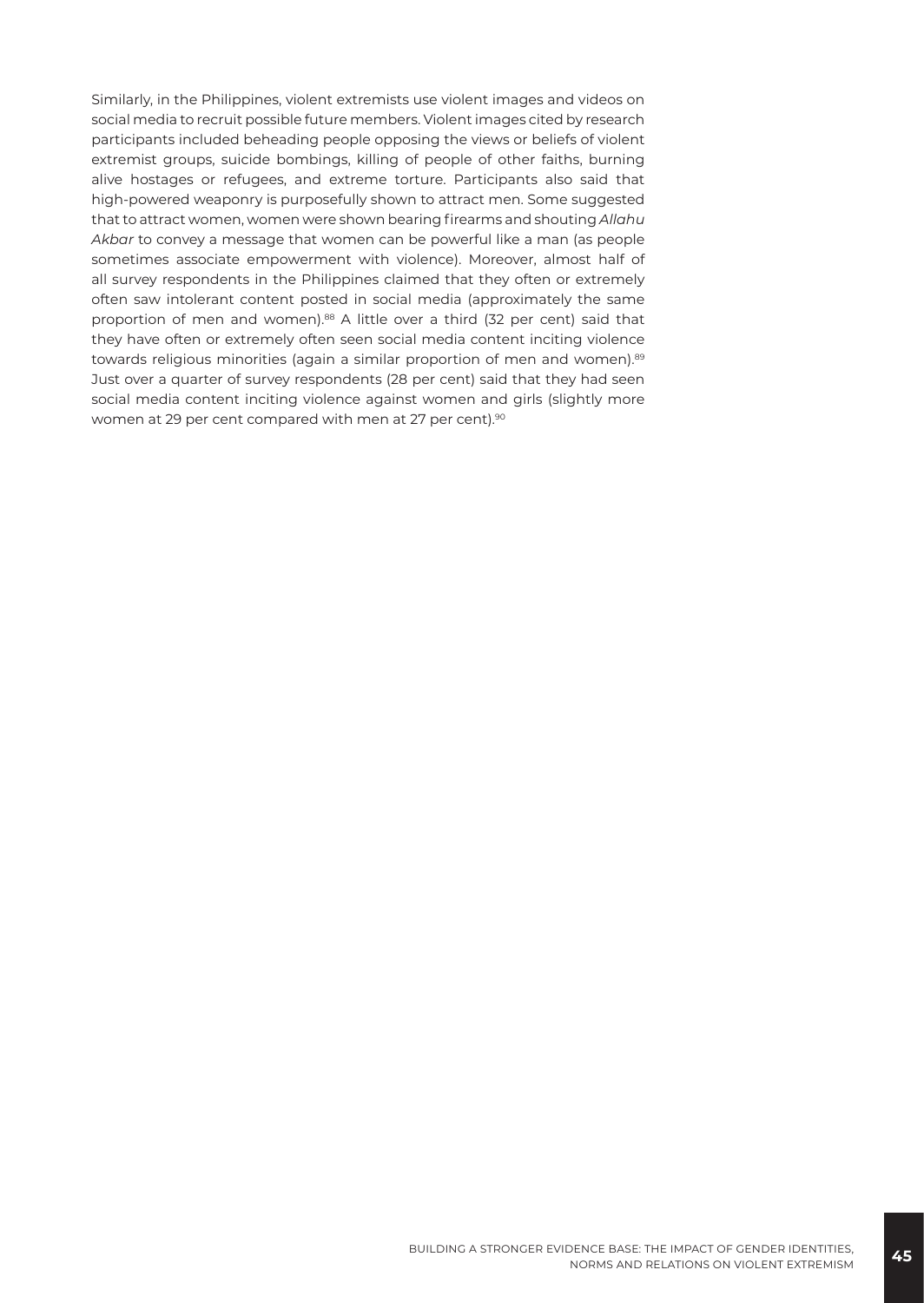Similarly, in the Philippines, violent extremists use violent images and videos on social media to recruit possible future members. Violent images cited by research participants included beheading people opposing the views or beliefs of violent extremist groups, suicide bombings, killing of people of other faiths, burning alive hostages or refugees, and extreme torture. Participants also said that high-powered weaponry is purposefully shown to attract men. Some suggested that to attract women, women were shown bearing firearms and shouting *Allahu Akbar* to convey a message that women can be powerful like a man (as people sometimes associate empowerment with violence). Moreover, almost half of all survey respondents in the Philippines claimed that they often or extremely often saw intolerant content posted in social media (approximately the same proportion of men and women).<sup>88</sup> A little over a third (32 per cent) said that they have often or extremely often seen social media content inciting violence towards religious minorities (again a similar proportion of men and women).<sup>89</sup> Just over a quarter of survey respondents (28 per cent) said that they had seen social media content inciting violence against women and girls (slightly more women at 29 per cent compared with men at 27 per cent).<sup>90</sup>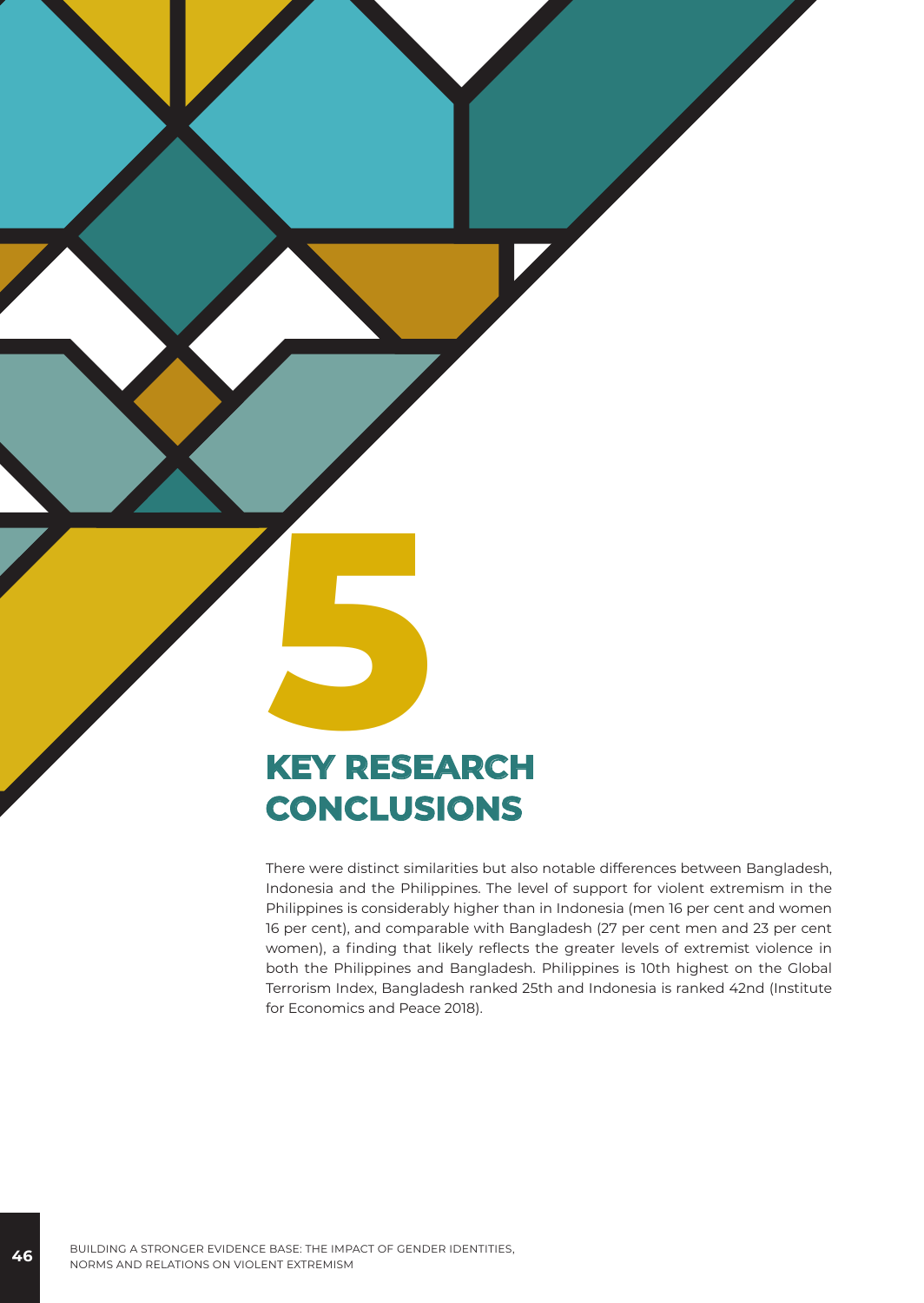# **5 KEY RESEARCH CONCLUSIONS**

There were distinct similarities but also notable differences between Bangladesh, Indonesia and the Philippines. The level of support for violent extremism in the Philippines is considerably higher than in Indonesia (men 16 per cent and women 16 per cent), and comparable with Bangladesh (27 per cent men and 23 per cent women), a finding that likely reflects the greater levels of extremist violence in both the Philippines and Bangladesh. Philippines is 10th highest on the Global Terrorism Index, Bangladesh ranked 25th and Indonesia is ranked 42nd (Institute for Economics and Peace 2018).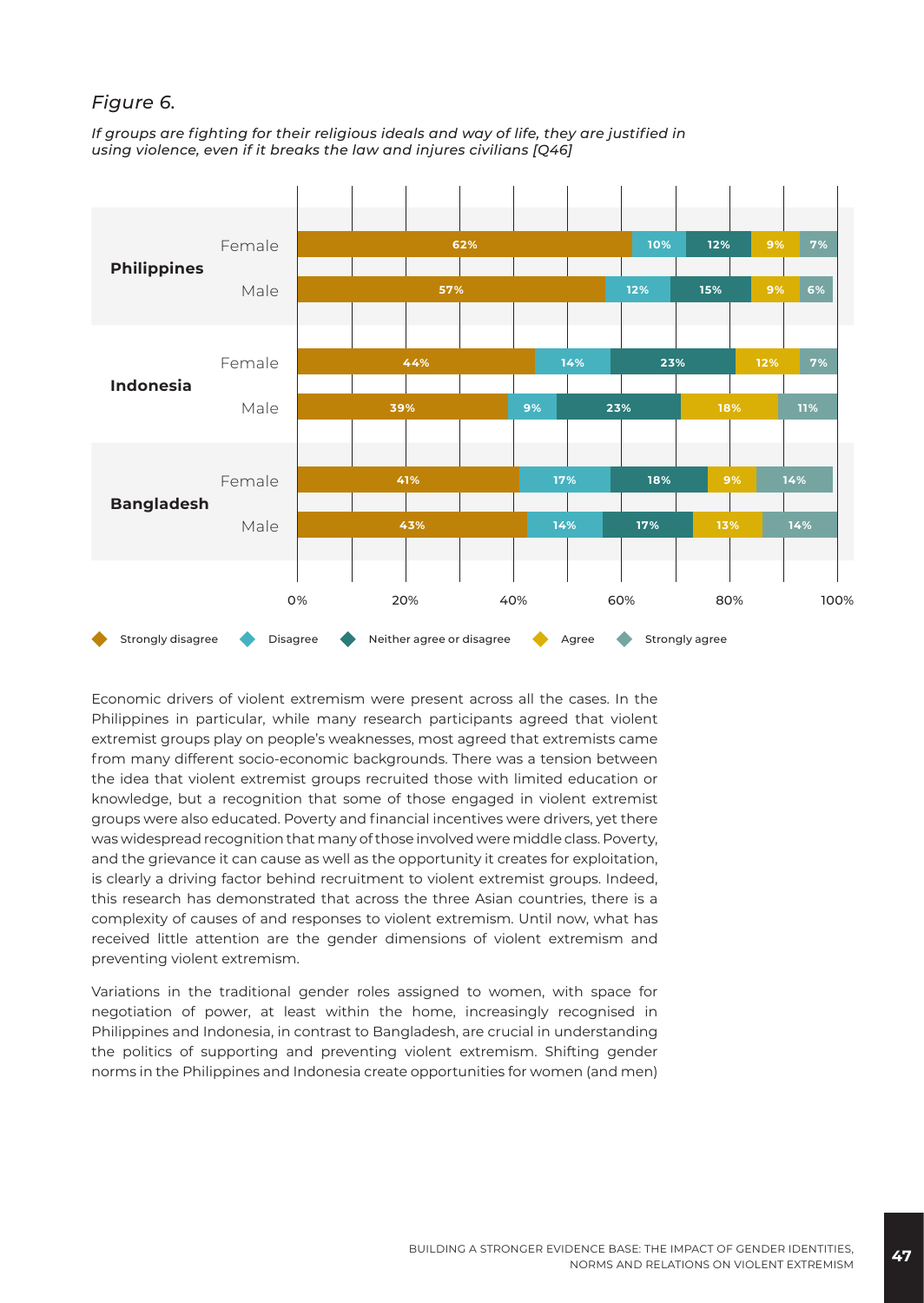#### *Figure 6.*

*If groups are fighting for their religious ideals and way of life, they are justified in using violence, even if it breaks the law and injures civilians [Q46]*



Economic drivers of violent extremism were present across all the cases. In the Philippines in particular, while many research participants agreed that violent extremist groups play on people's weaknesses, most agreed that extremists came from many different socio-economic backgrounds. There was a tension between the idea that violent extremist groups recruited those with limited education or knowledge, but a recognition that some of those engaged in violent extremist groups were also educated. Poverty and financial incentives were drivers, yet there was widespread recognition that many of those involved were middle class. Poverty, and the grievance it can cause as well as the opportunity it creates for exploitation, is clearly a driving factor behind recruitment to violent extremist groups. Indeed, this research has demonstrated that across the three Asian countries, there is a complexity of causes of and responses to violent extremism. Until now, what has received little attention are the gender dimensions of violent extremism and preventing violent extremism.

Variations in the traditional gender roles assigned to women, with space for negotiation of power, at least within the home, increasingly recognised in Philippines and Indonesia, in contrast to Bangladesh, are crucial in understanding the politics of supporting and preventing violent extremism. Shifting gender norms in the Philippines and Indonesia create opportunities for women (and men)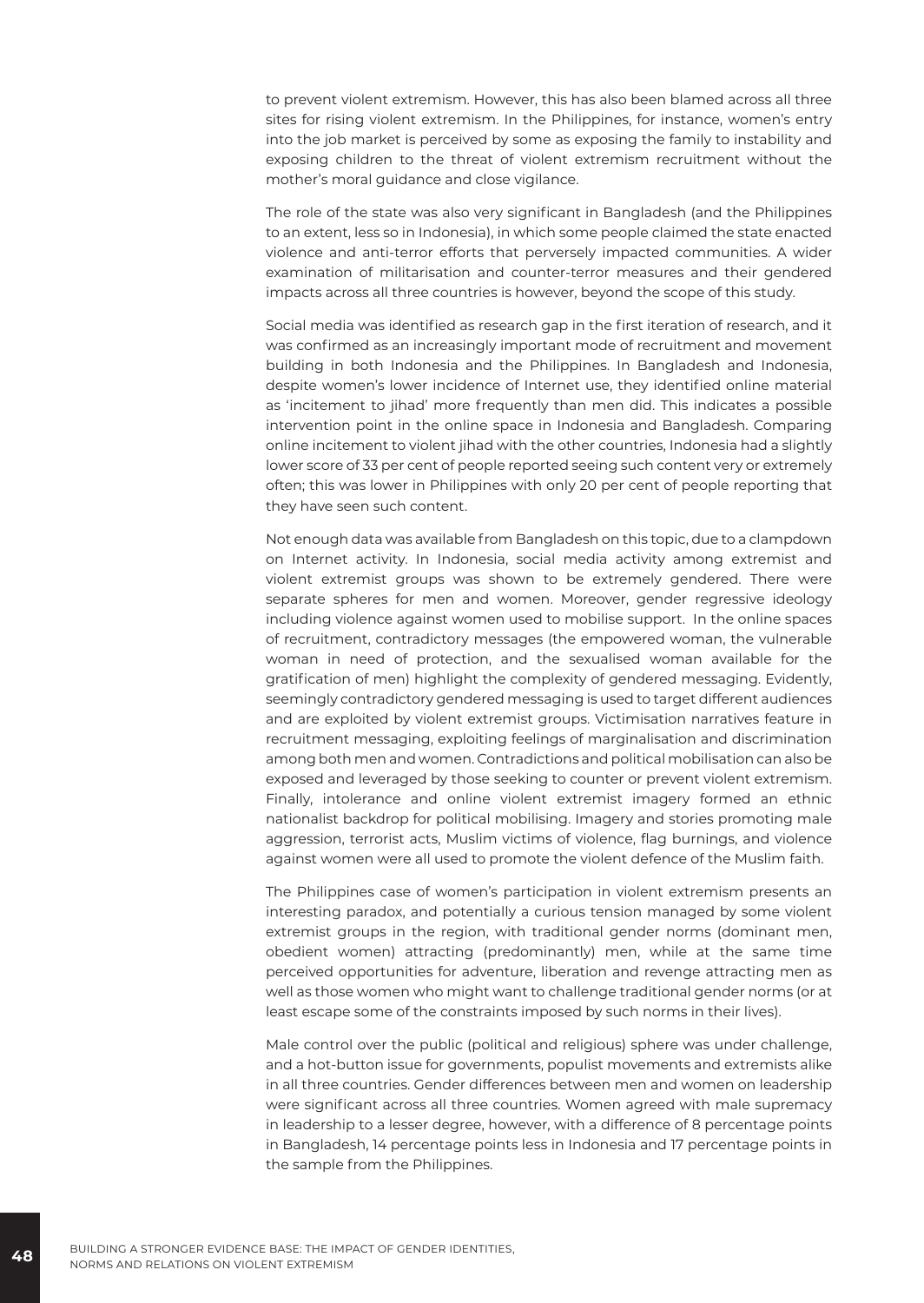to prevent violent extremism. However, this has also been blamed across all three sites for rising violent extremism. In the Philippines, for instance, women's entry into the job market is perceived by some as exposing the family to instability and exposing children to the threat of violent extremism recruitment without the mother's moral guidance and close vigilance.

The role of the state was also very significant in Bangladesh (and the Philippines to an extent, less so in Indonesia), in which some people claimed the state enacted violence and anti-terror efforts that perversely impacted communities. A wider examination of militarisation and counter-terror measures and their gendered impacts across all three countries is however, beyond the scope of this study.

Social media was identified as research gap in the first iteration of research, and it was confirmed as an increasingly important mode of recruitment and movement building in both Indonesia and the Philippines. In Bangladesh and Indonesia, despite women's lower incidence of Internet use, they identified online material as 'incitement to jihad' more frequently than men did. This indicates a possible intervention point in the online space in Indonesia and Bangladesh. Comparing online incitement to violent jihad with the other countries, Indonesia had a slightly lower score of 33 per cent of people reported seeing such content very or extremely often; this was lower in Philippines with only 20 per cent of people reporting that they have seen such content.

Not enough data was available from Bangladesh on this topic, due to a clampdown on Internet activity. In Indonesia, social media activity among extremist and violent extremist groups was shown to be extremely gendered. There were separate spheres for men and women. Moreover, gender regressive ideology including violence against women used to mobilise support. In the online spaces of recruitment, contradictory messages (the empowered woman, the vulnerable woman in need of protection, and the sexualised woman available for the gratification of men) highlight the complexity of gendered messaging. Evidently, seemingly contradictory gendered messaging is used to target different audiences and are exploited by violent extremist groups. Victimisation narratives feature in recruitment messaging, exploiting feelings of marginalisation and discrimination among both men and women. Contradictions and political mobilisation can also be exposed and leveraged by those seeking to counter or prevent violent extremism. Finally, intolerance and online violent extremist imagery formed an ethnic nationalist backdrop for political mobilising. Imagery and stories promoting male aggression, terrorist acts, Muslim victims of violence, flag burnings, and violence against women were all used to promote the violent defence of the Muslim faith.

The Philippines case of women's participation in violent extremism presents an interesting paradox, and potentially a curious tension managed by some violent extremist groups in the region, with traditional gender norms (dominant men, obedient women) attracting (predominantly) men, while at the same time perceived opportunities for adventure, liberation and revenge attracting men as well as those women who might want to challenge traditional gender norms (or at least escape some of the constraints imposed by such norms in their lives).

Male control over the public (political and religious) sphere was under challenge, and a hot-button issue for governments, populist movements and extremists alike in all three countries. Gender differences between men and women on leadership were significant across all three countries. Women agreed with male supremacy in leadership to a lesser degree, however, with a difference of 8 percentage points in Bangladesh, 14 percentage points less in Indonesia and 17 percentage points in the sample from the Philippines.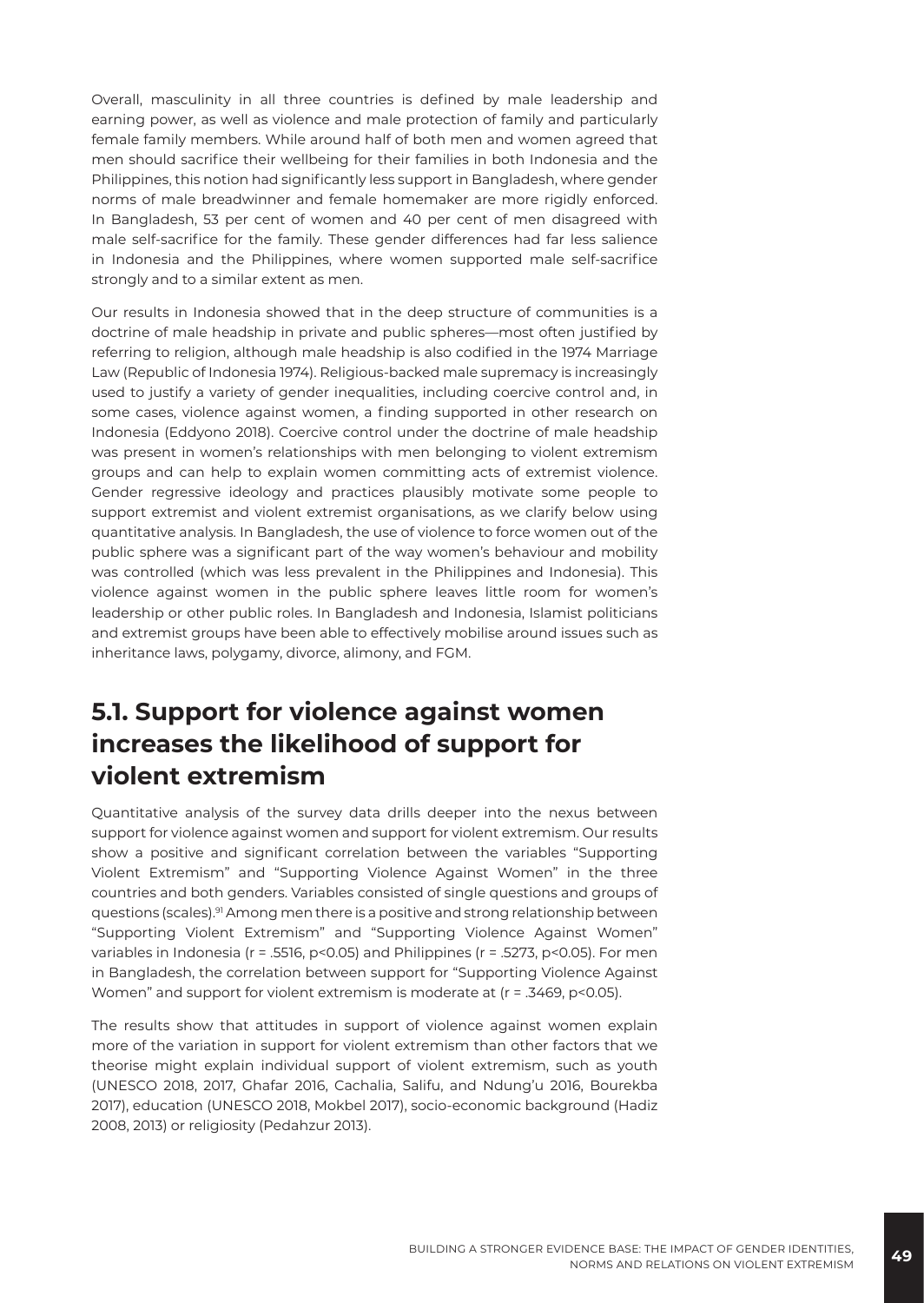Overall, masculinity in all three countries is defined by male leadership and earning power, as well as violence and male protection of family and particularly female family members. While around half of both men and women agreed that men should sacrifice their wellbeing for their families in both Indonesia and the Philippines, this notion had significantly less support in Bangladesh, where gender norms of male breadwinner and female homemaker are more rigidly enforced. In Bangladesh, 53 per cent of women and 40 per cent of men disagreed with male self-sacrifice for the family. These gender differences had far less salience in Indonesia and the Philippines, where women supported male self-sacrifice strongly and to a similar extent as men.

Our results in Indonesia showed that in the deep structure of communities is a doctrine of male headship in private and public spheres—most often justified by referring to religion, although male headship is also codified in the 1974 Marriage Law (Republic of Indonesia 1974). Religious-backed male supremacy is increasingly used to justify a variety of gender inequalities, including coercive control and, in some cases, violence against women, a finding supported in other research on Indonesia (Eddyono 2018). Coercive control under the doctrine of male headship was present in women's relationships with men belonging to violent extremism groups and can help to explain women committing acts of extremist violence. Gender regressive ideology and practices plausibly motivate some people to support extremist and violent extremist organisations, as we clarify below using quantitative analysis. In Bangladesh, the use of violence to force women out of the public sphere was a significant part of the way women's behaviour and mobility was controlled (which was less prevalent in the Philippines and Indonesia). This violence against women in the public sphere leaves little room for women's leadership or other public roles. In Bangladesh and Indonesia, Islamist politicians and extremist groups have been able to effectively mobilise around issues such as inheritance laws, polygamy, divorce, alimony, and FGM.

## **5.1. Support for violence against women increases the likelihood of support for violent extremism**

Quantitative analysis of the survey data drills deeper into the nexus between support for violence against women and support for violent extremism. Our results show a positive and significant correlation between the variables "Supporting Violent Extremism" and "Supporting Violence Against Women" in the three countries and both genders. Variables consisted of single questions and groups of questions (scales).<sup>91</sup> Among men there is a positive and strong relationship between "Supporting Violent Extremism" and "Supporting Violence Against Women" variables in Indonesia (r = .5516, p<0.05) and Philippines (r = .5273, p<0.05). For men in Bangladesh, the correlation between support for "Supporting Violence Against Women" and support for violent extremism is moderate at (r = .3469, p<0.05).

The results show that attitudes in support of violence against women explain more of the variation in support for violent extremism than other factors that we theorise might explain individual support of violent extremism, such as youth (UNESCO 2018, 2017, Ghafar 2016, Cachalia, Salifu, and Ndung'u 2016, Bourekba 2017), education (UNESCO 2018, Mokbel 2017), socio-economic background (Hadiz 2008, 2013) or religiosity (Pedahzur 2013).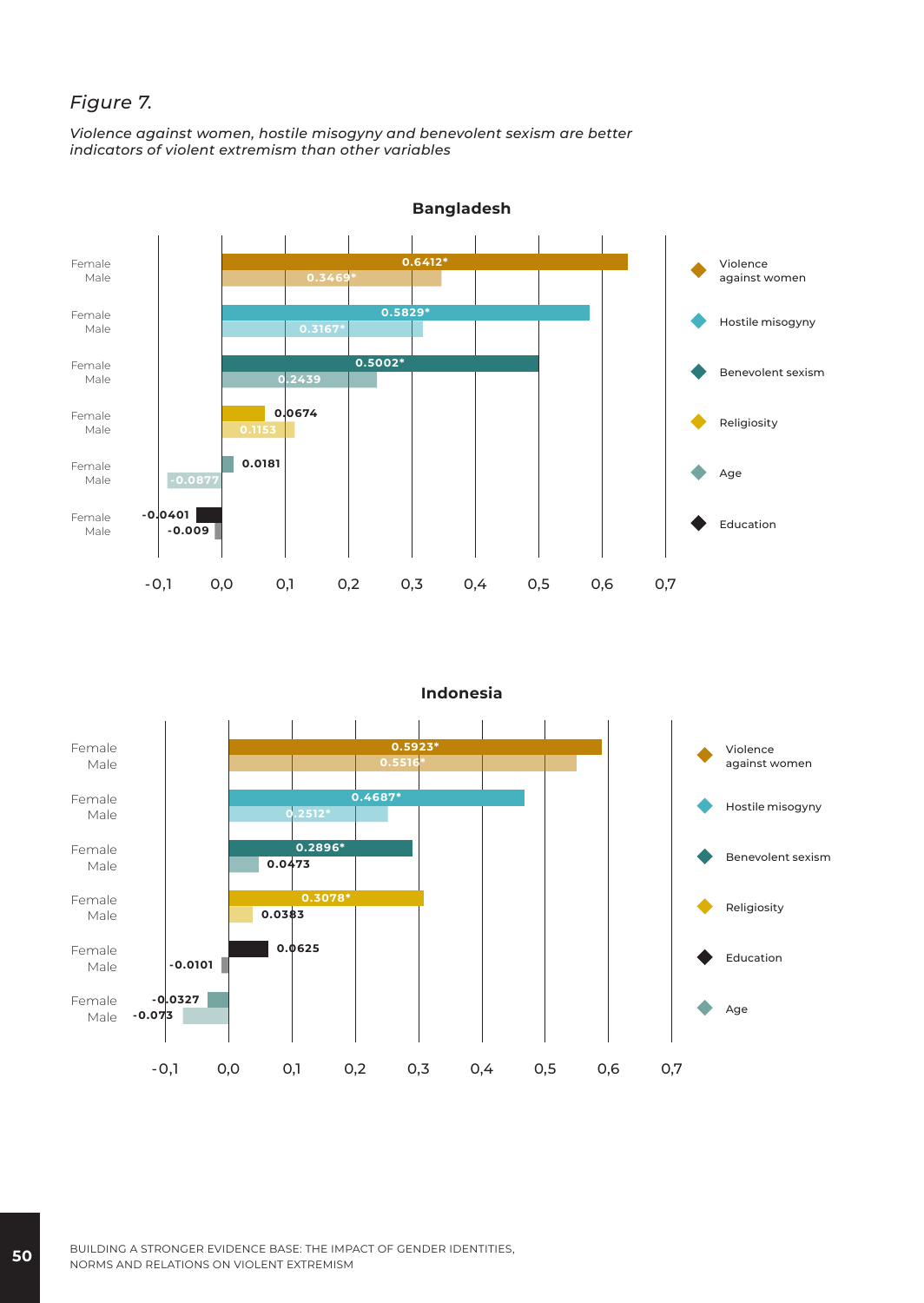#### *Figure 7.*

*Violence against women, hostile misogyny and benevolent sexism are better indicators of violent extremism than other variables*



**Indonesia**

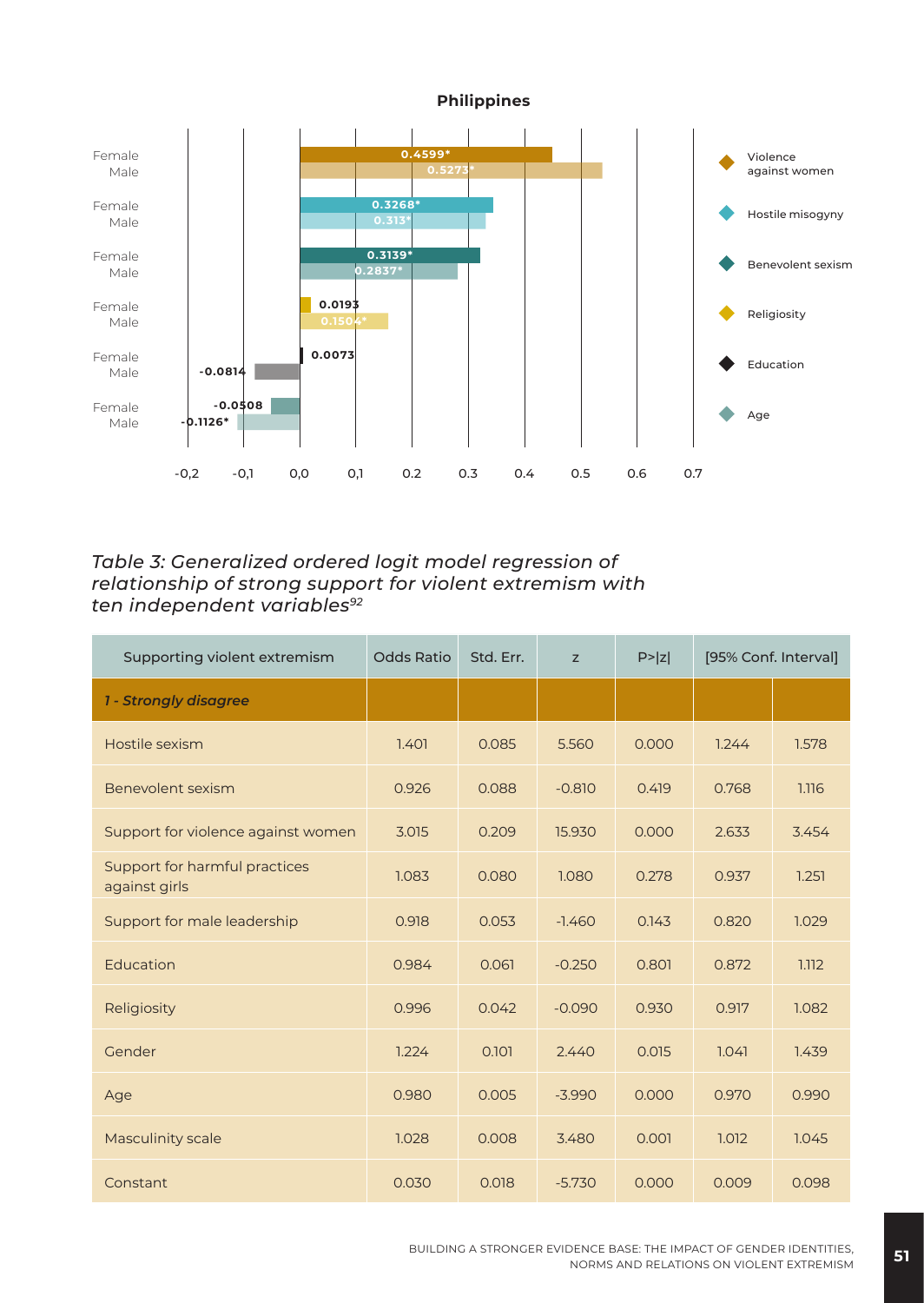

*Table 3: Generalized ordered logit model regression of relationship of strong support for violent extremism with ten independent variables<sup>92</sup>*

| Supporting violent extremism                   | <b>Odds Ratio</b> | Std. Err. | z        | P >  z | [95% Conf. Interval] |       |
|------------------------------------------------|-------------------|-----------|----------|--------|----------------------|-------|
| 1 - Strongly disagree                          |                   |           |          |        |                      |       |
| Hostile sexism                                 | 1.401             | 0.085     | 5.560    | 0.000  | 1.244                | 1.578 |
| Benevolent sexism                              | 0.926             | 0.088     | $-0.810$ | 0.419  | 0.768                | 1.116 |
| Support for violence against women             | 3.015             | 0.209     | 15.930   | 0.000  | 2.633                | 3.454 |
| Support for harmful practices<br>against girls | 1.083             | 0.080     | 1.080    | 0.278  | 0.937                | 1.251 |
| Support for male leadership                    | 0.918             | 0.053     | $-1.460$ | 0.143  | 0.820                | 1.029 |
| Education                                      | 0.984             | 0.061     | $-0.250$ | 0.801  | 0.872                | 1.112 |
| Religiosity                                    | 0.996             | 0.042     | $-0.090$ | 0.930  | 0.917                | 1.082 |
| Gender                                         | 1.224             | 0.101     | 2.440    | 0.015  | 1.041                | 1.439 |
| Age                                            | 0.980             | 0.005     | $-3.990$ | 0.000  | 0.970                | 0.990 |
| <b>Masculinity scale</b>                       | 1.028             | 0.008     | 3.480    | 0.001  | 1.012                | 1.045 |
| Constant                                       | 0.030             | 0.018     | $-5.730$ | 0.000  | 0.009                | 0.098 |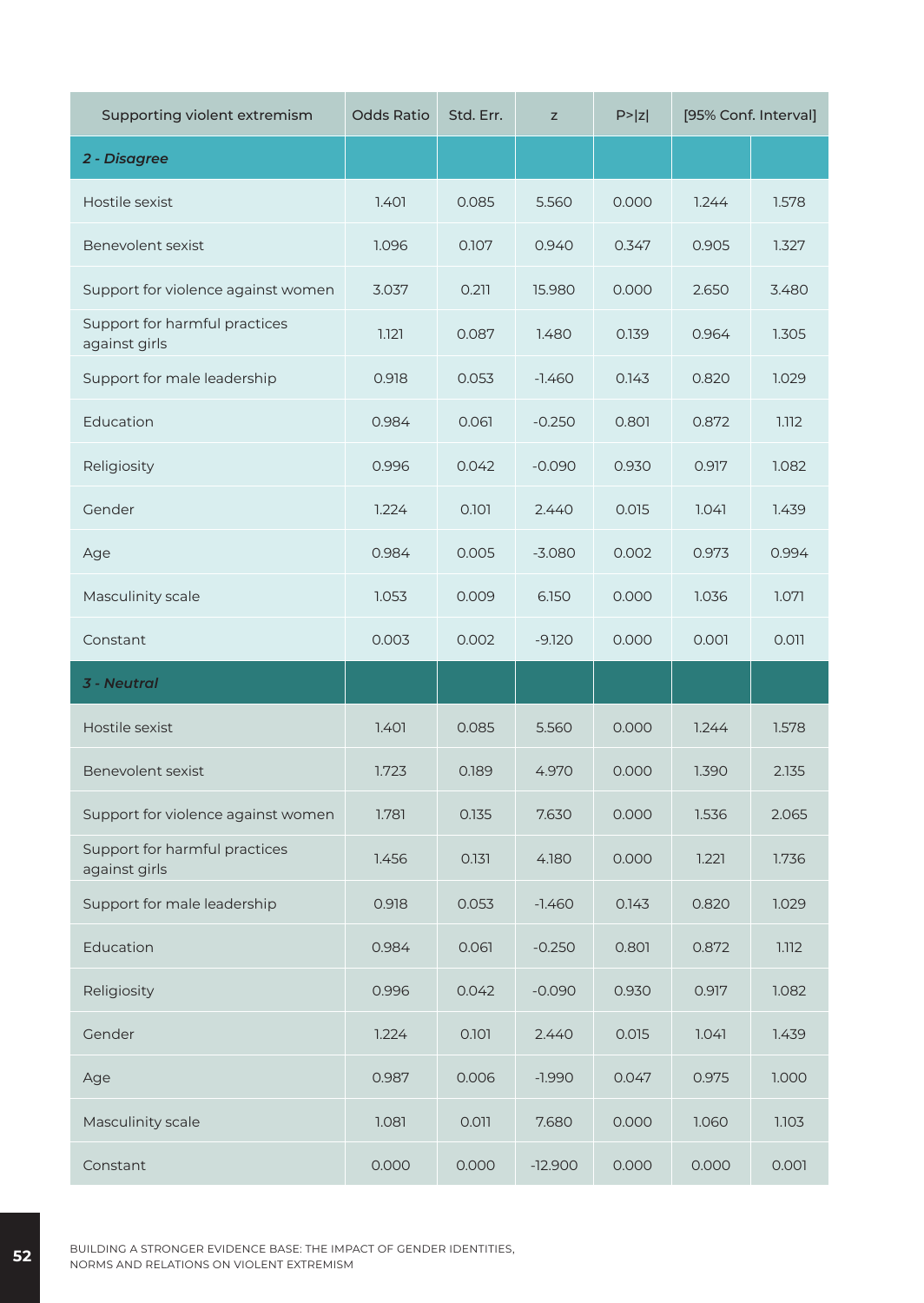| Supporting violent extremism                   | <b>Odds Ratio</b> | Std. Err. | Z         | P >  z | [95% Conf. Interval] |       |
|------------------------------------------------|-------------------|-----------|-----------|--------|----------------------|-------|
| 2 - Disagree                                   |                   |           |           |        |                      |       |
| Hostile sexist                                 | 1.401             | 0.085     | 5.560     | 0.000  | 1.244                | 1.578 |
| Benevolent sexist                              | 1.096             | 0.107     | 0.940     | 0.347  | 0.905                | 1.327 |
| Support for violence against women             | 3.037             | 0.211     | 15.980    | 0.000  | 2.650                | 3.480 |
| Support for harmful practices<br>against girls | 1.121             | 0.087     | 1.480     | 0.139  | 0.964                | 1.305 |
| Support for male leadership                    | 0.918             | 0.053     | $-1.460$  | 0.143  | 0.820                | 1.029 |
| Education                                      | 0.984             | 0.061     | $-0.250$  | 0.801  | 0.872                | 1.112 |
| Religiosity                                    | 0.996             | 0.042     | $-0.090$  | 0.930  | 0.917                | 1.082 |
| Gender                                         | 1.224             | 0.101     | 2.440     | 0.015  | 1.041                | 1.439 |
| Age                                            | 0.984             | 0.005     | $-3.080$  | 0.002  | 0.973                | 0.994 |
| Masculinity scale                              | 1.053             | 0.009     | 6.150     | 0.000  | 1.036                | 1.071 |
| Constant                                       | 0.003             | 0.002     | $-9.120$  | 0.000  | 0.001                | 0.011 |
| <b>3 - Neutral</b>                             |                   |           |           |        |                      |       |
| Hostile sexist                                 | 1.401             | 0.085     | 5.560     | 0.000  | 1.244                | 1.578 |
| Benevolent sexist                              | 1.723             | 0.189     | 4.970     | 0.000  | 1.390                | 2.135 |
| Support for violence against women             | 1.781             | 0.135     | 7.630     | 0.000  | 1.536                | 2.065 |
| Support for harmful practices<br>against girls | 1.456             | 0.131     | 4.180     | 0.000  | 1.221                | 1.736 |
| Support for male leadership                    | 0.918             | 0.053     | $-1.460$  | 0.143  | 0.820                | 1.029 |
| Education                                      | 0.984             | 0.061     | $-0.250$  | 0.801  | 0.872                | 1.112 |
| Religiosity                                    | 0.996             | 0.042     | $-0.090$  | 0.930  | 0.917                | 1.082 |
| Gender                                         | 1.224             | 0.101     | 2.440     | 0.015  | 1.041                | 1.439 |
| Age                                            | 0.987             | 0.006     | $-1.990$  | 0.047  | 0.975                | 1.000 |
| Masculinity scale                              | 1.081             | 0.011     | 7.680     | 0.000  | 1.060                | 1.103 |
| Constant                                       | 0.000             | 0.000     | $-12.900$ | 0.000  | 0.000                | 0.001 |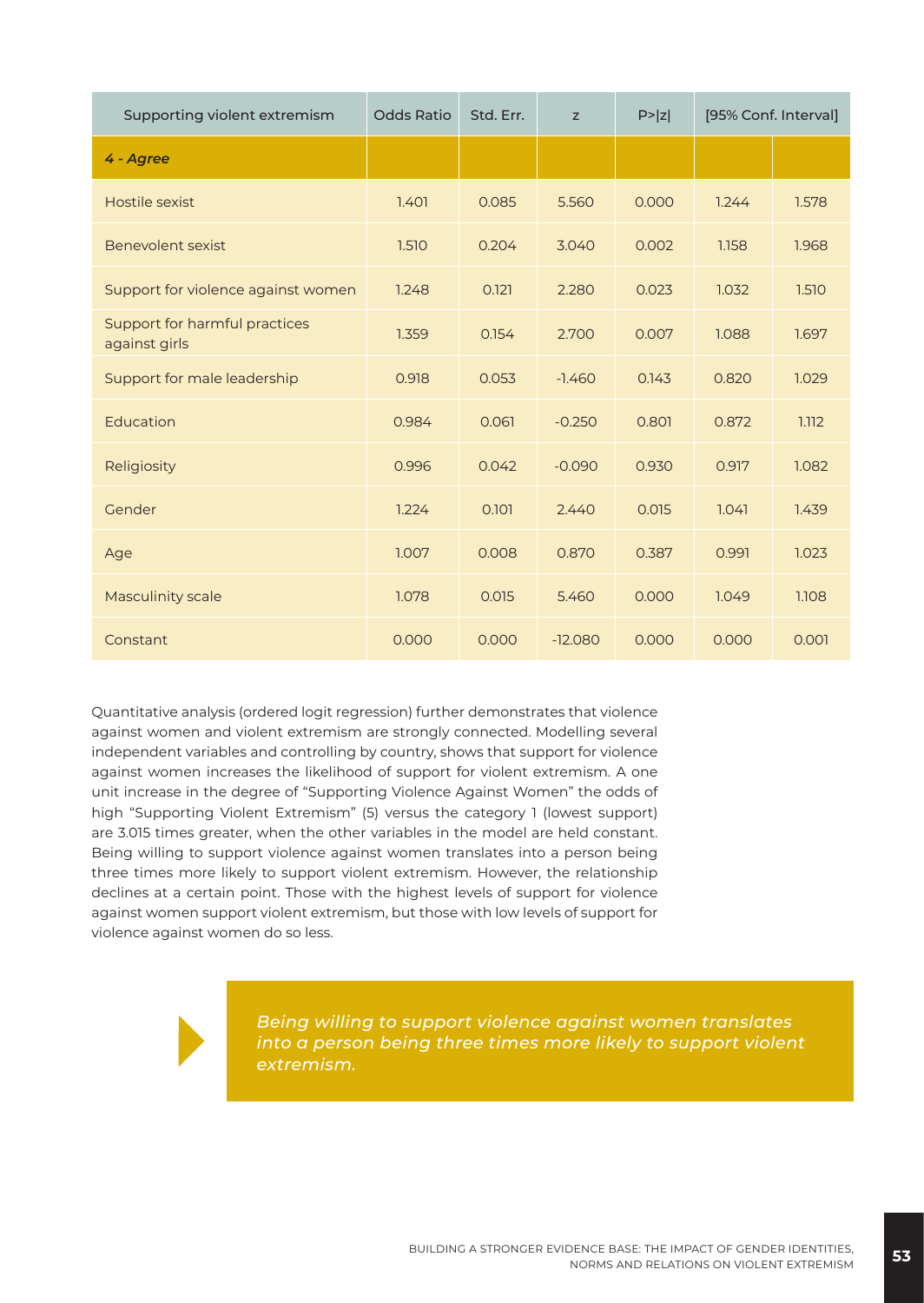| Supporting violent extremism                   | <b>Odds Ratio</b> | Std. Err. | z         | P >  z | [95% Conf. Interval] |       |
|------------------------------------------------|-------------------|-----------|-----------|--------|----------------------|-------|
| 4 - Agree                                      |                   |           |           |        |                      |       |
| Hostile sexist                                 | 1.401             | 0.085     | 5.560     | 0.000  | 1.244                | 1.578 |
| Benevolent sexist                              | 1.510             | 0.204     | 3.040     | 0.002  | 1.158                | 1.968 |
| Support for violence against women             | 1.248             | 0.121     | 2.280     | 0.023  | 1.032                | 1.510 |
| Support for harmful practices<br>against girls | 1.359             | 0.154     | 2.700     | 0.007  | 1.088                | 1.697 |
| Support for male leadership                    | 0.918             | 0.053     | $-1.460$  | 0.143  | 0.820                | 1.029 |
| Education                                      | 0.984             | 0.061     | $-0.250$  | 0.801  | 0.872                | 1.112 |
| Religiosity                                    | 0.996             | 0.042     | $-0.090$  | 0.930  | 0.917                | 1.082 |
| Gender                                         | 1.224             | 0.101     | 2.440     | 0.015  | 1.041                | 1.439 |
| Age                                            | 1.007             | 0.008     | 0.870     | 0.387  | 0.991                | 1.023 |
| <b>Masculinity scale</b>                       | 1.078             | 0.015     | 5.460     | 0.000  | 1.049                | 1.108 |
| Constant                                       | 0.000             | 0.000     | $-12.080$ | 0.000  | 0.000                | 0.001 |

Quantitative analysis (ordered logit regression) further demonstrates that violence against women and violent extremism are strongly connected. Modelling several independent variables and controlling by country, shows that support for violence against women increases the likelihood of support for violent extremism. A one unit increase in the degree of "Supporting Violence Against Women" the odds of high "Supporting Violent Extremism" (5) versus the category 1 (lowest support) are 3.015 times greater, when the other variables in the model are held constant. Being willing to support violence against women translates into a person being three times more likely to support violent extremism. However, the relationship declines at a certain point. Those with the highest levels of support for violence against women support violent extremism, but those with low levels of support for violence against women do so less.

*Being willing to support violence against women translates into a person being three times more likely to support violent extremism.*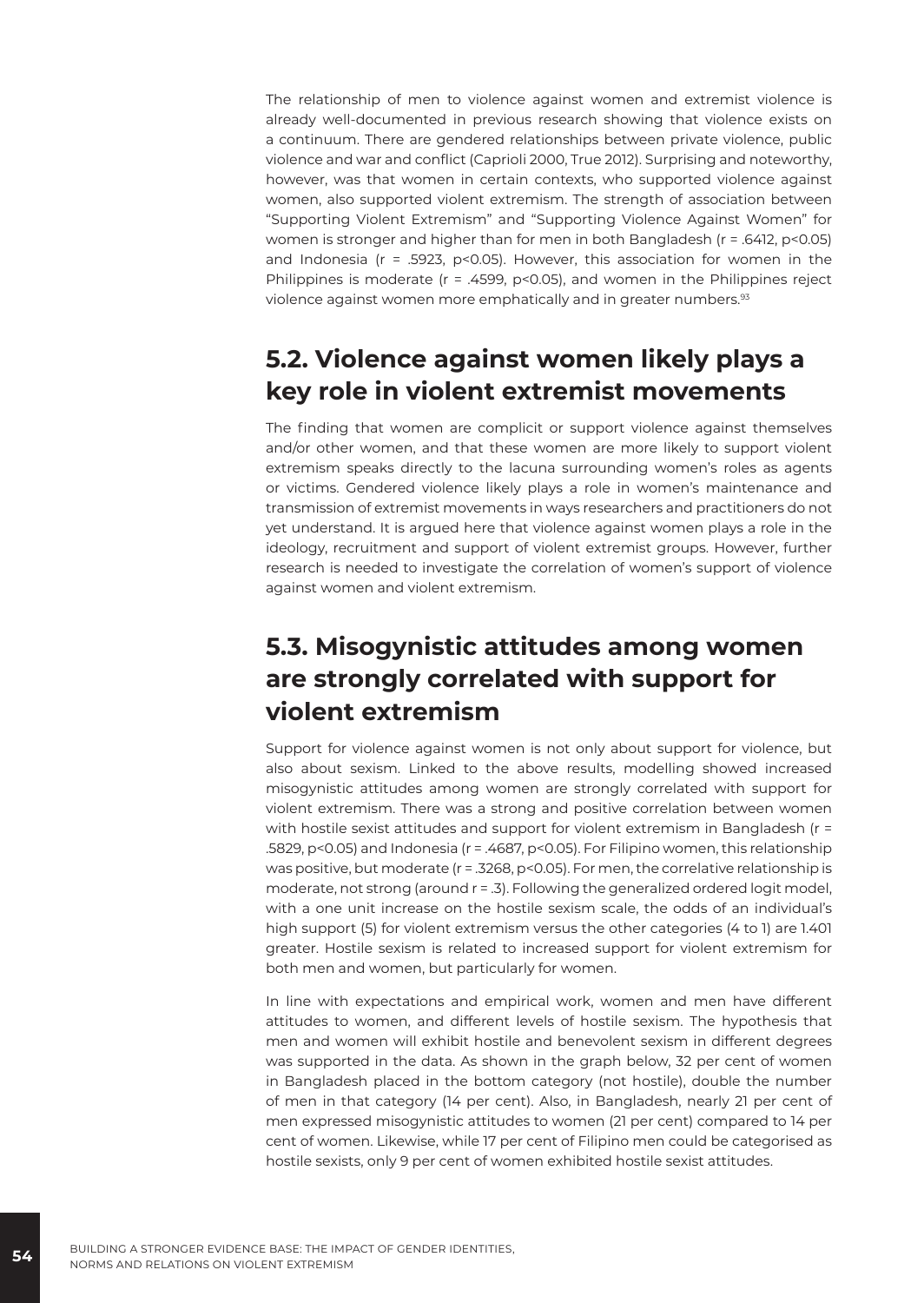The relationship of men to violence against women and extremist violence is already well-documented in previous research showing that violence exists on a continuum. There are gendered relationships between private violence, public violence and war and conflict (Caprioli 2000, True 2012). Surprising and noteworthy, however, was that women in certain contexts, who supported violence against women, also supported violent extremism. The strength of association between "Supporting Violent Extremism" and "Supporting Violence Against Women" for women is stronger and higher than for men in both Bangladesh (r = .6412, p<0.05) and Indonesia ( $r = .5923$ ,  $p < 0.05$ ). However, this association for women in the Philippines is moderate (r = .4599, p<0.05), and women in the Philippines reject violence against women more emphatically and in greater numbers.<sup>93</sup>

# **5.2. Violence against women likely plays a key role in violent extremist movements**

The finding that women are complicit or support violence against themselves and/or other women, and that these women are more likely to support violent extremism speaks directly to the lacuna surrounding women's roles as agents or victims. Gendered violence likely plays a role in women's maintenance and transmission of extremist movements in ways researchers and practitioners do not yet understand. It is argued here that violence against women plays a role in the ideology, recruitment and support of violent extremist groups. However, further research is needed to investigate the correlation of women's support of violence against women and violent extremism.

# **5.3. Misogynistic attitudes among women are strongly correlated with support for violent extremism**

Support for violence against women is not only about support for violence, but also about sexism. Linked to the above results, modelling showed increased misogynistic attitudes among women are strongly correlated with support for violent extremism. There was a strong and positive correlation between women with hostile sexist attitudes and support for violent extremism in Bangladesh (r = .5829, p<0.05) and Indonesia (r = .4687, p<0.05). For Filipino women, this relationship was positive, but moderate (r = .3268, p<0.05). For men, the correlative relationship is moderate, not strong (around r = .3). Following the generalized ordered logit model, with a one unit increase on the hostile sexism scale, the odds of an individual's high support (5) for violent extremism versus the other categories (4 to 1) are 1.401 greater. Hostile sexism is related to increased support for violent extremism for both men and women, but particularly for women.

In line with expectations and empirical work, women and men have different attitudes to women, and different levels of hostile sexism. The hypothesis that men and women will exhibit hostile and benevolent sexism in different degrees was supported in the data. As shown in the graph below, 32 per cent of women in Bangladesh placed in the bottom category (not hostile), double the number of men in that category (14 per cent). Also, in Bangladesh, nearly 21 per cent of men expressed misogynistic attitudes to women (21 per cent) compared to 14 per cent of women. Likewise, while 17 per cent of Filipino men could be categorised as hostile sexists, only 9 per cent of women exhibited hostile sexist attitudes.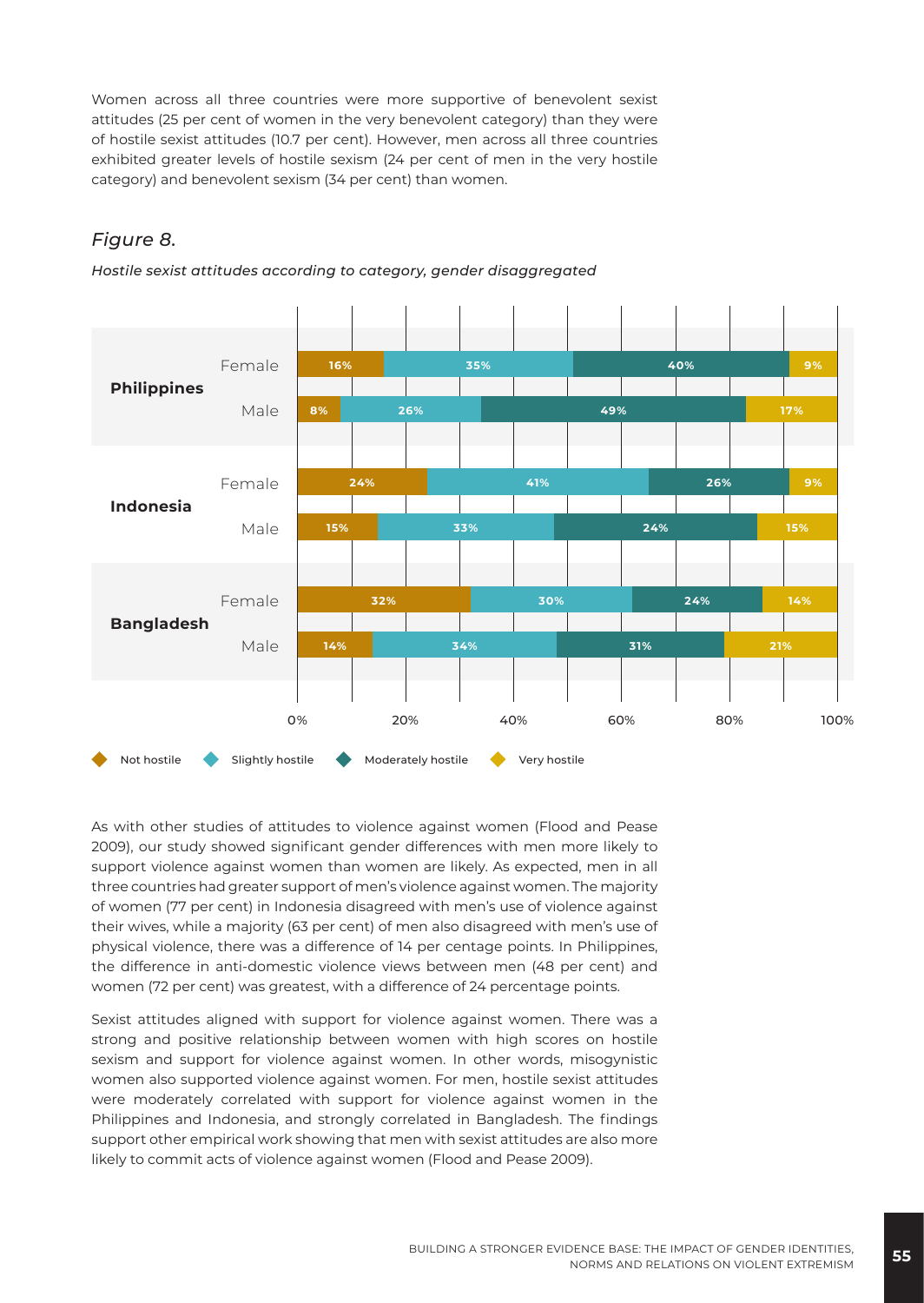Women across all three countries were more supportive of benevolent sexist attitudes (25 per cent of women in the very benevolent category) than they were of hostile sexist attitudes (10.7 per cent). However, men across all three countries exhibited greater levels of hostile sexism (24 per cent of men in the very hostile category) and benevolent sexism (34 per cent) than women.

#### *Figure 8.*



*Hostile sexist attitudes according to category, gender disaggregated*

As with other studies of attitudes to violence against women (Flood and Pease 2009), our study showed significant gender differences with men more likely to support violence against women than women are likely. As expected, men in all three countries had greater support of men's violence against women. The majority of women (77 per cent) in Indonesia disagreed with men's use of violence against their wives, while a majority (63 per cent) of men also disagreed with men's use of physical violence, there was a difference of 14 per centage points. In Philippines, the difference in anti-domestic violence views between men (48 per cent) and women (72 per cent) was greatest, with a difference of 24 percentage points.

Sexist attitudes aligned with support for violence against women. There was a strong and positive relationship between women with high scores on hostile sexism and support for violence against women. In other words, misogynistic women also supported violence against women. For men, hostile sexist attitudes were moderately correlated with support for violence against women in the Philippines and Indonesia, and strongly correlated in Bangladesh. The findings support other empirical work showing that men with sexist attitudes are also more likely to commit acts of violence against women (Flood and Pease 2009).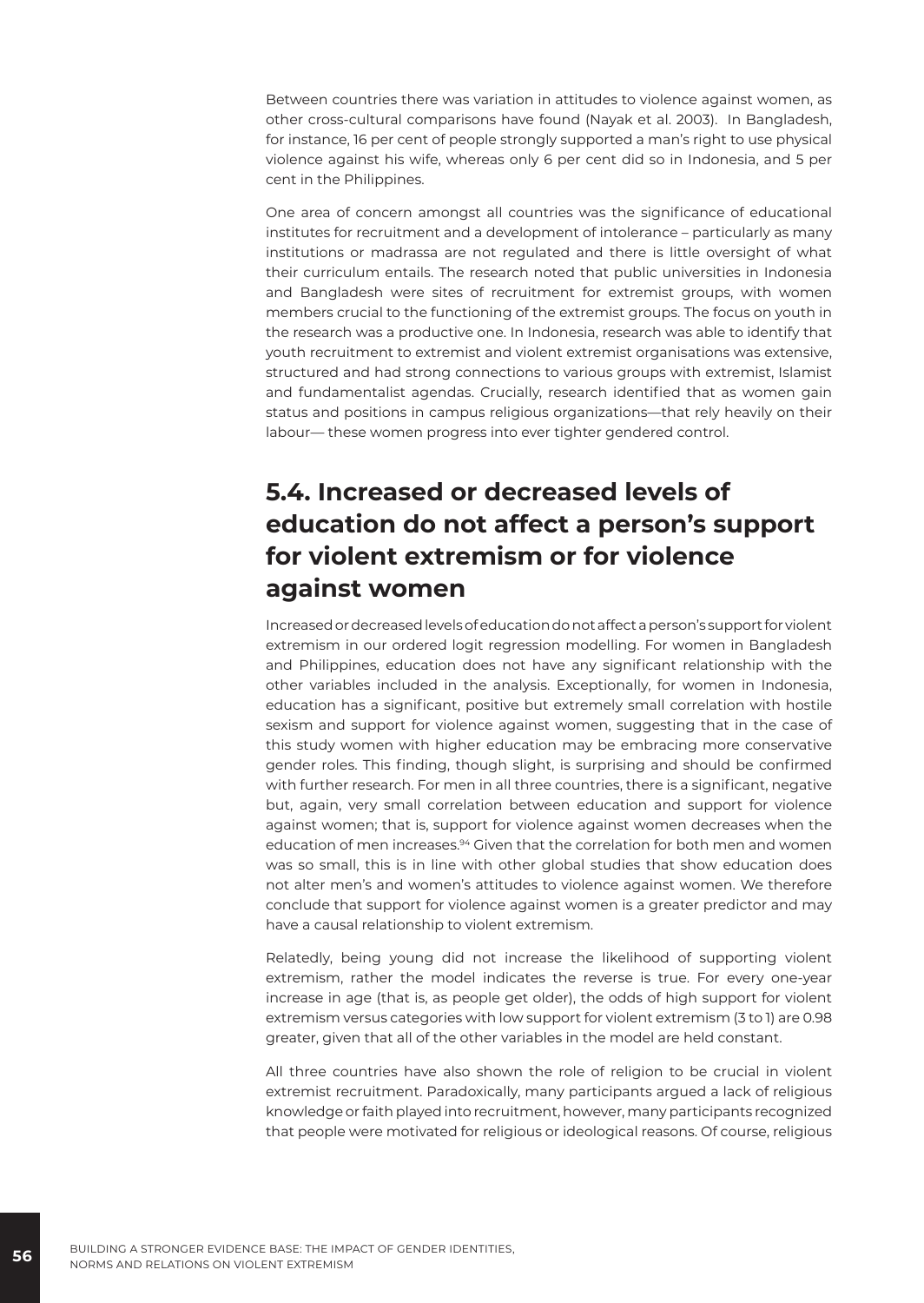Between countries there was variation in attitudes to violence against women, as other cross-cultural comparisons have found (Nayak et al. 2003). In Bangladesh, for instance, 16 per cent of people strongly supported a man's right to use physical violence against his wife, whereas only 6 per cent did so in Indonesia, and 5 per cent in the Philippines.

One area of concern amongst all countries was the significance of educational institutes for recruitment and a development of intolerance – particularly as many institutions or madrassa are not regulated and there is little oversight of what their curriculum entails. The research noted that public universities in Indonesia and Bangladesh were sites of recruitment for extremist groups, with women members crucial to the functioning of the extremist groups. The focus on youth in the research was a productive one. In Indonesia, research was able to identify that youth recruitment to extremist and violent extremist organisations was extensive, structured and had strong connections to various groups with extremist, Islamist and fundamentalist agendas. Crucially, research identified that as women gain status and positions in campus religious organizations—that rely heavily on their labour— these women progress into ever tighter gendered control.

# **5.4. Increased or decreased levels of education do not affect a person's support for violent extremism or for violence against women**

Increased or decreased levels of education do not affect a person's support for violent extremism in our ordered logit regression modelling. For women in Bangladesh and Philippines, education does not have any significant relationship with the other variables included in the analysis. Exceptionally, for women in Indonesia, education has a significant, positive but extremely small correlation with hostile sexism and support for violence against women, suggesting that in the case of this study women with higher education may be embracing more conservative gender roles. This finding, though slight, is surprising and should be confirmed with further research. For men in all three countries, there is a significant, negative but, again, very small correlation between education and support for violence against women; that is, support for violence against women decreases when the education of men increases.<sup>94</sup> Given that the correlation for both men and women was so small, this is in line with other global studies that show education does not alter men's and women's attitudes to violence against women. We therefore conclude that support for violence against women is a greater predictor and may have a causal relationship to violent extremism.

Relatedly, being young did not increase the likelihood of supporting violent extremism, rather the model indicates the reverse is true. For every one-year increase in age (that is, as people get older), the odds of high support for violent extremism versus categories with low support for violent extremism (3 to 1) are 0.98 greater, given that all of the other variables in the model are held constant.

All three countries have also shown the role of religion to be crucial in violent extremist recruitment. Paradoxically, many participants argued a lack of religious knowledge or faith played into recruitment, however, many participants recognized that people were motivated for religious or ideological reasons. Of course, religious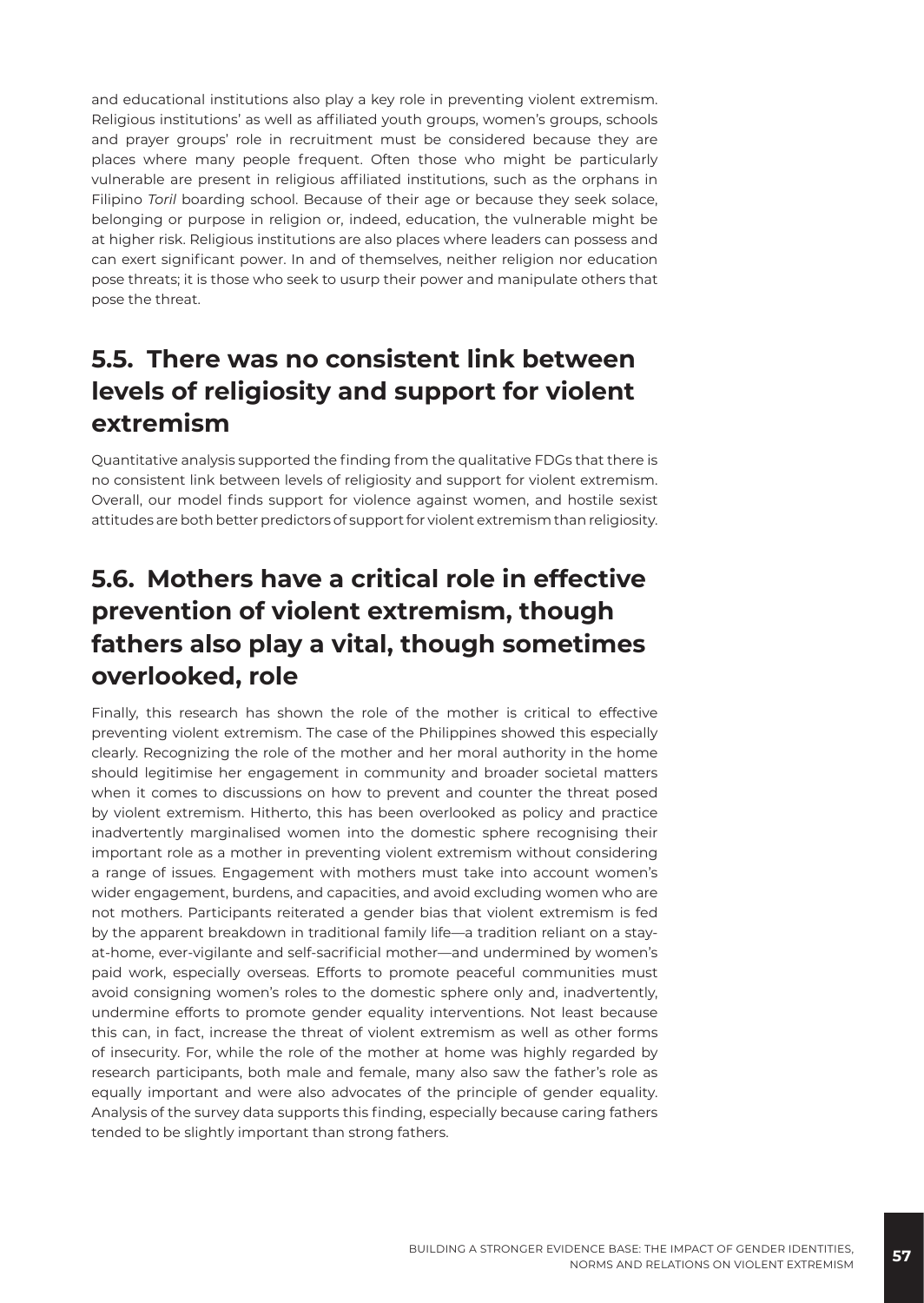and educational institutions also play a key role in preventing violent extremism. Religious institutions' as well as affiliated youth groups, women's groups, schools and prayer groups' role in recruitment must be considered because they are places where many people frequent. Often those who might be particularly vulnerable are present in religious affiliated institutions, such as the orphans in Filipino *Toril* boarding school. Because of their age or because they seek solace, belonging or purpose in religion or, indeed, education, the vulnerable might be at higher risk. Religious institutions are also places where leaders can possess and can exert significant power. In and of themselves, neither religion nor education pose threats; it is those who seek to usurp their power and manipulate others that pose the threat.

# **5.5. There was no consistent link between levels of religiosity and support for violent extremism**

Quantitative analysis supported the finding from the qualitative FDGs that there is no consistent link between levels of religiosity and support for violent extremism. Overall, our model finds support for violence against women, and hostile sexist attitudes are both better predictors of support for violent extremism than religiosity.

# **5.6. Mothers have a critical role in effective prevention of violent extremism, though fathers also play a vital, though sometimes overlooked, role**

Finally, this research has shown the role of the mother is critical to effective preventing violent extremism. The case of the Philippines showed this especially clearly. Recognizing the role of the mother and her moral authority in the home should legitimise her engagement in community and broader societal matters when it comes to discussions on how to prevent and counter the threat posed by violent extremism. Hitherto, this has been overlooked as policy and practice inadvertently marginalised women into the domestic sphere recognising their important role as a mother in preventing violent extremism without considering a range of issues. Engagement with mothers must take into account women's wider engagement, burdens, and capacities, and avoid excluding women who are not mothers. Participants reiterated a gender bias that violent extremism is fed by the apparent breakdown in traditional family life—a tradition reliant on a stayat-home, ever-vigilante and self-sacrificial mother—and undermined by women's paid work, especially overseas. Efforts to promote peaceful communities must avoid consigning women's roles to the domestic sphere only and, inadvertently, undermine efforts to promote gender equality interventions. Not least because this can, in fact, increase the threat of violent extremism as well as other forms of insecurity. For, while the role of the mother at home was highly regarded by research participants, both male and female, many also saw the father's role as equally important and were also advocates of the principle of gender equality. Analysis of the survey data supports this finding, especially because caring fathers tended to be slightly important than strong fathers.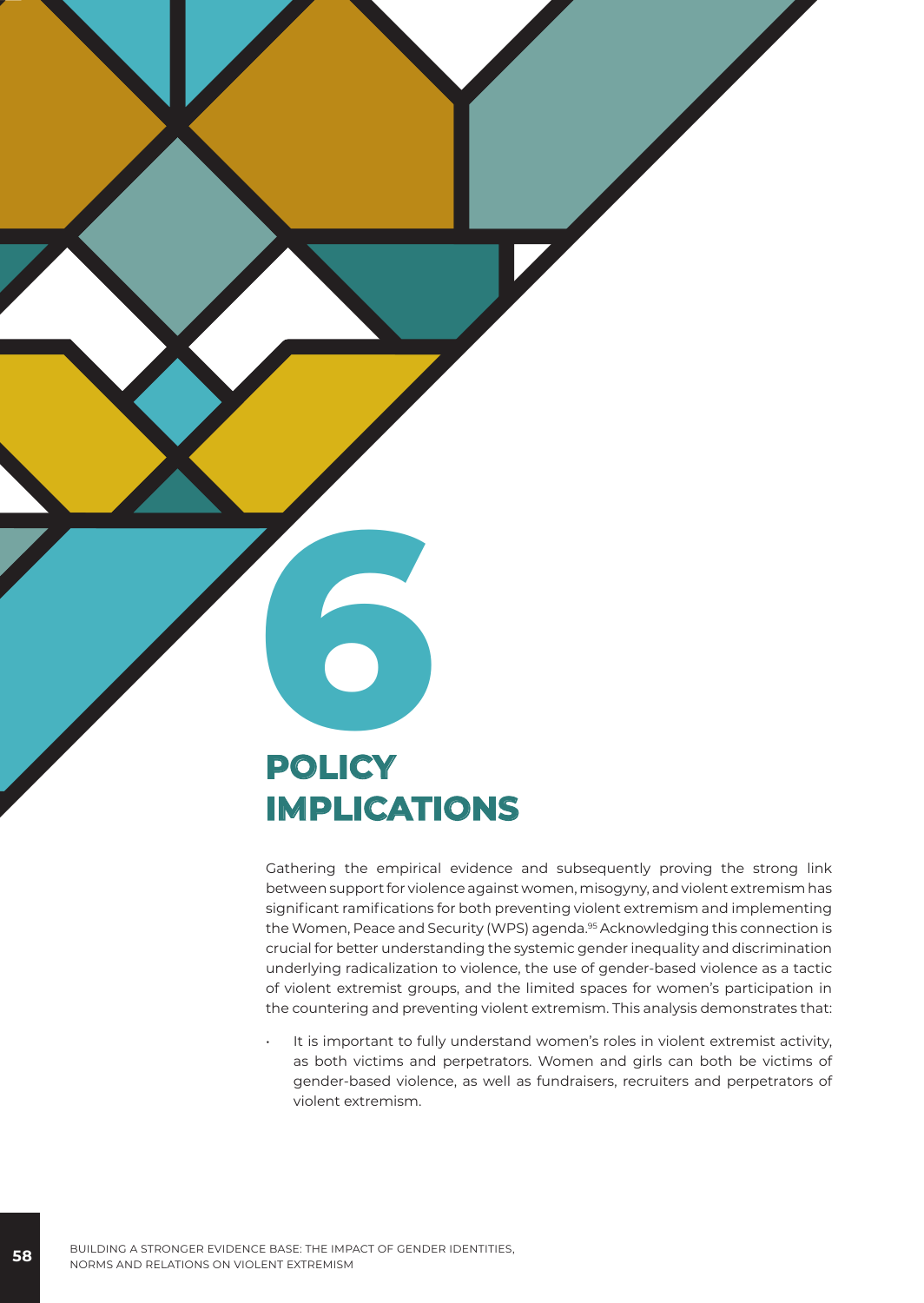# **6 POLICY IMPLICATIONS**

Gathering the empirical evidence and subsequently proving the strong link between support for violence against women, misogyny, and violent extremism has significant ramifications for both preventing violent extremism and implementing the Women, Peace and Security (WPS) agenda.<sup>95</sup> Acknowledging this connection is crucial for better understanding the systemic gender inequality and discrimination underlying radicalization to violence, the use of gender-based violence as a tactic of violent extremist groups, and the limited spaces for women's participation in the countering and preventing violent extremism. This analysis demonstrates that:

It is important to fully understand women's roles in violent extremist activity, as both victims and perpetrators. Women and girls can both be victims of gender-based violence, as well as fundraisers, recruiters and perpetrators of violent extremism.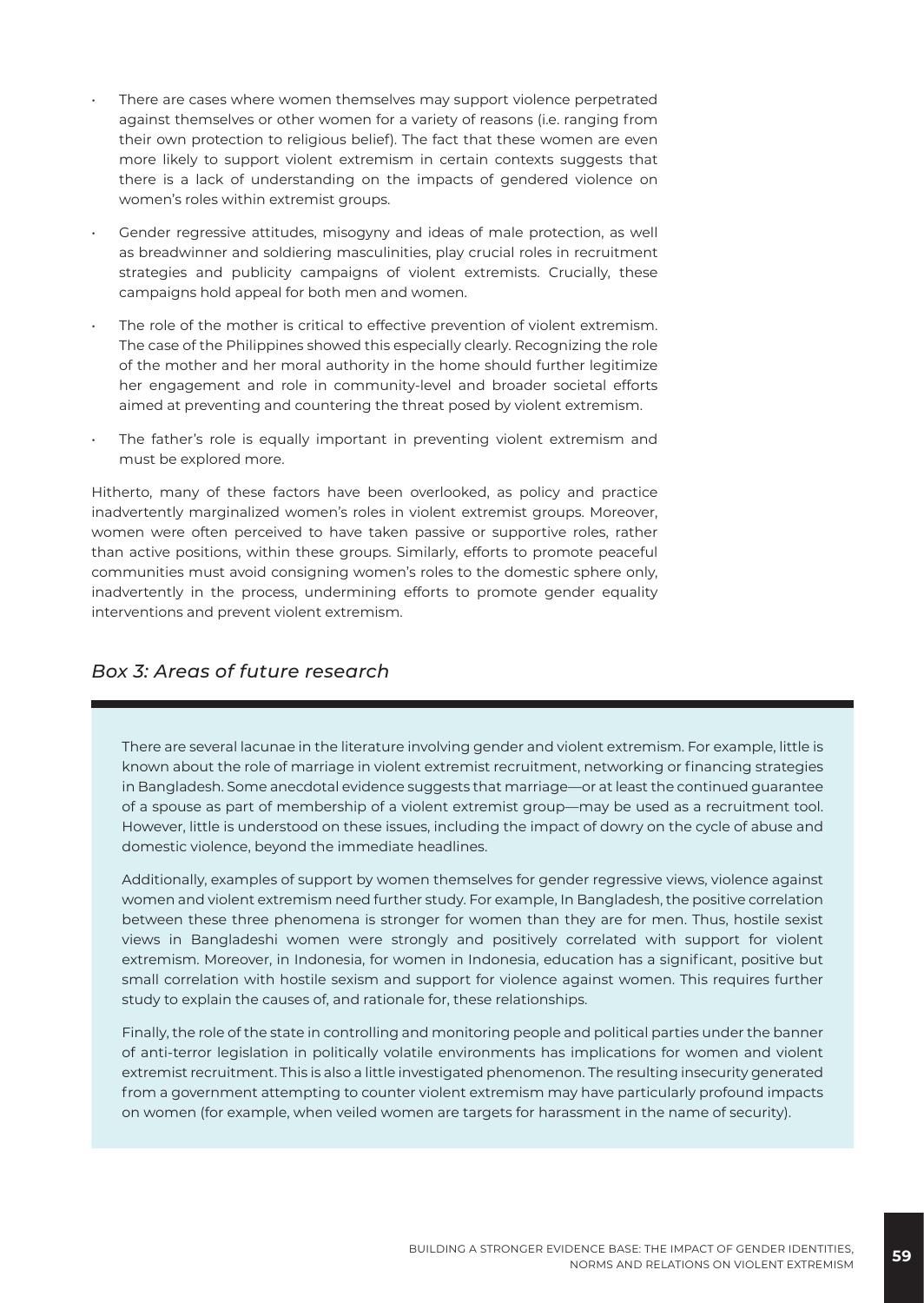- There are cases where women themselves may support violence perpetrated against themselves or other women for a variety of reasons (i.e. ranging from their own protection to religious belief). The fact that these women are even more likely to support violent extremism in certain contexts suggests that there is a lack of understanding on the impacts of gendered violence on women's roles within extremist groups.
- Gender regressive attitudes, misogyny and ideas of male protection, as well as breadwinner and soldiering masculinities, play crucial roles in recruitment strategies and publicity campaigns of violent extremists. Crucially, these campaigns hold appeal for both men and women.
- The role of the mother is critical to effective prevention of violent extremism. The case of the Philippines showed this especially clearly. Recognizing the role of the mother and her moral authority in the home should further legitimize her engagement and role in community-level and broader societal efforts aimed at preventing and countering the threat posed by violent extremism.
- The father's role is equally important in preventing violent extremism and must be explored more.

Hitherto, many of these factors have been overlooked, as policy and practice inadvertently marginalized women's roles in violent extremist groups. Moreover, women were often perceived to have taken passive or supportive roles, rather than active positions, within these groups. Similarly, efforts to promote peaceful communities must avoid consigning women's roles to the domestic sphere only, inadvertently in the process, undermining efforts to promote gender equality interventions and prevent violent extremism.

#### *Box 3: Areas of future research*

There are several lacunae in the literature involving gender and violent extremism. For example, little is known about the role of marriage in violent extremist recruitment, networking or financing strategies in Bangladesh. Some anecdotal evidence suggests that marriage—or at least the continued guarantee of a spouse as part of membership of a violent extremist group—may be used as a recruitment tool. However, little is understood on these issues, including the impact of dowry on the cycle of abuse and domestic violence, beyond the immediate headlines.

Additionally, examples of support by women themselves for gender regressive views, violence against women and violent extremism need further study. For example, In Bangladesh, the positive correlation between these three phenomena is stronger for women than they are for men. Thus, hostile sexist views in Bangladeshi women were strongly and positively correlated with support for violent extremism. Moreover, in Indonesia, for women in Indonesia, education has a significant, positive but small correlation with hostile sexism and support for violence against women. This requires further study to explain the causes of, and rationale for, these relationships.

Finally, the role of the state in controlling and monitoring people and political parties under the banner of anti-terror legislation in politically volatile environments has implications for women and violent extremist recruitment. This is also a little investigated phenomenon. The resulting insecurity generated from a government attempting to counter violent extremism may have particularly profound impacts on women (for example, when veiled women are targets for harassment in the name of security).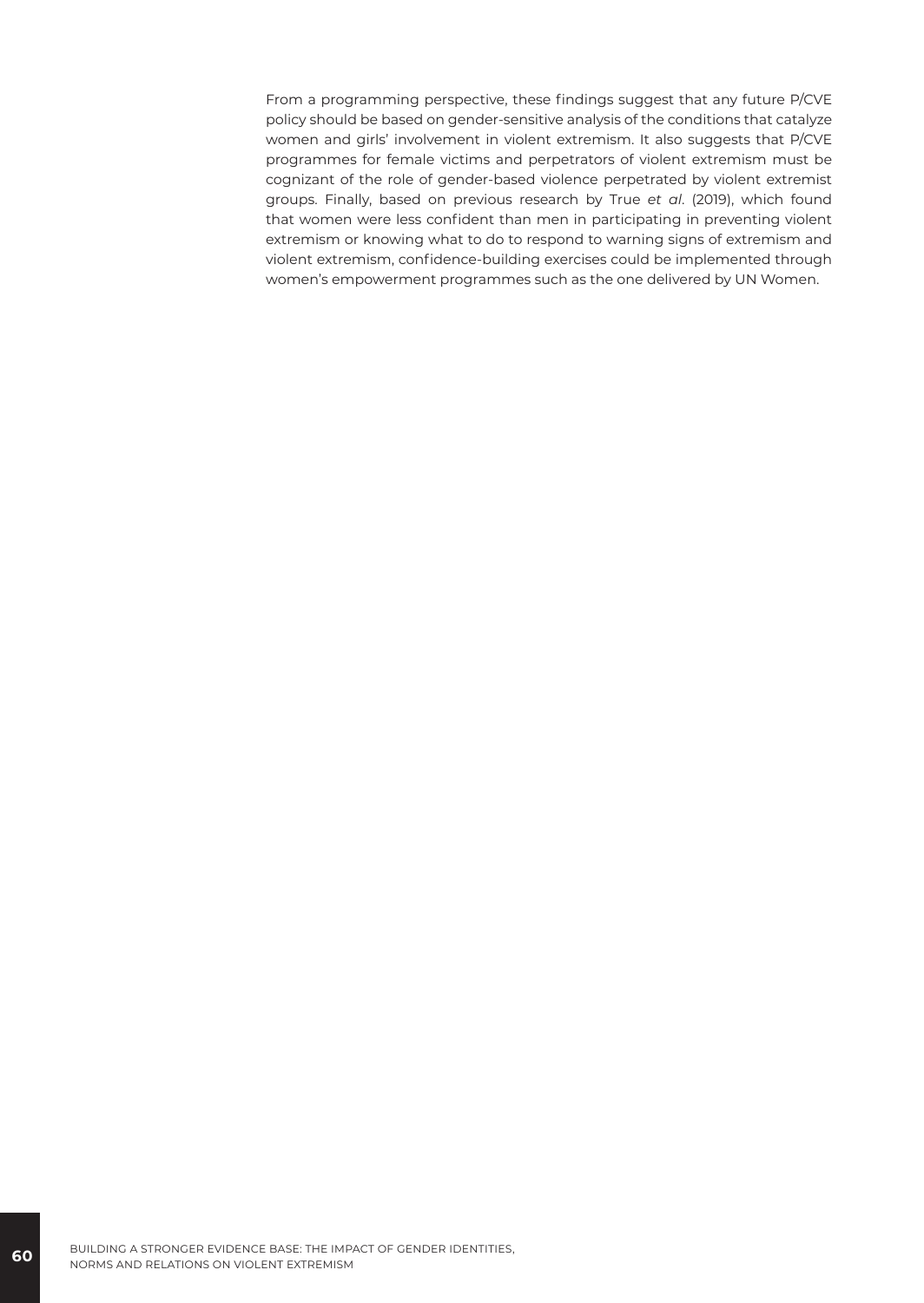From a programming perspective, these findings suggest that any future P/CVE policy should be based on gender-sensitive analysis of the conditions that catalyze women and girls' involvement in violent extremism. It also suggests that P/CVE programmes for female victims and perpetrators of violent extremism must be cognizant of the role of gender-based violence perpetrated by violent extremist groups. Finally, based on previous research by True *et al*. (2019), which found that women were less confident than men in participating in preventing violent extremism or knowing what to do to respond to warning signs of extremism and violent extremism, confidence-building exercises could be implemented through women's empowerment programmes such as the one delivered by UN Women.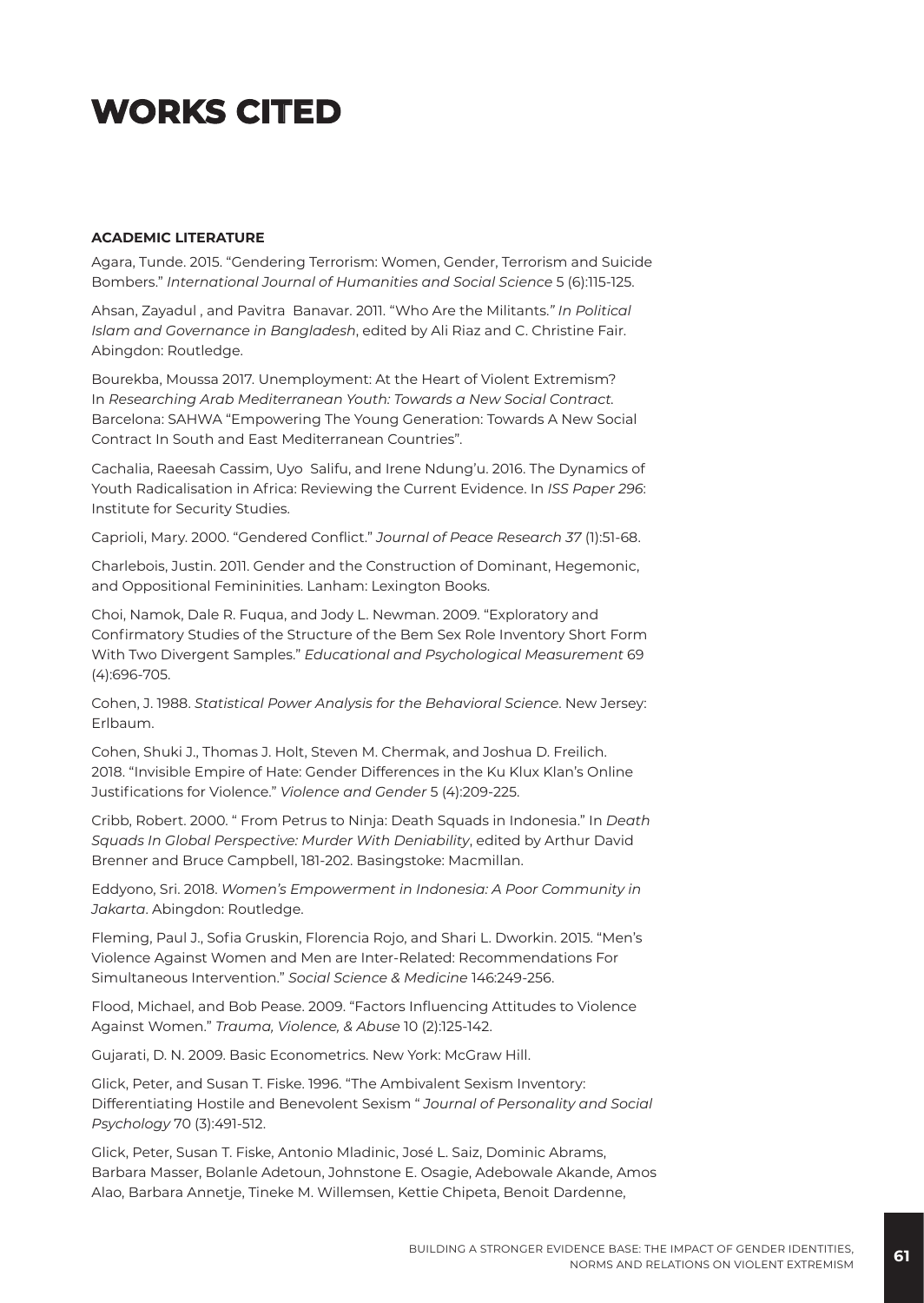# **WORKS CITED**

#### **ACADEMIC LITERATURE**

Agara, Tunde. 2015. "Gendering Terrorism: Women, Gender, Terrorism and Suicide Bombers." *International Journal of Humanities and Social Science* 5 (6):115-125.

Ahsan, Zayadul , and Pavitra Banavar. 2011. "Who Are the Militants.*" In Political Islam and Governance in Bangladesh*, edited by Ali Riaz and C. Christine Fair. Abingdon: Routledge.

Bourekba, Moussa 2017. Unemployment: At the Heart of Violent Extremism? In *Researching Arab Mediterranean Youth: Towards a New Social Contract.* Barcelona: SAHWA "Empowering The Young Generation: Towards A New Social Contract In South and East Mediterranean Countries".

Cachalia, Raeesah Cassim, Uyo Salifu, and Irene Ndung'u. 2016. The Dynamics of Youth Radicalisation in Africa: Reviewing the Current Evidence. In *ISS Paper 296*: Institute for Security Studies.

Caprioli, Mary. 2000. "Gendered Conflict." *Journal of Peace Research 37* (1):51-68.

Charlebois, Justin. 2011. Gender and the Construction of Dominant, Hegemonic, and Oppositional Femininities. Lanham: Lexington Books.

Choi, Namok, Dale R. Fuqua, and Jody L. Newman. 2009. "Exploratory and Confirmatory Studies of the Structure of the Bem Sex Role Inventory Short Form With Two Divergent Samples." *Educational and Psychological Measurement* 69 (4):696-705.

Cohen, J. 1988. *Statistical Power Analysis for the Behavioral Science*. New Jersey: Erlbaum.

Cohen, Shuki J., Thomas J. Holt, Steven M. Chermak, and Joshua D. Freilich. 2018. "Invisible Empire of Hate: Gender Differences in the Ku Klux Klan's Online Justifications for Violence." *Violence and Gender* 5 (4):209-225.

Cribb, Robert. 2000. " From Petrus to Ninja: Death Squads in Indonesia." In *Death Squads In Global Perspective: Murder With Deniability*, edited by Arthur David Brenner and Bruce Campbell, 181-202. Basingstoke: Macmillan.

Eddyono, Sri. 2018. *Women's Empowerment in Indonesia: A Poor Community in Jakarta*. Abingdon: Routledge.

Fleming, Paul J., Sofia Gruskin, Florencia Rojo, and Shari L. Dworkin. 2015. "Men's Violence Against Women and Men are Inter-Related: Recommendations For Simultaneous Intervention." *Social Science & Medicine* 146:249-256.

Flood, Michael, and Bob Pease. 2009. "Factors Influencing Attitudes to Violence Against Women." *Trauma, Violence, & Abuse* 10 (2):125-142.

Gujarati, D. N. 2009. Basic Econometrics. New York: McGraw Hill.

Glick, Peter, and Susan T. Fiske. 1996. "The Ambivalent Sexism Inventory: Differentiating Hostile and Benevolent Sexism " *Journal of Personality and Social Psychology* 70 (3):491-512.

Glick, Peter, Susan T. Fiske, Antonio Mladinic, José L. Saiz, Dominic Abrams, Barbara Masser, Bolanle Adetoun, Johnstone E. Osagie, Adebowale Akande, Amos Alao, Barbara Annetje, Tineke M. Willemsen, Kettie Chipeta, Benoit Dardenne,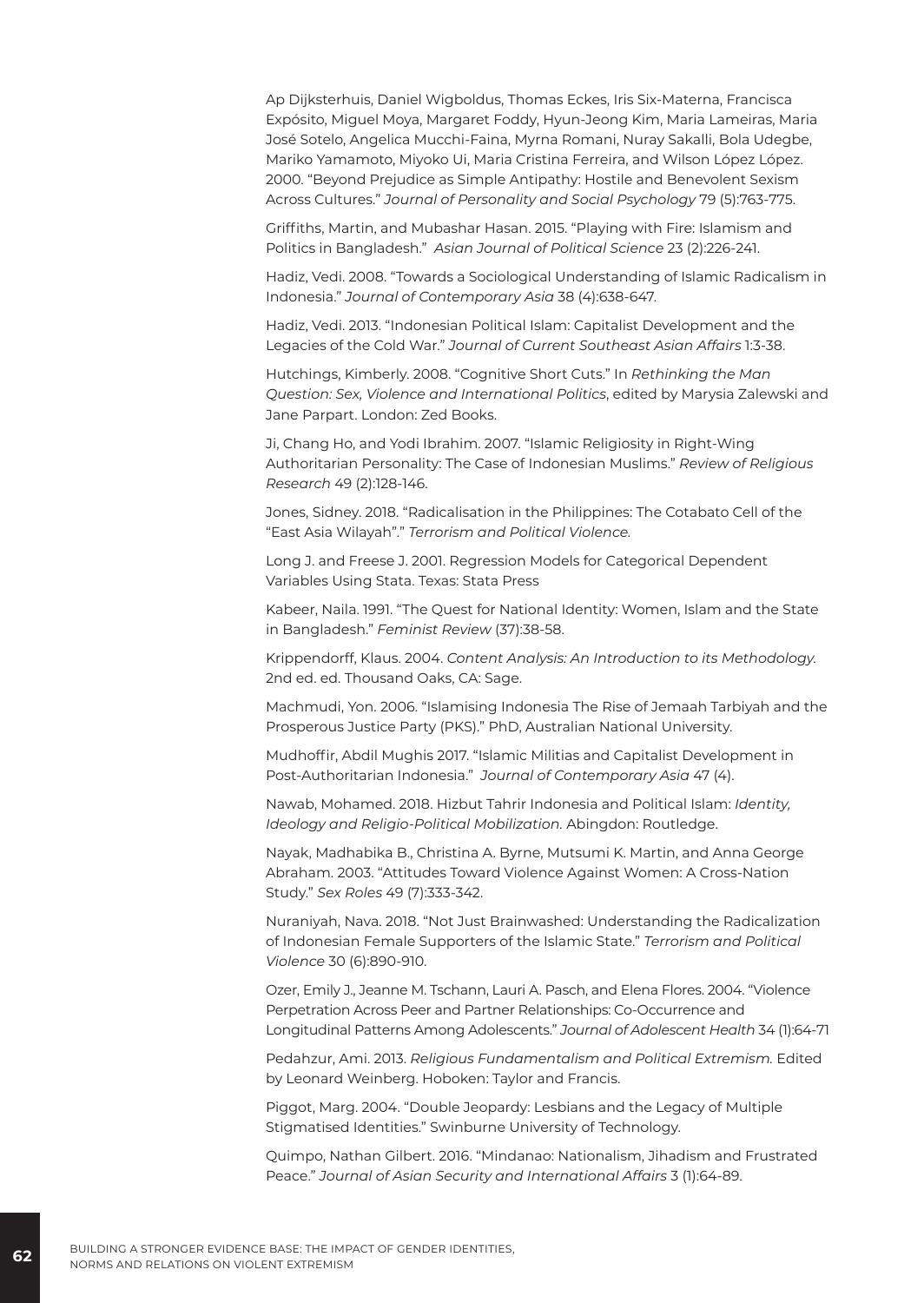Ap Dijksterhuis, Daniel Wigboldus, Thomas Eckes, Iris Six-Materna, Francisca Expósito, Miguel Moya, Margaret Foddy, Hyun-Jeong Kim, Maria Lameiras, Maria José Sotelo, Angelica Mucchi-Faina, Myrna Romani, Nuray Sakalli, Bola Udegbe, Mariko Yamamoto, Miyoko Ui, Maria Cristina Ferreira, and Wilson López López. 2000. "Beyond Prejudice as Simple Antipathy: Hostile and Benevolent Sexism Across Cultures." *Journal of Personality and Social Psychology* 79 (5):763-775.

Griffiths, Martin, and Mubashar Hasan. 2015. "Playing with Fire: Islamism and Politics in Bangladesh." *Asian Journal of Political Science* 23 (2):226-241.

Hadiz, Vedi. 2008. "Towards a Sociological Understanding of Islamic Radicalism in Indonesia." *Journal of Contemporary Asia* 38 (4):638-647.

Hadiz, Vedi. 2013. "Indonesian Political Islam: Capitalist Development and the Legacies of the Cold War." *Journal of Current Southeast Asian Affairs* 1:3-38.

Hutchings, Kimberly. 2008. "Cognitive Short Cuts." In *Rethinking the Man Question: Sex, Violence and International Politics*, edited by Marysia Zalewski and Jane Parpart. London: Zed Books.

Ji, Chang Ho, and Yodi Ibrahim. 2007. "Islamic Religiosity in Right-Wing Authoritarian Personality: The Case of Indonesian Muslims." *Review of Religious Research* 49 (2):128-146.

Jones, Sidney. 2018. "Radicalisation in the Philippines: The Cotabato Cell of the "East Asia Wilayah"." *Terrorism and Political Violence.*

Long J. and Freese J. 2001. Regression Models for Categorical Dependent Variables Using Stata. Texas: Stata Press

Kabeer, Naila. 1991. "The Quest for National Identity: Women, Islam and the State in Bangladesh." *Feminist Review* (37):38-58.

Krippendorff, Klaus. 2004. *Content Analysis: An Introduction to its Methodology.* 2nd ed. ed. Thousand Oaks, CA: Sage.

Machmudi, Yon. 2006. "Islamising Indonesia The Rise of Jemaah Tarbiyah and the Prosperous Justice Party (PKS)." PhD, Australian National University.

Mudhoffir, Abdil Mughis 2017. "Islamic Militias and Capitalist Development in Post-Authoritarian Indonesia." *Journal of Contemporary Asia* 47 (4).

Nawab, Mohamed. 2018. Hizbut Tahrir Indonesia and Political Islam: *Identity, Ideology and Religio-Political Mobilization.* Abingdon: Routledge.

Nayak, Madhabika B., Christina A. Byrne, Mutsumi K. Martin, and Anna George Abraham. 2003. "Attitudes Toward Violence Against Women: A Cross-Nation Study." *Sex Roles* 49 (7):333-342.

Nuraniyah, Nava. 2018. "Not Just Brainwashed: Understanding the Radicalization of Indonesian Female Supporters of the Islamic State." *Terrorism and Political Violence* 30 (6):890-910.

Ozer, Emily J., Jeanne M. Tschann, Lauri A. Pasch, and Elena Flores. 2004. "Violence Perpetration Across Peer and Partner Relationships: Co-Occurrence and Longitudinal Patterns Among Adolescents." *Journal of Adolescent Health* 34 (1):64-71

Pedahzur, Ami. 2013. *Religious Fundamentalism and Political Extremism.* Edited by Leonard Weinberg. Hoboken: Taylor and Francis.

Piggot, Marg. 2004. "Double Jeopardy: Lesbians and the Legacy of Multiple Stigmatised Identities." Swinburne University of Technology.

Quimpo, Nathan Gilbert. 2016. "Mindanao: Nationalism, Jihadism and Frustrated Peace." *Journal of Asian Security and International Affairs* 3 (1):64-89.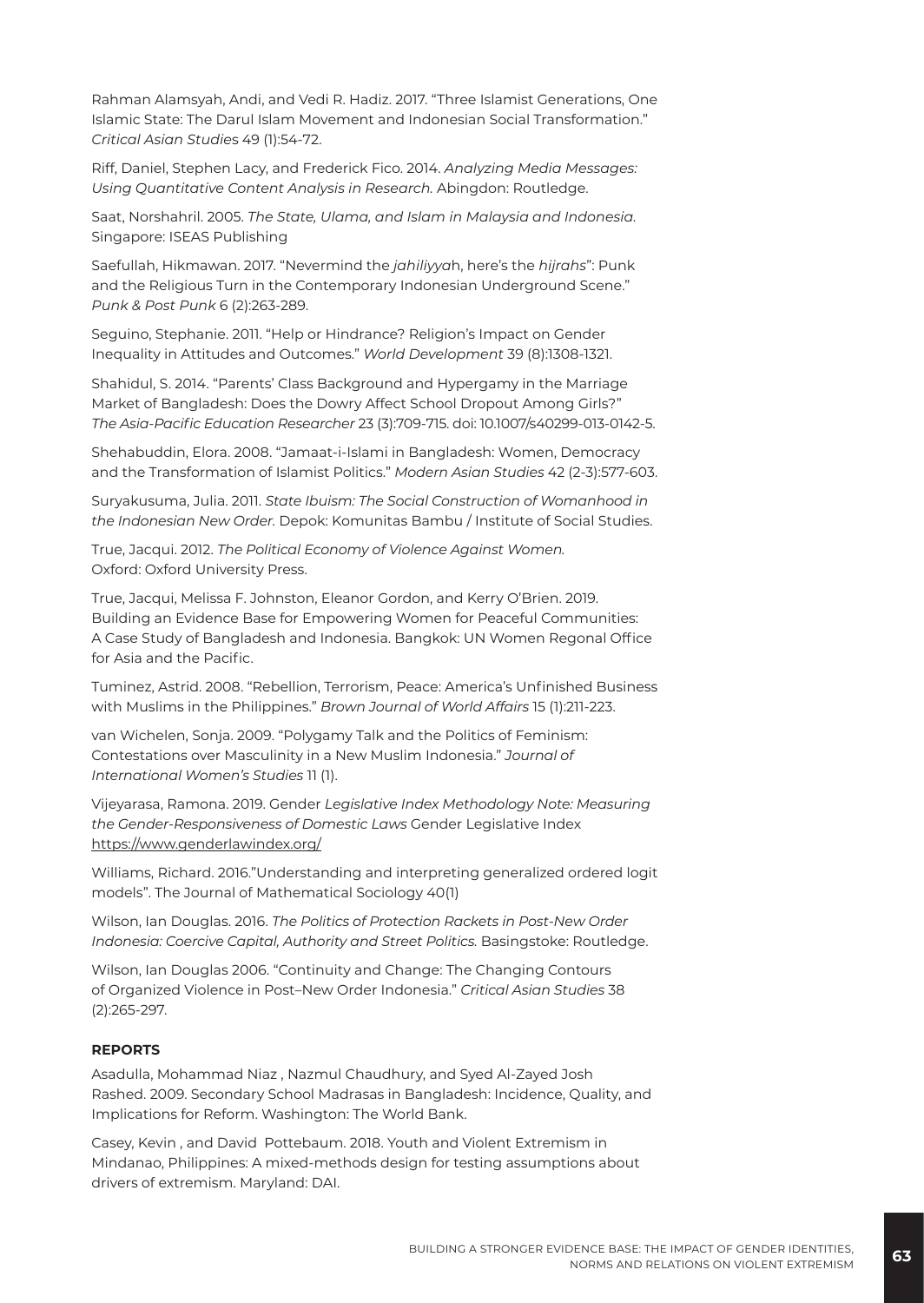Rahman Alamsyah, Andi, and Vedi R. Hadiz. 2017. "Three Islamist Generations, One Islamic State: The Darul Islam Movement and Indonesian Social Transformation." *Critical Asian Studie*s 49 (1):54-72.

Riff, Daniel, Stephen Lacy, and Frederick Fico. 2014. *Analyzing Media Messages: Using Quantitative Content Analysis in Research.* Abingdon: Routledge.

Saat, Norshahril. 2005. *The State, Ulama, and Islam in Malaysia and Indonesia.* Singapore: ISEAS Publishing

Saefullah, Hikmawan. 2017. "Nevermind the *jahiliyya*h, here's the *hijrahs*": Punk and the Religious Turn in the Contemporary Indonesian Underground Scene." *Punk & Post Punk* 6 (2):263-289.

Seguino, Stephanie. 2011. "Help or Hindrance? Religion's Impact on Gender Inequality in Attitudes and Outcomes." *World Development* 39 (8):1308-1321.

Shahidul, S. 2014. "Parents' Class Background and Hypergamy in the Marriage Market of Bangladesh: Does the Dowry Affect School Dropout Among Girls?" *The Asia-Pacific Education Researcher* 23 (3):709-715. doi: 10.1007/s40299-013-0142-5.

Shehabuddin, Elora. 2008. "Jamaat-i-Islami in Bangladesh: Women, Democracy and the Transformation of Islamist Politics." *Modern Asian Studies* 42 (2-3):577-603.

Suryakusuma, Julia. 2011. *State Ibuism: The Social Construction of Womanhood in the Indonesian New Order.* Depok: Komunitas Bambu / Institute of Social Studies.

True, Jacqui. 2012. *The Political Economy of Violence Against Women.* Oxford: Oxford University Press.

True, Jacqui, Melissa F. Johnston, Eleanor Gordon, and Kerry O'Brien. 2019. Building an Evidence Base for Empowering Women for Peaceful Communities: A Case Study of Bangladesh and Indonesia. Bangkok: UN Women Regonal Office for Asia and the Pacific.

Tuminez, Astrid. 2008. "Rebellion, Terrorism, Peace: America's Unfinished Business with Muslims in the Philippines." *Brown Journal of World Affairs* 15 (1):211-223.

van Wichelen, Sonja. 2009. "Polygamy Talk and the Politics of Feminism: Contestations over Masculinity in a New Muslim Indonesia." *Journal of International Women's Studies* 11 (1).

Vijeyarasa, Ramona. 2019. Gender *Legislative Index Methodology Note: Measuring the Gender-Responsiveness of Domestic Laws* Gender Legislative Index <https://www.genderlawindex.org/>

Williams, Richard. 2016."Understanding and interpreting generalized ordered logit models". The Journal of Mathematical Sociology 40(1)

Wilson, Ian Douglas. 2016. *The Politics of Protection Rackets in Post-New Order Indonesia: Coercive Capital, Authority and Street Politics.* Basingstoke: Routledge.

Wilson, Ian Douglas 2006. "Continuity and Change: The Changing Contours of Organized Violence in Post–New Order Indonesia." *Critical Asian Studies* 38 (2):265-297.

#### **REPORTS**

Asadulla, Mohammad Niaz , Nazmul Chaudhury, and Syed Al-Zayed Josh Rashed. 2009. Secondary School Madrasas in Bangladesh: Incidence, Quality, and Implications for Reform. Washington: The World Bank.

Casey, Kevin , and David Pottebaum. 2018. Youth and Violent Extremism in Mindanao, Philippines: A mixed-methods design for testing assumptions about drivers of extremism. Maryland: DAI.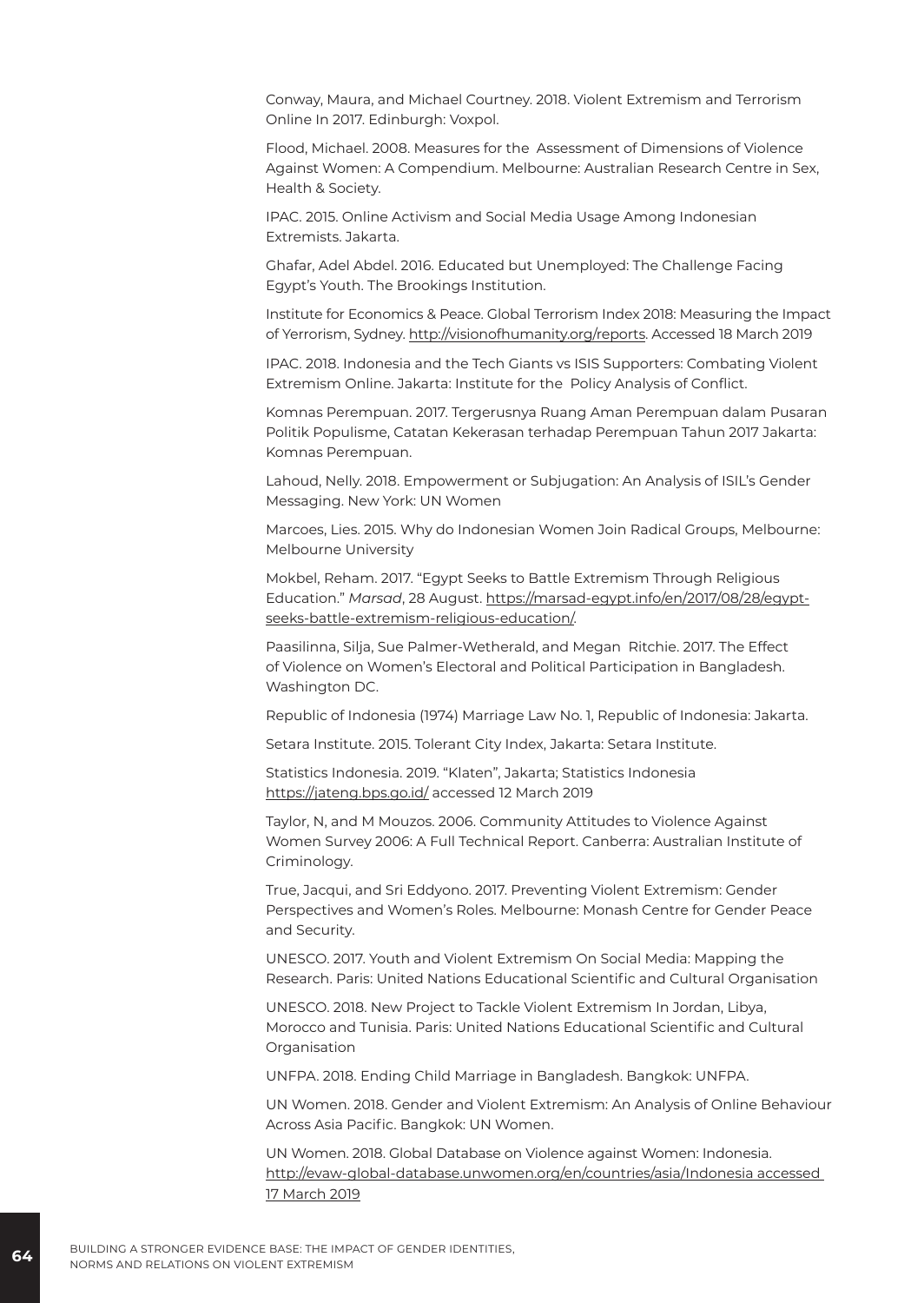Conway, Maura, and Michael Courtney. 2018. Violent Extremism and Terrorism Online In 2017. Edinburgh: Voxpol.

Flood, Michael. 2008. Measures for the Assessment of Dimensions of Violence Against Women: A Compendium. Melbourne: Australian Research Centre in Sex, Health & Society.

IPAC. 2015. Online Activism and Social Media Usage Among Indonesian Extremists. Jakarta.

Ghafar, Adel Abdel. 2016. Educated but Unemployed: The Challenge Facing Egypt's Youth. The Brookings Institution.

Institute for Economics & Peace. Global Terrorism Index 2018: Measuring the Impact of Yerrorism, Sydney. [http://visionofhumanity.org/reports.](http://visionofhumanity.org/reports) Accessed 18 March 2019

IPAC. 2018. Indonesia and the Tech Giants vs ISIS Supporters: Combating Violent Extremism Online. Jakarta: Institute for the Policy Analysis of Conflict.

Komnas Perempuan. 2017. Tergerusnya Ruang Aman Perempuan dalam Pusaran Politik Populisme, Catatan Kekerasan terhadap Perempuan Tahun 2017 Jakarta: Komnas Perempuan.

Lahoud, Nelly. 2018. Empowerment or Subjugation: An Analysis of ISIL's Gender Messaging. New York: UN Women

Marcoes, Lies. 2015. Why do Indonesian Women Join Radical Groups, Melbourne: Melbourne University

Mokbel, Reham. 2017. "Egypt Seeks to Battle Extremism Through Religious Education." *Marsad*, 28 August. [https://marsad-egypt.info/en/2017/08/28/egypt](https://marsad-egypt.info/en/2017/08/28/egypt-seeks-battle-extremism-religious-education/)[seeks-battle-extremism-religious-education/](https://marsad-egypt.info/en/2017/08/28/egypt-seeks-battle-extremism-religious-education/).

Paasilinna, Silja, Sue Palmer-Wetherald, and Megan Ritchie. 2017. The Effect of Violence on Women's Electoral and Political Participation in Bangladesh. Washington DC.

Republic of Indonesia (1974) Marriage Law No. 1, Republic of Indonesia: Jakarta.

Setara Institute. 2015. Tolerant City Index, Jakarta: Setara Institute.

Statistics Indonesia. 2019. "Klaten", Jakarta; Statistics Indonesia <https://jateng.bps.go.id/> accessed 12 March 2019

Taylor, N, and M Mouzos. 2006. Community Attitudes to Violence Against Women Survey 2006: A Full Technical Report. Canberra: Australian Institute of Criminology.

True, Jacqui, and Sri Eddyono. 2017. Preventing Violent Extremism: Gender Perspectives and Women's Roles. Melbourne: Monash Centre for Gender Peace and Security.

UNESCO. 2017. Youth and Violent Extremism On Social Media: Mapping the Research. Paris: United Nations Educational Scientific and Cultural Organisation

UNESCO. 2018. New Project to Tackle Violent Extremism In Jordan, Libya, Morocco and Tunisia. Paris: United Nations Educational Scientific and Cultural Organisation

UNFPA. 2018. Ending Child Marriage in Bangladesh. Bangkok: UNFPA.

UN Women. 2018. Gender and Violent Extremism: An Analysis of Online Behaviour Across Asia Pacific. Bangkok: UN Women.

UN Women. 2018. Global Database on Violence against Women: Indonesia. [http://evaw-global-database.unwomen.org/en/countries/asia/Indonesia accessed](http://evaw-global-database.unwomen.org/en/countries/asia/Indonesia%20%20accessed%2017%20March%202019)  [17 March 2019](http://evaw-global-database.unwomen.org/en/countries/asia/Indonesia%20%20accessed%2017%20March%202019)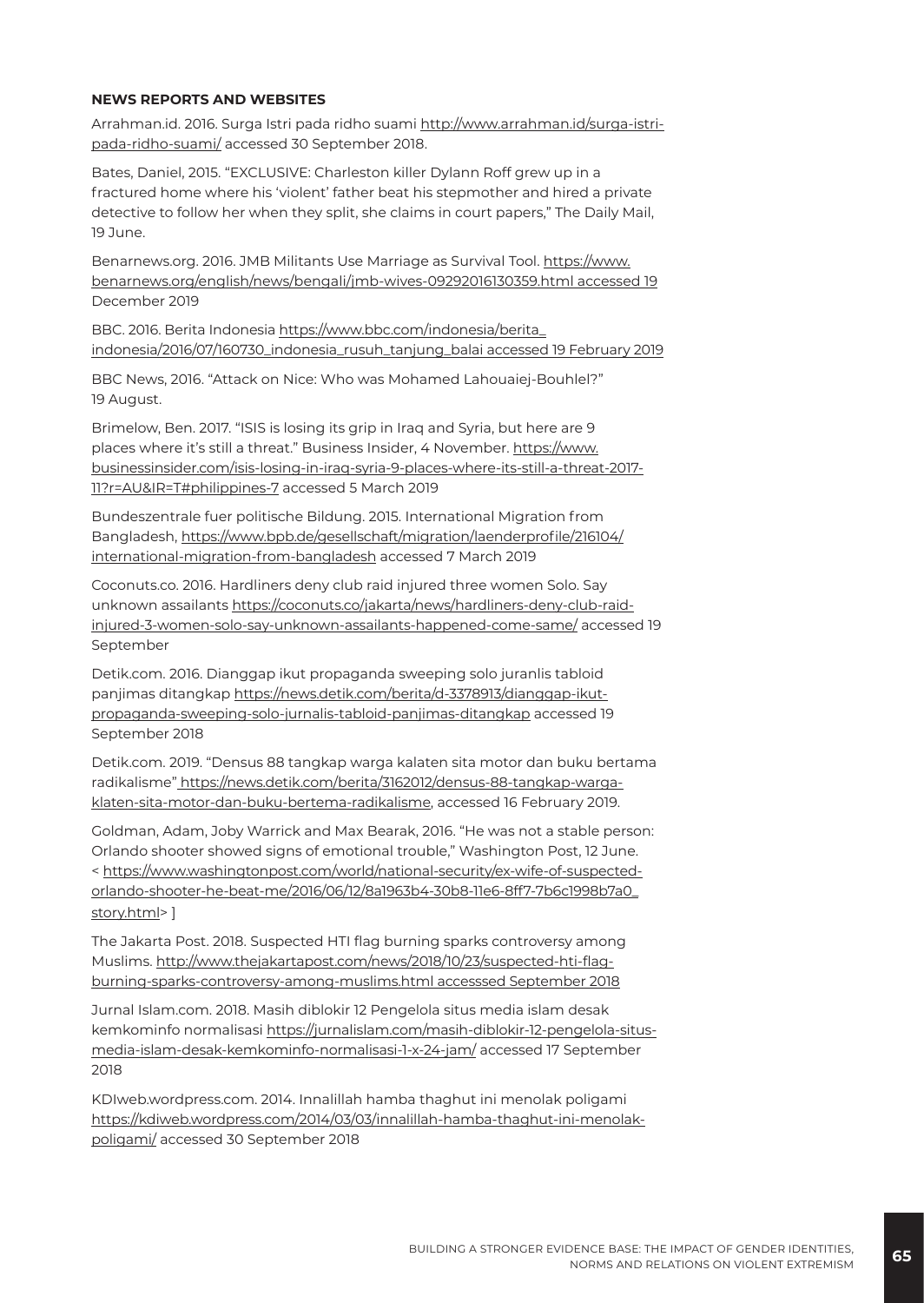#### **NEWS REPORTS AND WEBSITES**

Arrahman.id. 2016. Surga Istri pada ridho suami [http://www.arrahman.id/surga-istri](https://www.arrahman.id/surga-istri-pada-ridho-suami/)[pada-ridho-suami/](https://www.arrahman.id/surga-istri-pada-ridho-suami/) accessed 30 September 2018.

Bates, Daniel, 2015. "EXCLUSIVE: Charleston killer Dylann Roff grew up in a fractured home where his 'violent' father beat his stepmother and hired a private detective to follow her when they split, she claims in court papers," The Daily Mail, 19 June.

Benarnews.org. 2016. JMB Militants Use Marriage as Survival Tool. [https://www.](https://www.benarnews.org/english/news/bengali/jmb-wives-09292016130359.html) [benarnews.org/english/news/bengali/jmb-wives-09292016130359.html](https://www.benarnews.org/english/news/bengali/jmb-wives-09292016130359.html) accessed 19 December 2019

BBC. 2016. Berita Indonesia [https://www.bbc.com/indonesia/berita\\_](https://www.bbc.com/indonesia/berita_indonesia/2016/07/160730_indonesia_rusuh_tanjung_balai%20accessed%2019%20February%202019) [indonesia/2016/07/160730\\_indonesia\\_rusuh\\_tanjung\\_balai accessed 19 February 2019](https://www.bbc.com/indonesia/berita_indonesia/2016/07/160730_indonesia_rusuh_tanjung_balai%20accessed%2019%20February%202019)

BBC News, 2016. "Attack on Nice: Who was Mohamed Lahouaiej-Bouhlel?" 19 August.

Brimelow, Ben. 2017. "ISIS is losing its grip in Iraq and Syria, but here are 9 places where it's still a threat." Business Insider, 4 November. [https://www.](https://www.businessinsider.com/isis-losing-in-iraq-syria-9-places-where-its-still-a-threat-2017-11?r=AU&IR=T#philippines-7) [businessinsider.com/isis-losing-in-iraq-syria-9-places-where-its-still-a-threat-2017-](https://www.businessinsider.com/isis-losing-in-iraq-syria-9-places-where-its-still-a-threat-2017-11?r=AU&IR=T#philippines-7) [11?r=AU&IR=T#philippines-7](https://www.businessinsider.com/isis-losing-in-iraq-syria-9-places-where-its-still-a-threat-2017-11?r=AU&IR=T#philippines-7) accessed 5 March 2019

Bundeszentrale fuer politische Bildung. 2015. International Migration from Bangladesh, [https://www.bpb.de/gesellschaft/migration/laenderprofile/216104/](https://www.bpb.de/gesellschaft/migration/laenderprofile/216104/international-migration-from-bangladesh) [international-migration-from-bangladesh](https://www.bpb.de/gesellschaft/migration/laenderprofile/216104/international-migration-from-bangladesh) accessed 7 March 2019

Coconuts.co. 2016. Hardliners deny club raid injured three women Solo. Say unknown assailants [https://coconuts.co/jakarta/news/hardliners-deny-club-raid](https://coconuts.co/jakarta/news/hardliners-deny-club-raid-injured-3-women-solo-say-unknown-assailants-happened-come-same/)[injured-3-women-solo-say-unknown-assailants-happened-come-same/](https://coconuts.co/jakarta/news/hardliners-deny-club-raid-injured-3-women-solo-say-unknown-assailants-happened-come-same/) accessed 19 September

Detik.com. 2016. Dianggap ikut propaganda sweeping solo juranlis tabloid panjimas ditangkap [https://news.detik.com/berita/d-3378913/dianggap-ikut](https://news.detik.com/berita/d-3378913/dianggap-ikut-propaganda-sweeping-solo-jurnalis-tabloid-panjimas-ditangkap)[propaganda-sweeping-solo-jurnalis-tabloid-panjimas-ditangkap](https://news.detik.com/berita/d-3378913/dianggap-ikut-propaganda-sweeping-solo-jurnalis-tabloid-panjimas-ditangkap) accessed 19 September 2018

Detik.com. 2019. "Densus 88 tangkap warga kalaten sita motor dan buku bertama radikalisme" [https://news.detik.com/berita/3162012/densus-88-tangkap-warga](https://news.detik.com/berita/3162012/densus-88-tangkap-warga-klaten-sita-motor-dan-buku-bertema-radikalisme)[klaten-sita-motor-dan-buku-bertema-radikalisme](https://news.detik.com/berita/3162012/densus-88-tangkap-warga-klaten-sita-motor-dan-buku-bertema-radikalisme), accessed 16 February 2019.

Goldman, Adam, Joby Warrick and Max Bearak, 2016. "He was not a stable person: Orlando shooter showed signs of emotional trouble," Washington Post, 12 June. < [https://www.washingtonpost.com/world/national-security/ex-wife-of-suspected](https://www.washingtonpost.com/world/national-security/ex-wife-of-suspected-orlando-shooter-he-beat-me/2016/06/12/8a1963b4-30b8-11e6-8ff7-7b6c1998b7a0_story.html)[orlando-shooter-he-beat-me/2016/06/12/8a1963b4-30b8-11e6-8ff7-7b6c1998b7a0\\_](https://www.washingtonpost.com/world/national-security/ex-wife-of-suspected-orlando-shooter-he-beat-me/2016/06/12/8a1963b4-30b8-11e6-8ff7-7b6c1998b7a0_story.html) [story.html](https://www.washingtonpost.com/world/national-security/ex-wife-of-suspected-orlando-shooter-he-beat-me/2016/06/12/8a1963b4-30b8-11e6-8ff7-7b6c1998b7a0_story.html)> ]

The Jakarta Post. 2018. Suspected HTI flag burning sparks controversy among Muslims. [http://www.thejakartapost.com/news/2018/10/23/suspected-hti-flag](http://www.thejakartapost.com/news/2018/10/23/suspected-hti-flag-burning-sparks-controversy-among-muslims.html%20accesssed%20September%202018)[burning-sparks-controversy-among-muslims.html accesssed September 2018](http://www.thejakartapost.com/news/2018/10/23/suspected-hti-flag-burning-sparks-controversy-among-muslims.html%20accesssed%20September%202018)

Jurnal Islam.com. 2018. Masih diblokir 12 Pengelola situs media islam desak kemkominfo normalisasi [https://jurnalislam.com/masih-diblokir-12-pengelola-situs](https://jurnalislam.com/masih-diblokir-12-pengelola-situs-media-islam-desak-kemkominfo-normalisasi-1-x-24-jam/)[media-islam-desak-kemkominfo-normalisasi-1-x-24-jam/](https://jurnalislam.com/masih-diblokir-12-pengelola-situs-media-islam-desak-kemkominfo-normalisasi-1-x-24-jam/) accessed 17 September 2018

KDIweb.wordpress.com. 2014. Innalillah hamba thaghut ini menolak poligami [https://kdiweb.wordpress.com/2014/03/03/innalillah-hamba-thaghut-ini-menolak](https://kdiweb.wordpress.com/2014/03/03/innalillah-hamba-thaghut-ini-menolak-poligami/)[poligami/](https://kdiweb.wordpress.com/2014/03/03/innalillah-hamba-thaghut-ini-menolak-poligami/) accessed 30 September 2018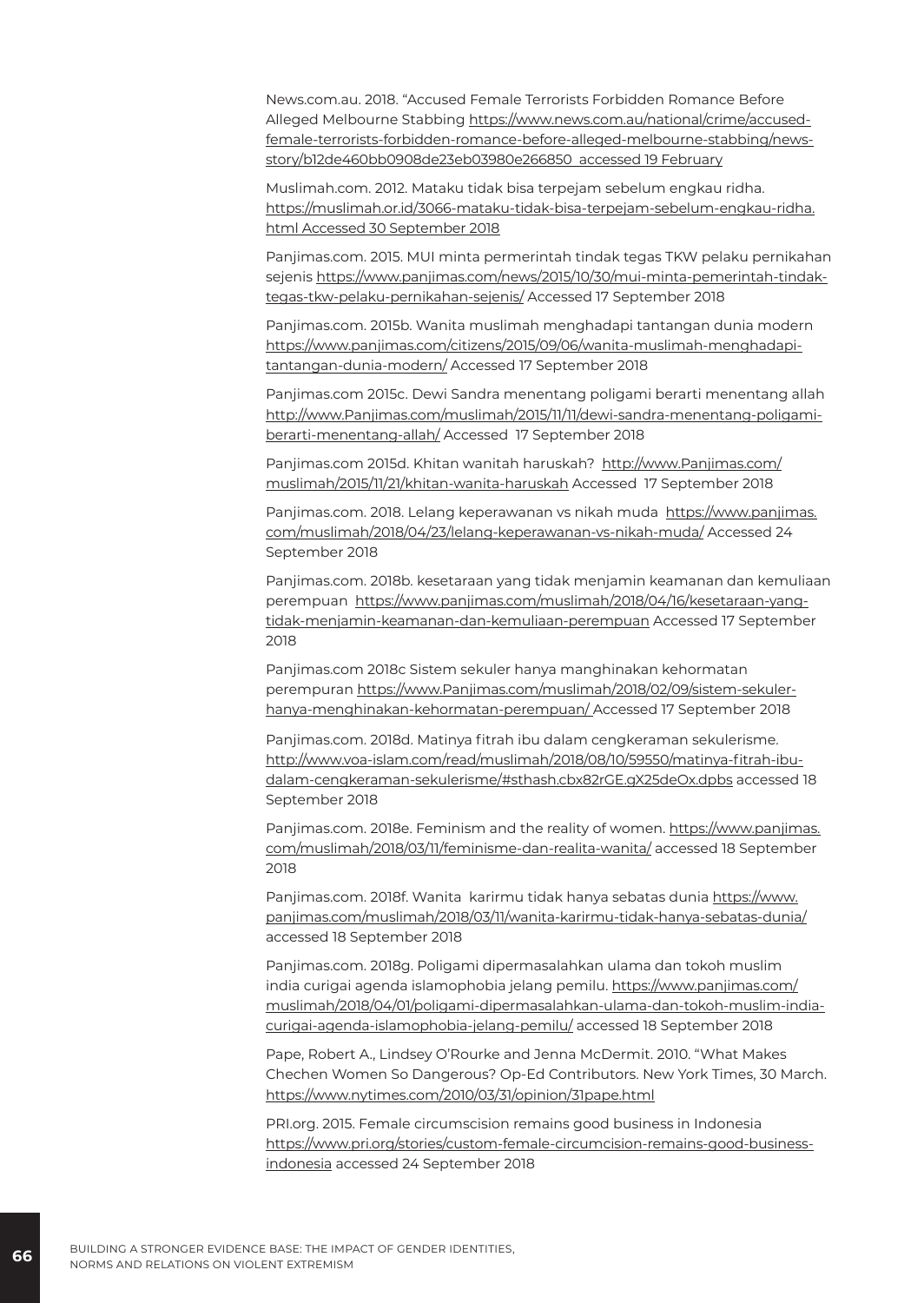News.com.au. 2018. "Accused Female Terrorists Forbidden Romance Before Alleged Melbourne Stabbing [https://www.news.com.au/national/crime/accused](https://www.news.com.au/national/crime/accused-female-terrorists-forbidden-romance-before-alleged-melbourne-stabbing/news-story/b12de460bb0908de23eb03980e266850)[female-terrorists-forbidden-romance-before-alleged-melbourne-stabbing/news](https://www.news.com.au/national/crime/accused-female-terrorists-forbidden-romance-before-alleged-melbourne-stabbing/news-story/b12de460bb0908de23eb03980e266850)[story/b12de460bb0908de23eb03980e266850](https://www.news.com.au/national/crime/accused-female-terrorists-forbidden-romance-before-alleged-melbourne-stabbing/news-story/b12de460bb0908de23eb03980e266850) accessed 19 February

Muslimah.com. 2012. Mataku tidak bisa terpejam sebelum engkau ridha. [https://muslimah.or.id/3066-mataku-tidak-bisa-terpejam-sebelum-engkau-ridha.](https://muslimah.or.id/3066-mataku-tidak-bisa-terpejam-sebelum-engkau-ridha.html%20Accessed%2030%20September%202018) [html Accessed 30 September 2018](https://muslimah.or.id/3066-mataku-tidak-bisa-terpejam-sebelum-engkau-ridha.html%20Accessed%2030%20September%202018)

Panjimas.com. 2015. MUI minta permerintah tindak tegas TKW pelaku pernikahan sejenis [https://www.panjimas.com/news/2015/10/30/mui-minta-pemerintah-tindak](https://www.panjimas.com/news/2015/10/30/mui-minta-pemerintah-tindak-tegas-tkw-pelaku-pernikahan-sejenis/)[tegas-tkw-pelaku-pernikahan-sejenis/](https://www.panjimas.com/news/2015/10/30/mui-minta-pemerintah-tindak-tegas-tkw-pelaku-pernikahan-sejenis/) Accessed 17 September 2018

Panjimas.com. 2015b. Wanita muslimah menghadapi tantangan dunia modern [https://www.panjimas.com/citizens/2015/09/06/wanita-muslimah-menghadapi](https://www.panjimas.com/citizens/2015/09/06/wanita-muslimah-menghadapi-tantangan-dunia-modern/)[tantangan-dunia-modern/](https://www.panjimas.com/citizens/2015/09/06/wanita-muslimah-menghadapi-tantangan-dunia-modern/) Accessed 17 September 2018

Panjimas.com 2015c. Dewi Sandra menentang poligami berarti menentang allah [http://www.Panjimas.com/muslimah/2015/11/11/dewi-sandra-menentang-poligami](http://www.Panjimas.com/muslimah/2015/11/11/dewi-sandra-menentang-poligami-berarti-menentang-allah/)[berarti-menentang-allah/](http://www.Panjimas.com/muslimah/2015/11/11/dewi-sandra-menentang-poligami-berarti-menentang-allah/) Accessed 17 September 2018

Panjimas.com 2015d. Khitan wanitah haruskah? [http://www.Panjimas.com/](http://www.Panjimas.com/muslimah/2015/11/21/khitan-wanita-haruskah) [muslimah/2015/11/21/khitan-wanita-haruskah](http://www.Panjimas.com/muslimah/2015/11/21/khitan-wanita-haruskah) Accessed 17 September 2018

Panjimas.com. 2018. Lelang keperawanan vs nikah muda [https://www.panjimas.](https://www.panjimas.com/muslimah/2018/04/23/lelang-keperawanan-vs-nikah-muda/) [com/muslimah/2018/04/23/lelang-keperawanan-vs-nikah-muda/](https://www.panjimas.com/muslimah/2018/04/23/lelang-keperawanan-vs-nikah-muda/) Accessed 24 September 2018

Panjimas.com. 2018b. kesetaraan yang tidak menjamin keamanan dan kemuliaan perempuan [https://www.panjimas.com/muslimah/2018/04/16/kesetaraan-yang](https://www.panjimas.com/muslimah/2018/04/16/kesetaraan-yang-tidak-menjamin-keamanan-dan-kemuliaan-perempuan)[tidak-menjamin-keamanan-dan-kemuliaan-perempuan](https://www.panjimas.com/muslimah/2018/04/16/kesetaraan-yang-tidak-menjamin-keamanan-dan-kemuliaan-perempuan) Accessed 17 September 2018

Panjimas.com 2018c Sistem sekuler hanya manghinakan kehormatan perempuran [https://www.Panjimas.com/muslimah/2018/02/09/sistem-sekuler](https://www.Panjimas.com/muslimah/2018/02/09/sistem-sekuler-hanya-menghinakan-kehormatan-perempuan/)[hanya-menghinakan-kehormatan-perempuan/](https://www.Panjimas.com/muslimah/2018/02/09/sistem-sekuler-hanya-menghinakan-kehormatan-perempuan/) Accessed 17 September 2018

Panjimas.com. 2018d. Matinya fitrah ibu dalam cengkeraman sekulerisme. http://www.voa-islam.com/read/muslimah/2018/08/10/59550/matinya-fitrah-ibudalam-cengkeraman-sekulerisme/#sthash.cbx82rGE.gX25deOx.dpbs accessed 18 September 2018

Panjimas.com. 2018e. Feminism and the reality of women. [https://www.panjimas.](https://www.panjimas.com/muslimah/2018/03/11/feminisme-dan-realita-wanita/) [com/muslimah/2018/03/11/feminisme-dan-realita-wanita/](https://www.panjimas.com/muslimah/2018/03/11/feminisme-dan-realita-wanita/) accessed 18 September 2018

Panjimas.com. 2018f. Wanita karirmu tidak hanya sebatas dunia [https://www.](https://www.panjimas.com/muslimah/2018/03/11/wanita-karirmu-tidak-hanya-sebatas-dunia/) [panjimas.com/muslimah/2018/03/11/wanita-karirmu-tidak-hanya-sebatas-dunia/](https://www.panjimas.com/muslimah/2018/03/11/wanita-karirmu-tidak-hanya-sebatas-dunia/) accessed 18 September 2018

Panjimas.com. 2018g. Poligami dipermasalahkan ulama dan tokoh muslim india curigai agenda islamophobia jelang pemilu. [https://www.panjimas.com/](https://www.panjimas.com/muslimah/2018/04/01/poligami-dipermasalahkan-ulama-dan-tokoh-muslim-india-curigai-agenda-islamophobia-jelang-pemilu/) [muslimah/2018/04/01/poligami-dipermasalahkan-ulama-dan-tokoh-muslim-india](https://www.panjimas.com/muslimah/2018/04/01/poligami-dipermasalahkan-ulama-dan-tokoh-muslim-india-curigai-agenda-islamophobia-jelang-pemilu/)[curigai-agenda-islamophobia-jelang-pemilu/](https://www.panjimas.com/muslimah/2018/04/01/poligami-dipermasalahkan-ulama-dan-tokoh-muslim-india-curigai-agenda-islamophobia-jelang-pemilu/) accessed 18 September 2018

Pape, Robert A., Lindsey O'Rourke and Jenna McDermit. 2010. "What Makes Chechen Women So Dangerous? Op-Ed Contributors. New York Times, 30 March. <https://www.nytimes.com/2010/03/31/opinion/31pape.html>

PRI.org. 2015. Female circumscision remains good business in Indonesia [https://www.pri.org/stories/custom-female-circumcision-remains-good-business](https://www.pri.org/stories/custom-female-circumcision-remains-good-business-indonesia%20accessed%2024%20September%202018)indonesia [accessed 24 September 2018](https://www.pri.org/stories/custom-female-circumcision-remains-good-business-indonesia%20accessed%2024%20September%202018)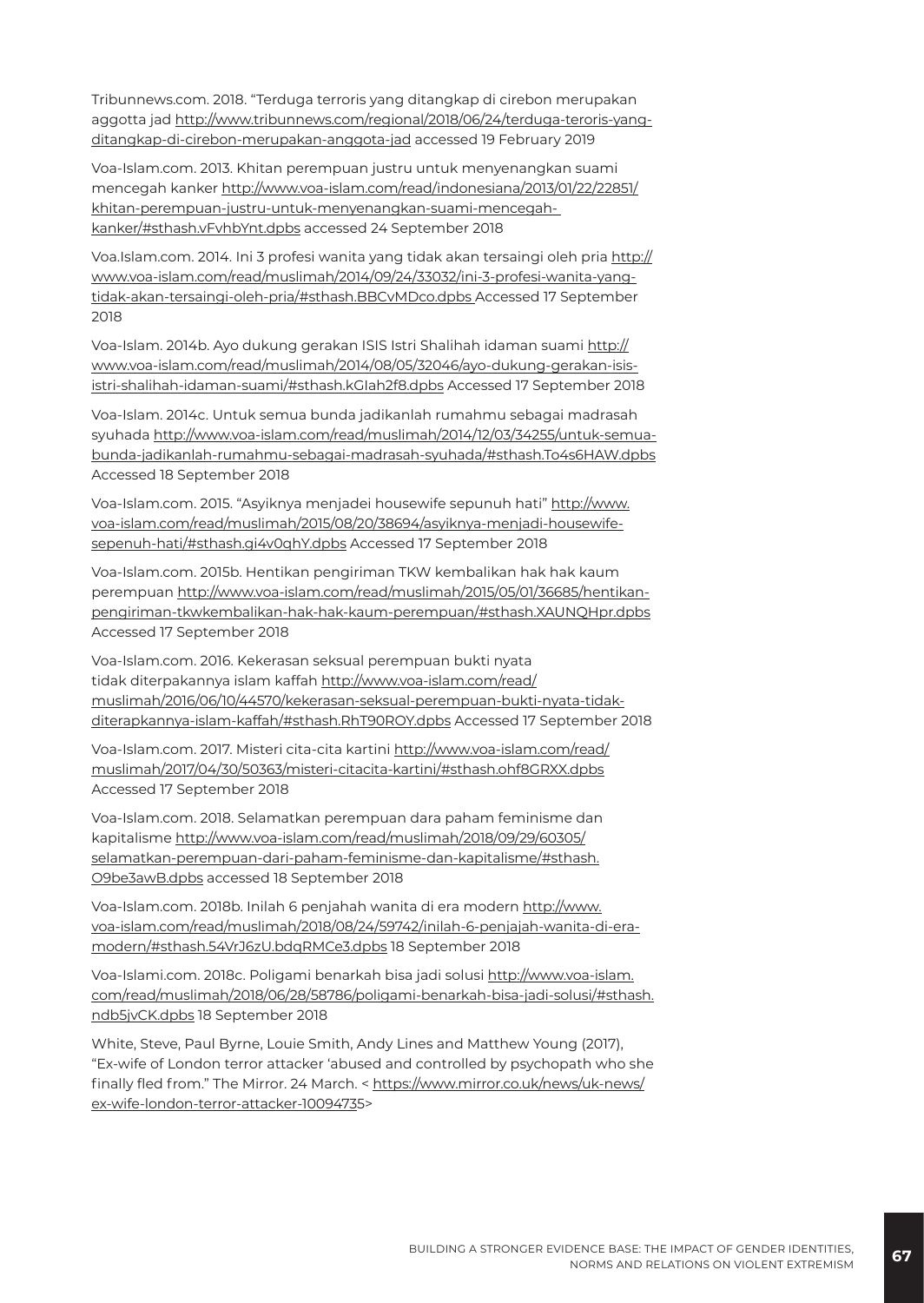Tribunnews.com. 2018. "Terduga terroris yang ditangkap di cirebon merupakan aggotta jad [http://www.tribunnews.com/regional/2018/06/24/terduga-teroris-yang](https://www.tribunnews.com/regional/2018/06/24/terduga-teroris-yang-ditangkap-di-cirebon-merupakan-anggota-jad%20%20%20accessed%2019%20February%202019)[ditangkap-di-cirebon-merupakan-anggota-jad accessed 19 February 2019](https://www.tribunnews.com/regional/2018/06/24/terduga-teroris-yang-ditangkap-di-cirebon-merupakan-anggota-jad%20%20%20accessed%2019%20February%202019)

Voa-Islam.com. 2013. Khitan perempuan justru untuk menyenangkan suami mencegah kanker http://www.voa-islam.com/read/indonesiana/2013/01/22/22851/ khitan-perempuan-justru-untuk-menyenangkan-suami-mencegahkanker/#sthash.vFvhbYnt.dpbs accessed 24 September 2018

Voa.Islam.com. 2014. Ini 3 profesi wanita yang tidak akan tersaingi oleh pria http:// www.voa-islam.com/read/muslimah/2014/09/24/33032/ini-3-profesi-wanita-yangtidak-akan-tersaingi-oleh-pria/#sthash.BBCvMDco.dpbs Accessed 17 September 2018

Voa-Islam. 2014b. Ayo dukung gerakan ISIS Istri Shalihah idaman suami http:// www.voa-islam.com/read/muslimah/2014/08/05/32046/ayo-dukung-gerakan-isisistri-shalihah-idaman-suami/#sthash.kGIah2f8.dpbs Accessed 17 September 2018

Voa-Islam. 2014c. Untuk semua bunda jadikanlah rumahmu sebagai madrasah syuhada http://www.voa-islam.com/read/muslimah/2014/12/03/34255/untuk-semuabunda-jadikanlah-rumahmu-sebagai-madrasah-syuhada/#sthash.To4s6HAW.dpbs Accessed 18 September 2018

Voa-Islam.com. 2015. "Asyiknya menjadei housewife sepunuh hati" http://www. voa-islam.com/read/muslimah/2015/08/20/38694/asyiknya-menjadi-housewifesepenuh-hati/#sthash.gi4v0qhY.dpbs Accessed 17 September 2018

Voa-Islam.com. 2015b. Hentikan pengiriman TKW kembalikan hak hak kaum perempuan http://www.voa-islam.com/read/muslimah/2015/05/01/36685/hentikanpengiriman-tkwkembalikan-hak-hak-kaum-perempuan/#sthash.XAUNQHpr.dpbs Accessed 17 September 2018

Voa-Islam.com. 2016. Kekerasan seksual perempuan bukti nyata tidak diterpakannya islam kaffah http://www.voa-islam.com/read/ muslimah/2016/06/10/44570/kekerasan-seksual-perempuan-bukti-nyata-tidakditerapkannya-islam-kaffah/#sthash.RhT90ROY.dpbs Accessed 17 September 2018

Voa-Islam.com. 2017. Misteri cita-cita kartini http://www.voa-islam.com/read/ muslimah/2017/04/30/50363/misteri-citacita-kartini/#sthash.ohf8GRXX.dpbs Accessed 17 September 2018

Voa-Islam.com. 2018. Selamatkan perempuan dara paham feminisme dan kapitalisme http://www.voa-islam.com/read/muslimah/2018/09/29/60305/ selamatkan-perempuan-dari-paham-feminisme-dan-kapitalisme/#sthash. O9be3awB.dpbs accessed 18 September 2018

Voa-Islam.com. 2018b. Inilah 6 penjahah wanita di era modern http://www. voa-islam.com/read/muslimah/2018/08/24/59742/inilah-6-penjajah-wanita-di-eramodern/#sthash.54VrJ6zU.bdqRMCe3.dpbs 18 September 2018

Voa-Islami.com. 2018c. Poligami benarkah bisa jadi solusi http://www.voa-islam. com/read/muslimah/2018/06/28/58786/poligami-benarkah-bisa-jadi-solusi/#sthash. ndb5jvCK.dpbs 18 September 2018

White, Steve, Paul Byrne, Louie Smith, Andy Lines and Matthew Young (2017), "Ex-wife of London terror attacker 'abused and controlled by psychopath who she finally fled from." The Mirror. 24 March. < [https://www.mirror.co.uk/news/uk-news/](https://www.mirror.co.uk/news/uk-news/ex-wife-london-terror-attacker-10094735) [ex-wife-london-terror-attacker-1009473](https://www.mirror.co.uk/news/uk-news/ex-wife-london-terror-attacker-10094735)5>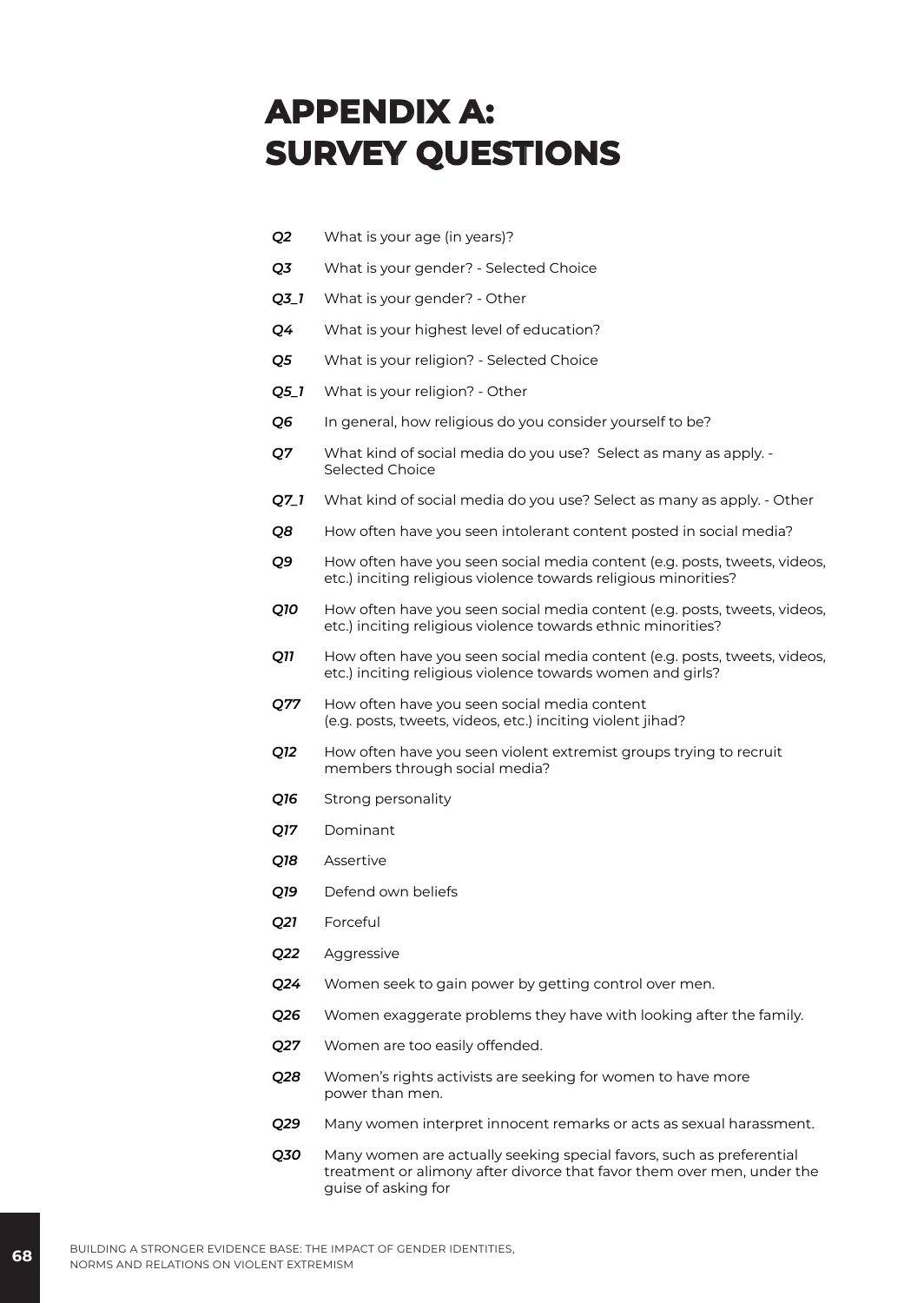# **APPENDIX A: SURVEY QUESTIONS**

- *Q2* What is your age (in years)?
- *Q3* What is your gender? Selected Choice
- *Q3\_1* What is your gender? Other
- *Q4* What is your highest level of education?
- *Q5* What is your religion? Selected Choice
- *Q5\_1* What is your religion? Other
- *Q6* In general, how religious do you consider yourself to be?
- *Q7* What kind of social media do you use? Select as many as apply. Selected Choice
- *Q7\_1* What kind of social media do you use? Select as many as apply. Other
- *Q8* How often have you seen intolerant content posted in social media?
- *Q9* How often have you seen social media content (e.g. posts, tweets, videos, etc.) inciting religious violence towards religious minorities?
- *Q10* How often have you seen social media content (e.g. posts, tweets, videos, etc.) inciting religious violence towards ethnic minorities?
- **Q11** How often have you seen social media content (e.g. posts, tweets, videos, etc.) inciting religious violence towards women and girls?
- *Q77* How often have you seen social media content (e.g. posts, tweets, videos, etc.) inciting violent jihad?
- *Q12* How often have you seen violent extremist groups trying to recruit members through social media?
- *Q16* Strong personality
- *Q17* Dominant
- *Q18* Assertive
- *Q19* Defend own beliefs
- *Q21* Forceful
- *Q22* Aggressive
- *Q24* Women seek to gain power by getting control over men.
- *Q26* Women exaggerate problems they have with looking after the family.
- *Q27* Women are too easily offended.
- *Q28* Women's rights activists are seeking for women to have more power than men.
- *Q29* Many women interpret innocent remarks or acts as sexual harassment.
- *Q30* Many women are actually seeking special favors, such as preferential treatment or alimony after divorce that favor them over men, under the guise of asking for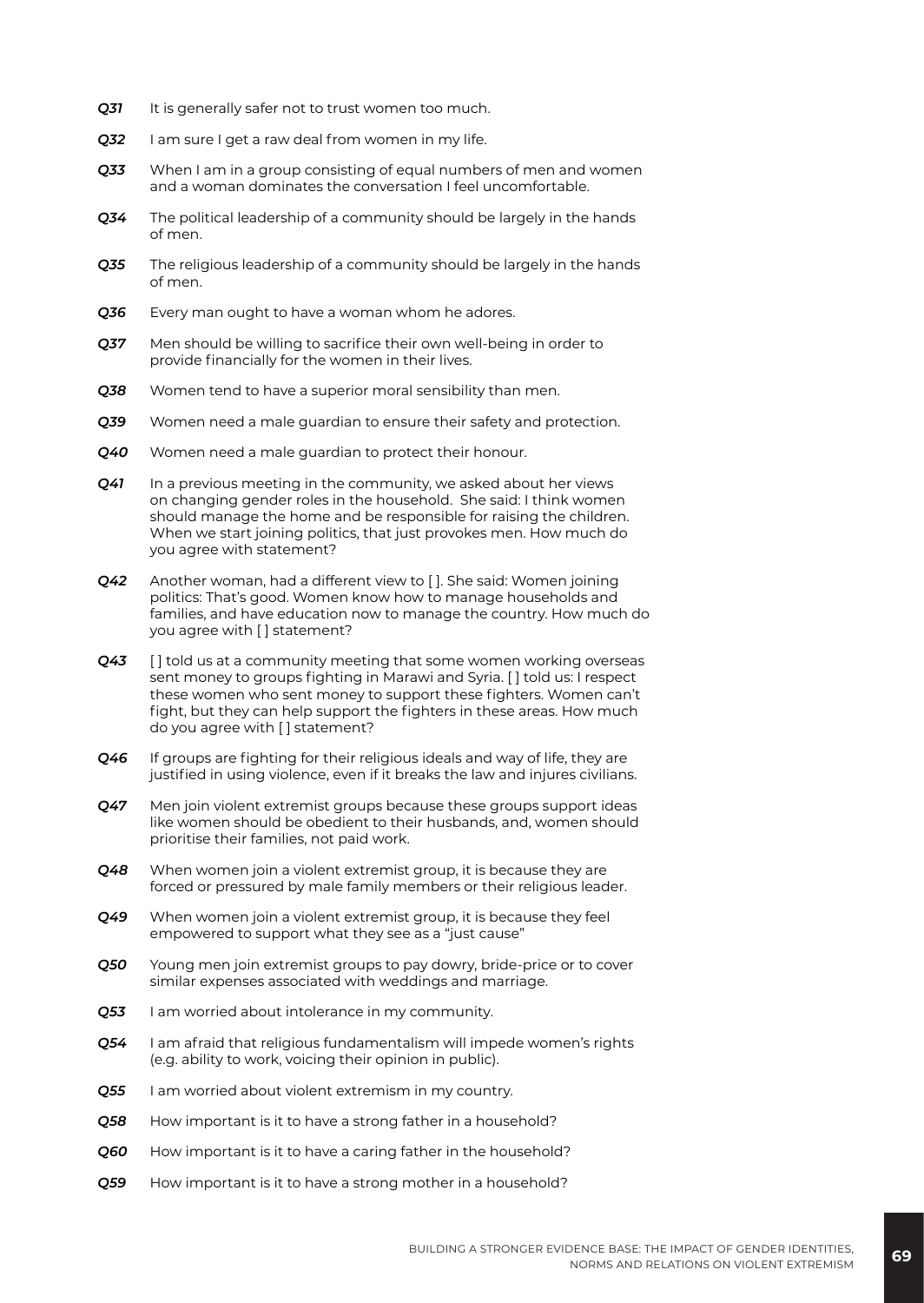- *Q31* It is generally safer not to trust women too much.
- *Q32* I am sure I get a raw deal from women in my life.
- *Q33* When I am in a group consisting of equal numbers of men and women and a woman dominates the conversation I feel uncomfortable.
- *Q34* The political leadership of a community should be largely in the hands of men.
- *Q35* The religious leadership of a community should be largely in the hands of men.
- *Q36* Every man ought to have a woman whom he adores.
- *Q37* Men should be willing to sacrifice their own well-being in order to provide financially for the women in their lives.
- *Q38* Women tend to have a superior moral sensibility than men.
- *Q39* Women need a male guardian to ensure their safety and protection.
- *Q40* Women need a male guardian to protect their honour.
- **Q41** In a previous meeting in the community, we asked about her views on changing gender roles in the household. She said: I think women should manage the home and be responsible for raising the children. When we start joining politics, that just provokes men. How much do you agree with statement?
- *Q42* Another woman, had a different view to [ ]. She said: Women joining politics: That's good. Women know how to manage households and families, and have education now to manage the country. How much do you agree with [] statement?
- *Q43* [ ] told us at a community meeting that some women working overseas sent money to groups fighting in Marawi and Syria. [ ] told us: I respect these women who sent money to support these fighters. Women can't fight, but they can help support the fighters in these areas. How much do you agree with [ ] statement?
- *Q46* If groups are fighting for their religious ideals and way of life, they are justified in using violence, even if it breaks the law and injures civilians.
- *Q47* Men join violent extremist groups because these groups support ideas like women should be obedient to their husbands, and, women should prioritise their families, not paid work.
- *Q48* When women join a violent extremist group, it is because they are forced or pressured by male family members or their religious leader.
- *Q49* When women join a violent extremist group, it is because they feel empowered to support what they see as a "just cause"
- *Q50* Young men join extremist groups to pay dowry, bride-price or to cover similar expenses associated with weddings and marriage.
- *Q53* I am worried about intolerance in my community.
- *Q54* I am afraid that religious fundamentalism will impede women's rights (e.g. ability to work, voicing their opinion in public).
- *Q55* I am worried about violent extremism in my country.
- *Q58* How important is it to have a strong father in a household?
- *Q60* How important is it to have a caring father in the household?
- *Q59* How important is it to have a strong mother in a household?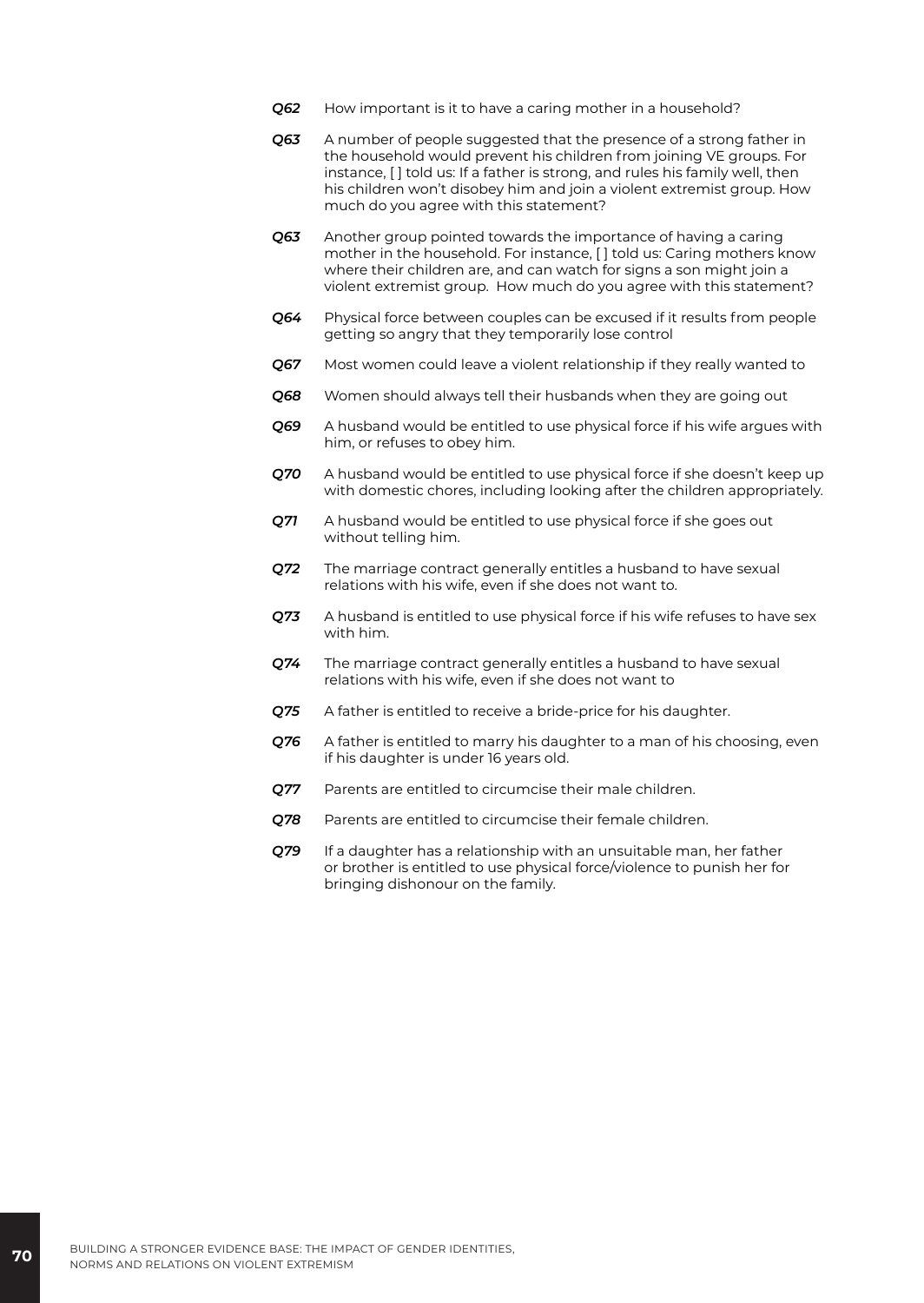- *Q62* How important is it to have a caring mother in a household?
- *Q63* A number of people suggested that the presence of a strong father in the household would prevent his children from joining VE groups. For instance, [ ] told us: If a father is strong, and rules his family well, then his children won't disobey him and join a violent extremist group. How much do you agree with this statement?
- *Q63* Another group pointed towards the importance of having a caring mother in the household. For instance, [ ] told us: Caring mothers know where their children are, and can watch for signs a son might join a violent extremist group. How much do you agree with this statement?
- *Q64* Physical force between couples can be excused if it results from people getting so angry that they temporarily lose control
- *Q67* Most women could leave a violent relationship if they really wanted to
- *Q68* Women should always tell their husbands when they are going out
- *Q69* A husband would be entitled to use physical force if his wife argues with him, or refuses to obey him.
- *Q70* A husband would be entitled to use physical force if she doesn't keep up with domestic chores, including looking after the children appropriately.
- *Q71* A husband would be entitled to use physical force if she goes out without telling him.
- *Q72* The marriage contract generally entitles a husband to have sexual relations with his wife, even if she does not want to.
- *Q73* A husband is entitled to use physical force if his wife refuses to have sex with him.
- *Q74* The marriage contract generally entitles a husband to have sexual relations with his wife, even if she does not want to
- *Q75* A father is entitled to receive a bride-price for his daughter.
- *Q76* A father is entitled to marry his daughter to a man of his choosing, even if his daughter is under 16 years old.
- *Q77* Parents are entitled to circumcise their male children.
- *Q78* Parents are entitled to circumcise their female children.
- *Q79* If a daughter has a relationship with an unsuitable man, her father or brother is entitled to use physical force/violence to punish her for bringing dishonour on the family.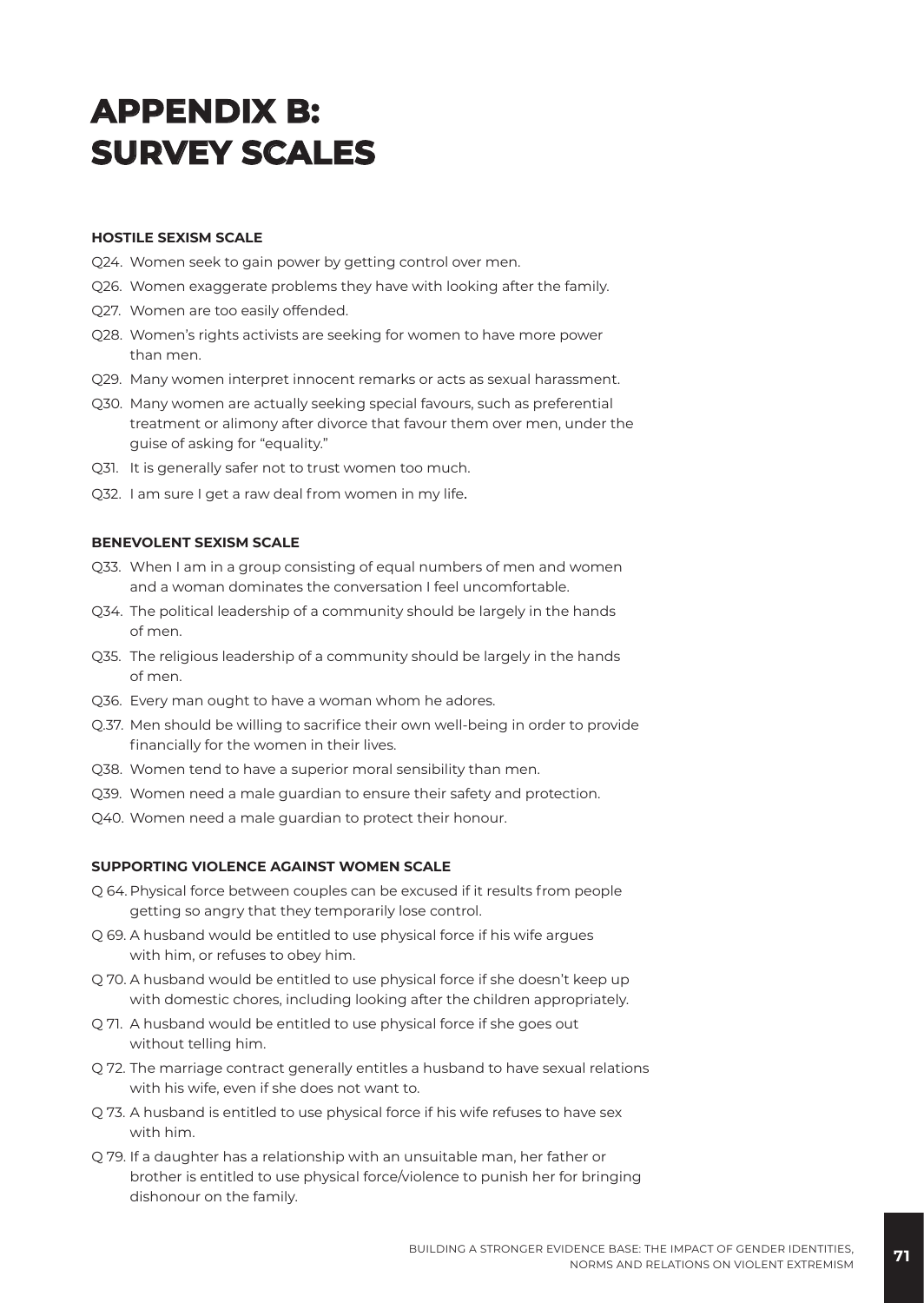# **APPENDIX B: SURVEY SCALES**

#### **HOSTILE SEXISM SCALE**

- Q24. Women seek to gain power by getting control over men.
- Q26. Women exaggerate problems they have with looking after the family.
- Q27. Women are too easily offended.
- Q28. Women's rights activists are seeking for women to have more power than men.
- Q29. Many women interpret innocent remarks or acts as sexual harassment.
- Q30. Many women are actually seeking special favours, such as preferential treatment or alimony after divorce that favour them over men, under the guise of asking for "equality."
- Q31. It is generally safer not to trust women too much.
- Q32. I am sure I get a raw deal from women in my life.

#### **BENEVOLENT SEXISM SCALE**

- Q33. When I am in a group consisting of equal numbers of men and women and a woman dominates the conversation I feel uncomfortable.
- Q34. The political leadership of a community should be largely in the hands of men.
- Q35. The religious leadership of a community should be largely in the hands of men.
- Q36. Every man ought to have a woman whom he adores.
- Q.37. Men should be willing to sacrifice their own well-being in order to provide financially for the women in their lives.
- Q38. Women tend to have a superior moral sensibility than men.
- Q39. Women need a male guardian to ensure their safety and protection.
- Q40. Women need a male guardian to protect their honour.

#### **SUPPORTING VIOLENCE AGAINST WOMEN SCALE**

- Q 64. Physical force between couples can be excused if it results from people getting so angry that they temporarily lose control.
- Q 69. A husband would be entitled to use physical force if his wife argues with him, or refuses to obey him.
- Q 70. A husband would be entitled to use physical force if she doesn't keep up with domestic chores, including looking after the children appropriately.
- Q 71. A husband would be entitled to use physical force if she goes out without telling him.
- Q 72. The marriage contract generally entitles a husband to have sexual relations with his wife, even if she does not want to.
- Q 73. A husband is entitled to use physical force if his wife refuses to have sex with him.
- Q 79. If a daughter has a relationship with an unsuitable man, her father or brother is entitled to use physical force/violence to punish her for bringing dishonour on the family.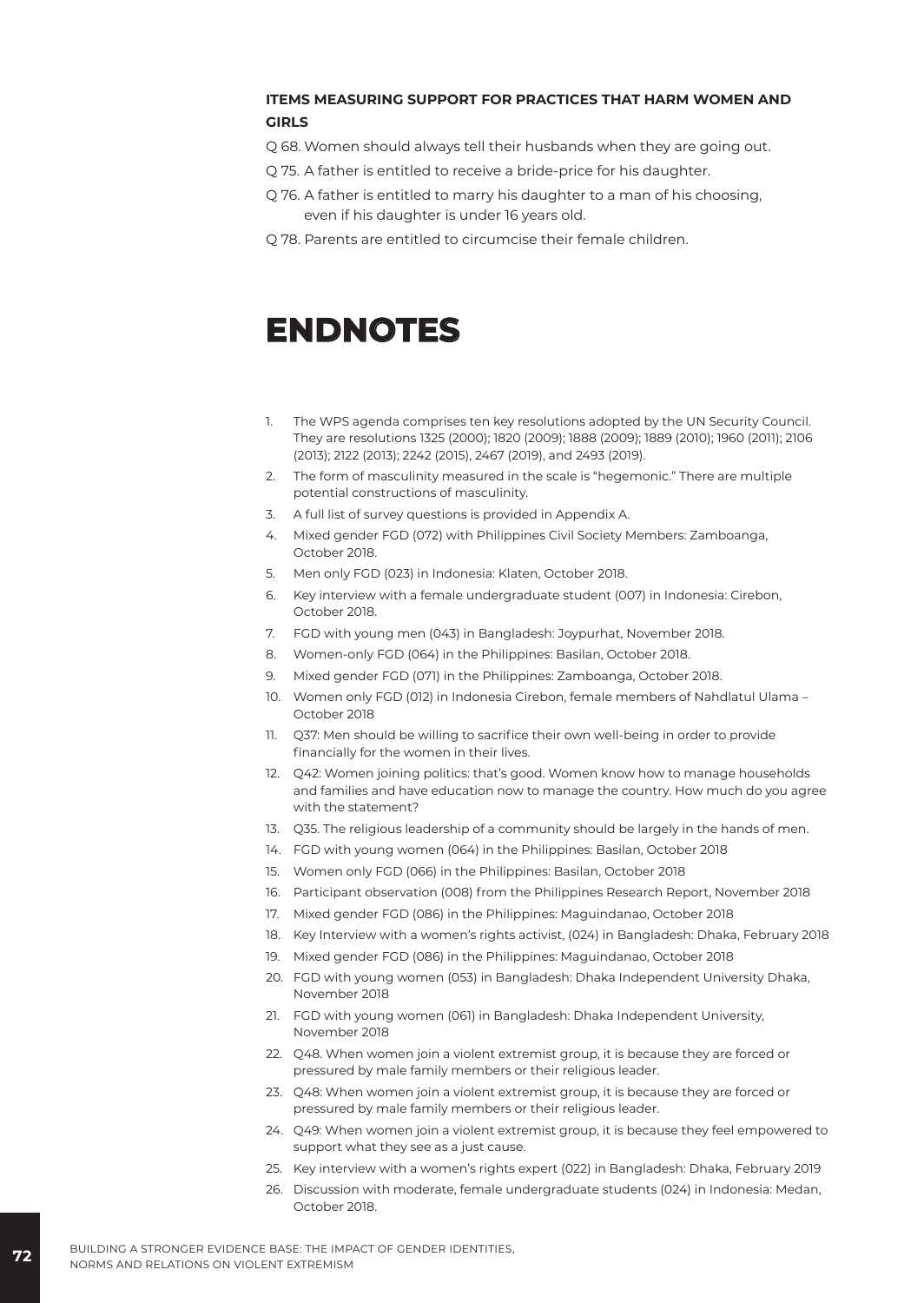#### **ITEMS MEASURING SUPPORT FOR PRACTICES THAT HARM WOMEN AND GIRLS**

Q 68. Women should always tell their husbands when they are going out.

- Q 75. A father is entitled to receive a bride-price for his daughter.
- Q 76. A father is entitled to marry his daughter to a man of his choosing, even if his daughter is under 16 years old.
- Q 78. Parents are entitled to circumcise their female children.

# **ENDNOTES**

- 1. The WPS agenda comprises ten key resolutions adopted by the UN Security Council. They are resolutions 1325 (2000); 1820 (2009); 1888 (2009); 1889 (2010); 1960 (2011); 2106 (2013); 2122 (2013); 2242 (2015), 2467 (2019), and 2493 (2019).
- 2. The form of masculinity measured in the scale is "hegemonic." There are multiple potential constructions of masculinity.
- 3. A full list of survey questions is provided in Appendix A.
- 4. Mixed gender FGD (072) with Philippines Civil Society Members: Zamboanga, October 2018.
- 5. Men only FGD (023) in Indonesia: Klaten, October 2018.
- 6. Key interview with a female undergraduate student (007) in Indonesia: Cirebon, October 2018.
- 7. FGD with young men (043) in Bangladesh: Joypurhat, November 2018.
- 8. Women-only FGD (064) in the Philippines: Basilan, October 2018.
- 9. Mixed gender FGD (071) in the Philippines: Zamboanga, October 2018.
- 10. Women only FGD (012) in Indonesia Cirebon, female members of Nahdlatul Ulama October 2018
- 11. Q37: Men should be willing to sacrifice their own well-being in order to provide financially for the women in their lives.
- 12. Q42: Women joining politics: that's good. Women know how to manage households and families and have education now to manage the country. How much do you agree with the statement?
- 13. Q35. The religious leadership of a community should be largely in the hands of men.
- 14. FGD with young women (064) in the Philippines: Basilan, October 2018
- 15. Women only FGD (066) in the Philippines: Basilan, October 2018
- 16. Participant observation (008) from the Philippines Research Report, November 2018
- 17. Mixed gender FGD (086) in the Philippines: Maguindanao, October 2018
- 18. Key Interview with a women's rights activist, (024) in Bangladesh: Dhaka, February 2018
- 19. Mixed gender FGD (086) in the Philippines: Maguindanao, October 2018
- 20. FGD with young women (053) in Bangladesh: Dhaka Independent University Dhaka, November 2018
- 21. FGD with young women (061) in Bangladesh: Dhaka Independent University, November 2018
- 22. Q48. When women join a violent extremist group, it is because they are forced or pressured by male family members or their religious leader.
- 23. Q48: When women join a violent extremist group, it is because they are forced or pressured by male family members or their religious leader.
- 24. Q49: When women join a violent extremist group, it is because they feel empowered to support what they see as a just cause.
- 25. Key interview with a women's rights expert (022) in Bangladesh: Dhaka, February 2019
- 26. Discussion with moderate, female undergraduate students (024) in Indonesia: Medan, October 2018.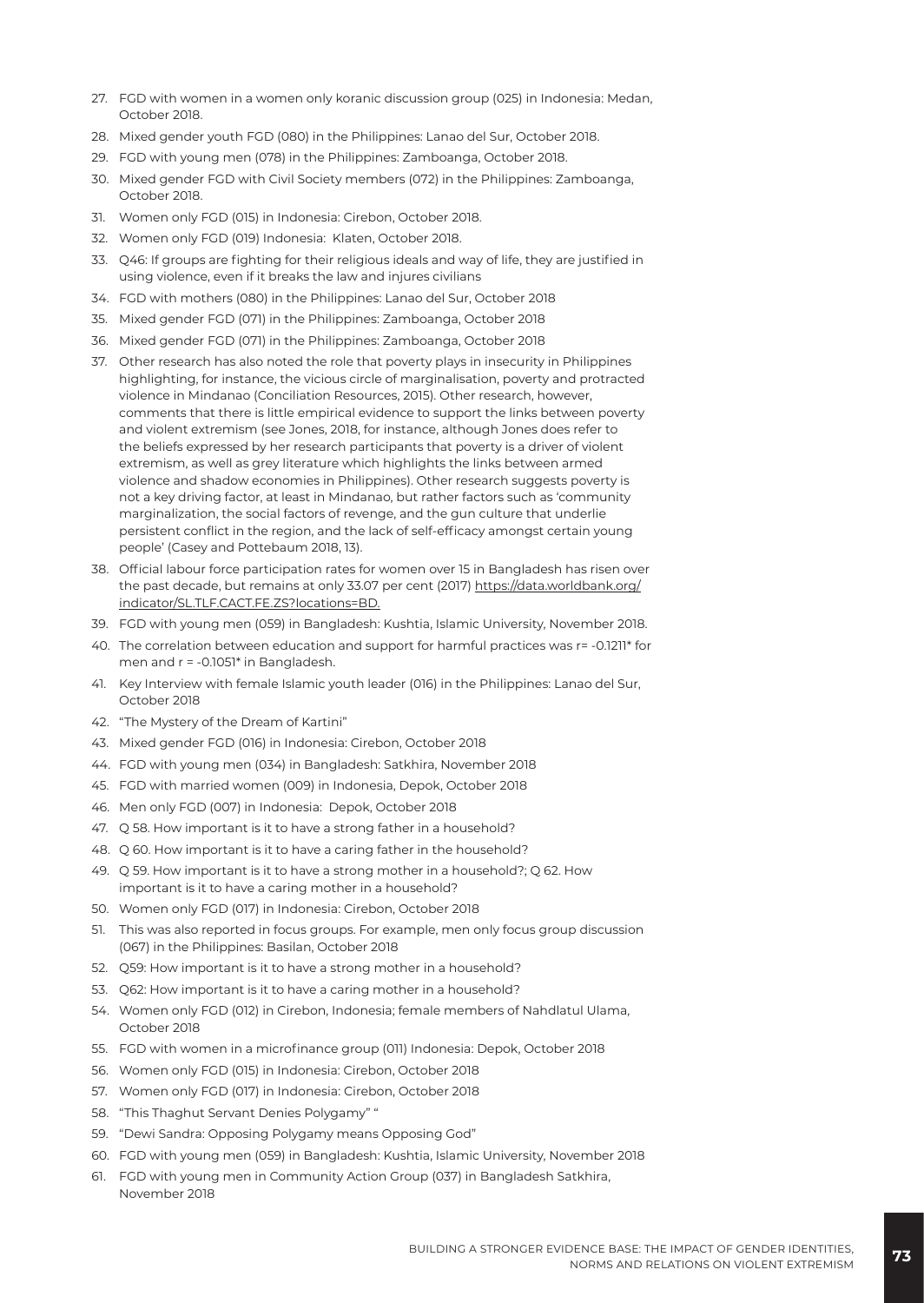- 27. FGD with women in a women only koranic discussion group (025) in Indonesia: Medan, October 2018.
- 28. Mixed gender youth FGD (080) in the Philippines: Lanao del Sur, October 2018.
- 29. FGD with young men (078) in the Philippines: Zamboanga, October 2018.
- 30. Mixed gender FGD with Civil Society members (072) in the Philippines: Zamboanga, October 2018.
- 31. Women only FGD (015) in Indonesia: Cirebon, October 2018.
- 32. Women only FGD (019) Indonesia: Klaten, October 2018.
- 33. Q46: If groups are fighting for their religious ideals and way of life, they are justified in using violence, even if it breaks the law and injures civilians
- 34. FGD with mothers (080) in the Philippines: Lanao del Sur, October 2018
- 35. Mixed gender FGD (071) in the Philippines: Zamboanga, October 2018
- 36. Mixed gender FGD (071) in the Philippines: Zamboanga, October 2018
- 37. Other research has also noted the role that poverty plays in insecurity in Philippines highlighting, for instance, the vicious circle of marginalisation, poverty and protracted violence in Mindanao (Conciliation Resources, 2015). Other research, however, comments that there is little empirical evidence to support the links between poverty and violent extremism (see Jones, 2018, for instance, although Jones does refer to the beliefs expressed by her research participants that poverty is a driver of violent extremism, as well as grey literature which highlights the links between armed violence and shadow economies in Philippines). Other research suggests poverty is not a key driving factor, at least in Mindanao, but rather factors such as 'community marginalization, the social factors of revenge, and the gun culture that underlie persistent conflict in the region, and the lack of self-efficacy amongst certain young people' (Casey and Pottebaum 2018, 13).
- 38. Official labour force participation rates for women over 15 in Bangladesh has risen over the past decade, but remains at only 33.07 per cent (2017) [https://data.worldbank.org/](https://data.worldbank.org/indicator/SL.TLF.CACT.FE.ZS?locations=BD) [indicator/SL.TLF.CACT.FE.ZS?locations=BD.](https://data.worldbank.org/indicator/SL.TLF.CACT.FE.ZS?locations=BD)
- 39. FGD with young men (059) in Bangladesh: Kushtia, Islamic University, November 2018.
- 40. The correlation between education and support for harmful practices was r= -0.1211\* for men and r = -0.1051\* in Bangladesh.
- 41. Key Interview with female Islamic youth leader (016) in the Philippines: Lanao del Sur, October 2018
- 42. "The Mystery of the Dream of Kartini"
- 43. Mixed gender FGD (016) in Indonesia: Cirebon, October 2018
- 44. FGD with young men (034) in Bangladesh: Satkhira, November 2018
- 45. FGD with married women (009) in Indonesia, Depok, October 2018
- 46. Men only FGD (007) in Indonesia: Depok, October 2018
- 47. Q 58. How important is it to have a strong father in a household?
- 48. Q 60. How important is it to have a caring father in the household?
- 49. Q 59. How important is it to have a strong mother in a household?; Q 62. How important is it to have a caring mother in a household?
- 50. Women only FGD (017) in Indonesia: Cirebon, October 2018
- 51. This was also reported in focus groups. For example, men only focus group discussion (067) in the Philippines: Basilan, October 2018
- 52. Q59: How important is it to have a strong mother in a household?
- 53. Q62: How important is it to have a caring mother in a household?
- 54. Women only FGD (012) in Cirebon, Indonesia; female members of Nahdlatul Ulama, October 2018
- 55. FGD with women in a microfinance group (011) Indonesia: Depok, October 2018
- 56. Women only FGD (015) in Indonesia: Cirebon, October 2018
- 57. Women only FGD (017) in Indonesia: Cirebon, October 2018
- 58. "This Thaghut Servant Denies Polygamy" "
- 59. "Dewi Sandra: Opposing Polygamy means Opposing God"
- 60. FGD with young men (059) in Bangladesh: Kushtia, Islamic University, November 2018
- 61. FGD with young men in Community Action Group (037) in Bangladesh Satkhira, November 2018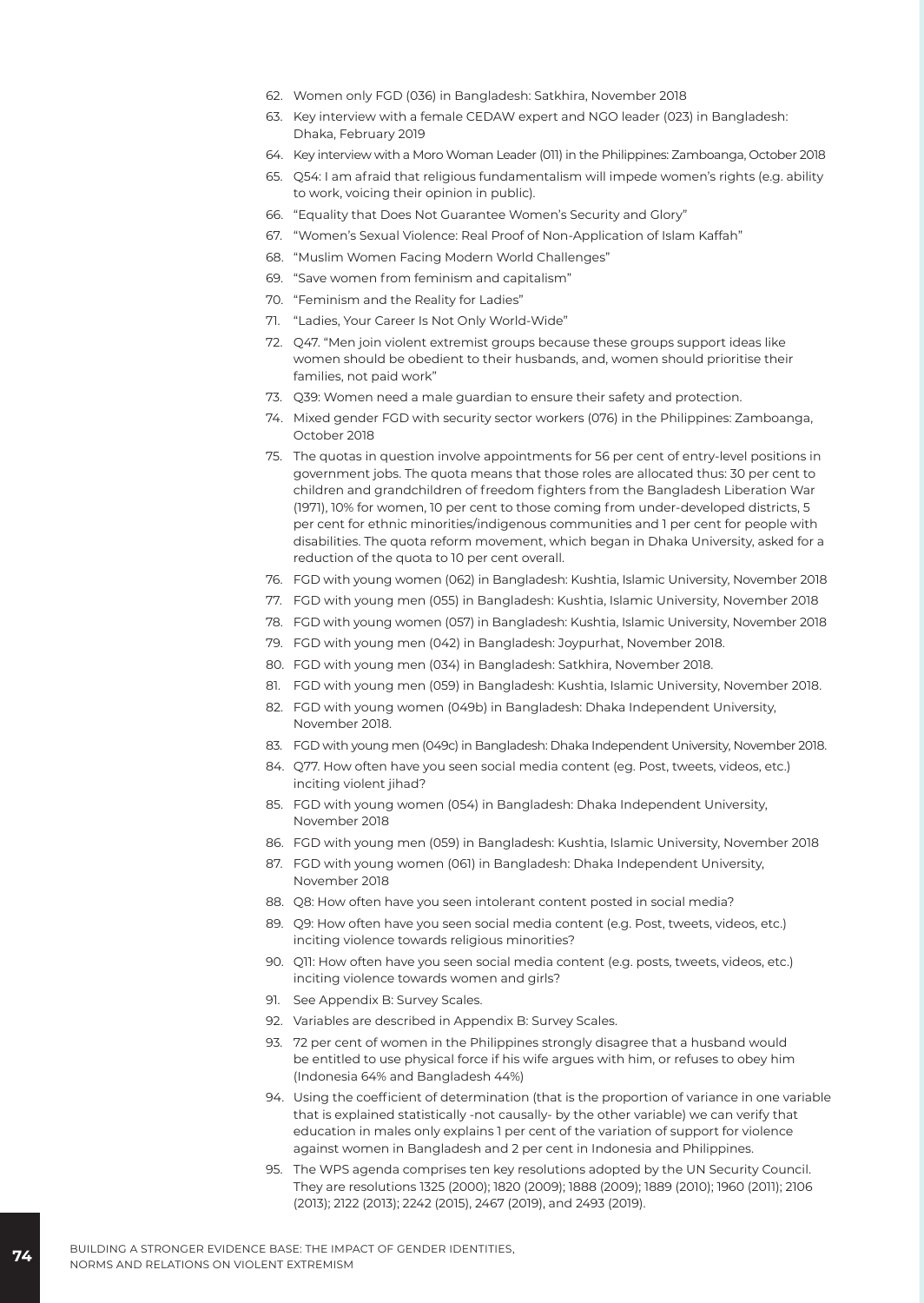- 62. Women only FGD (036) in Bangladesh: Satkhira, November 2018
- 63. Key interview with a female CEDAW expert and NGO leader (023) in Bangladesh: Dhaka, February 2019
- 64. Key interview with a Moro Woman Leader (011) in the Philippines: Zamboanga, October 2018
- 65. Q54: I am afraid that religious fundamentalism will impede women's rights (e.g. ability to work, voicing their opinion in public).
- 66. "Equality that Does Not Guarantee Women's Security and Glory"
- 67. "Women's Sexual Violence: Real Proof of Non-Application of Islam Kaffah"
- 68. "Muslim Women Facing Modern World Challenges"
- 69. "Save women from feminism and capitalism"
- 70. "Feminism and the Reality for Ladies"
- 71. "Ladies, Your Career Is Not Only World-Wide"
- 72. Q47. "Men join violent extremist groups because these groups support ideas like women should be obedient to their husbands, and, women should prioritise their families, not paid work"
- 73. Q39: Women need a male guardian to ensure their safety and protection.
- 74. Mixed gender FGD with security sector workers (076) in the Philippines: Zamboanga, October 2018
- 75. The quotas in question involve appointments for 56 per cent of entry-level positions in government jobs. The quota means that those roles are allocated thus: 30 per cent to children and grandchildren of freedom fighters from the Bangladesh Liberation War (1971), 10% for women, 10 per cent to those coming from under-developed districts, 5 per cent for ethnic minorities/indigenous communities and 1 per cent for people with disabilities. The quota reform movement, which began in Dhaka University, asked for a reduction of the quota to 10 per cent overall.
- 76. FGD with young women (062) in Bangladesh: Kushtia, Islamic University, November 2018
- 77. FGD with young men (055) in Bangladesh: Kushtia, Islamic University, November 2018
- 78. FGD with young women (057) in Bangladesh: Kushtia, Islamic University, November 2018
- 79. FGD with young men (042) in Bangladesh: Joypurhat, November 2018.
- 80. FGD with young men (034) in Bangladesh: Satkhira, November 2018.
- 81. FGD with young men (059) in Bangladesh: Kushtia, Islamic University, November 2018.
- 82. FGD with young women (049b) in Bangladesh: Dhaka Independent University, November 2018.
- 83. FGD with young men (049c) in Bangladesh: Dhaka Independent University, November 2018.
- 84. Q77. How often have you seen social media content (eg. Post, tweets, videos, etc.) inciting violent jihad?
- 85. FGD with young women (054) in Bangladesh: Dhaka Independent University, November 2018
- 86. FGD with young men (059) in Bangladesh: Kushtia, Islamic University, November 2018
- 87. FGD with young women (061) in Bangladesh: Dhaka Independent University, November 2018
- 88. Q8: How often have you seen intolerant content posted in social media?
- 89. Q9: How often have you seen social media content (e.g. Post, tweets, videos, etc.) inciting violence towards religious minorities?
- 90. Q11: How often have you seen social media content (e.g. posts, tweets, videos, etc.) inciting violence towards women and girls?
- 91. See Appendix B: Survey Scales.
- 92. Variables are described in Appendix B: Survey Scales.
- 93. 72 per cent of women in the Philippines strongly disagree that a husband would be entitled to use physical force if his wife argues with him, or refuses to obey him (Indonesia 64% and Bangladesh 44%)
- 94. Using the coefficient of determination (that is the proportion of variance in one variable that is explained statistically -not causally- by the other variable) we can verify that education in males only explains 1 per cent of the variation of support for violence against women in Bangladesh and 2 per cent in Indonesia and Philippines.
- 95. The WPS agenda comprises ten key resolutions adopted by the UN Security Council. They are resolutions 1325 (2000); 1820 (2009); 1888 (2009); 1889 (2010); 1960 (2011); 2106 (2013); 2122 (2013); 2242 (2015), 2467 (2019), and 2493 (2019).